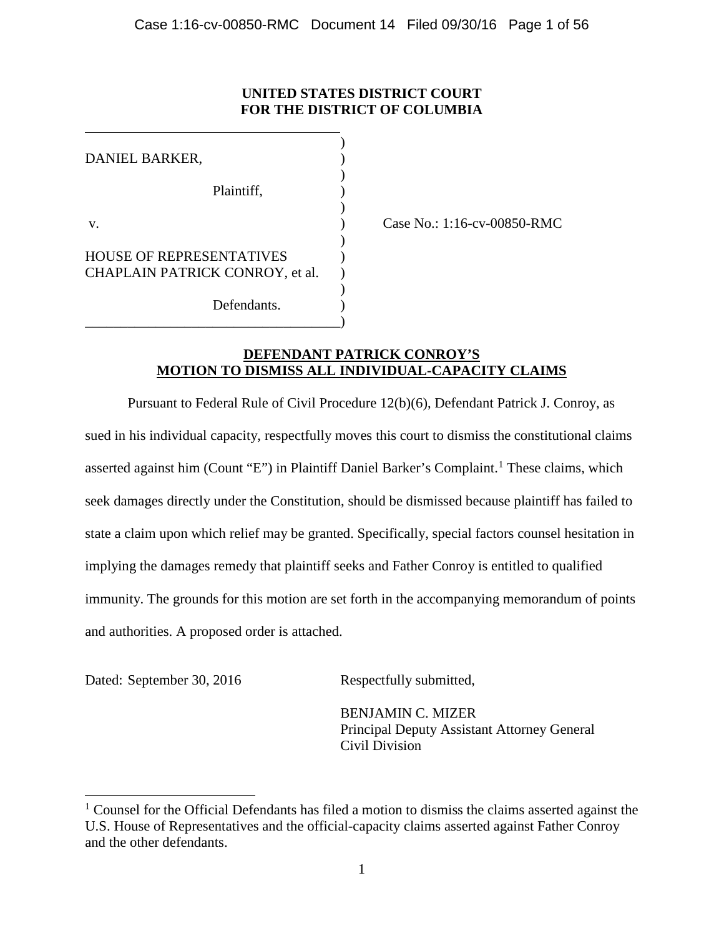# **UNITED STATES DISTRICT COURT FOR THE DISTRICT OF COLUMBIA**

| DANIEL BARKER,                  |  |
|---------------------------------|--|
| Plaintiff,                      |  |
|                                 |  |
| V.                              |  |
|                                 |  |
| <b>HOUSE OF REPRESENTATIVES</b> |  |
| CHAPLAIN PATRICK CONROY, et al. |  |
|                                 |  |
| Defendants                      |  |
|                                 |  |

Case No.: 1:16-cv-00850-RMC

# **DEFENDANT PATRICK CONROY'S MOTION TO DISMISS ALL INDIVIDUAL-CAPACITY CLAIMS**

Pursuant to Federal Rule of Civil Procedure 12(b)(6), Defendant Patrick J. Conroy, as sued in his individual capacity, respectfully moves this court to dismiss the constitutional claims asserted against him (Count "E") in Plaintiff Daniel Barker's Complaint.<sup>1</sup> These claims, which seek damages directly under the Constitution, should be dismissed because plaintiff has failed to state a claim upon which relief may be granted. Specifically, special factors counsel hesitation in implying the damages remedy that plaintiff seeks and Father Conroy is entitled to qualified immunity. The grounds for this motion are set forth in the accompanying memorandum of points and authorities. A proposed order is attached.

Dated: September 30, 2016 Respectfully submitted,

BENJAMIN C. MIZER Principal Deputy Assistant Attorney General Civil Division

 $1$  Counsel for the Official Defendants has filed a motion to dismiss the claims asserted against the U.S. House of Representatives and the official-capacity claims asserted against Father Conroy and the other defendants.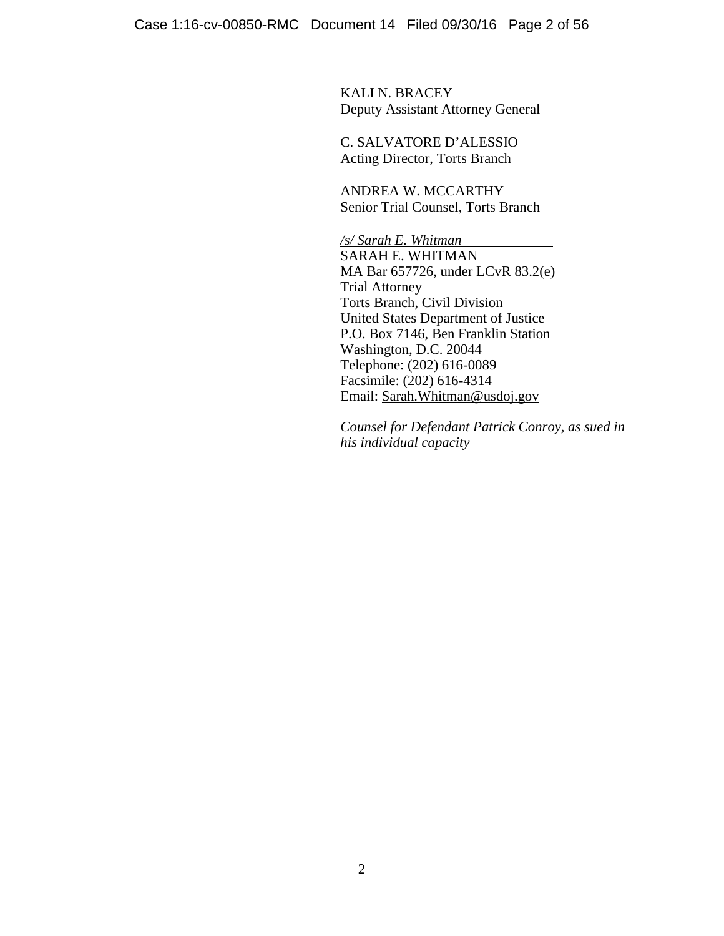KALI N. BRACEY Deputy Assistant Attorney General

C. SALVATORE D'ALESSIO Acting Director, Torts Branch

ANDREA W. MCCARTHY Senior Trial Counsel, Torts Branch

*/s/ Sarah E. Whitman* SARAH E. WHITMAN MA Bar 657726, under LCvR 83.2(e) Trial Attorney Torts Branch, Civil Division United States Department of Justice P.O. Box 7146, Ben Franklin Station Washington, D.C. 20044 Telephone: (202) 616-0089 Facsimile: (202) 616-4314 Email: Sarah.Whitman@usdoj.gov

*Counsel for Defendant Patrick Conroy, as sued in his individual capacity*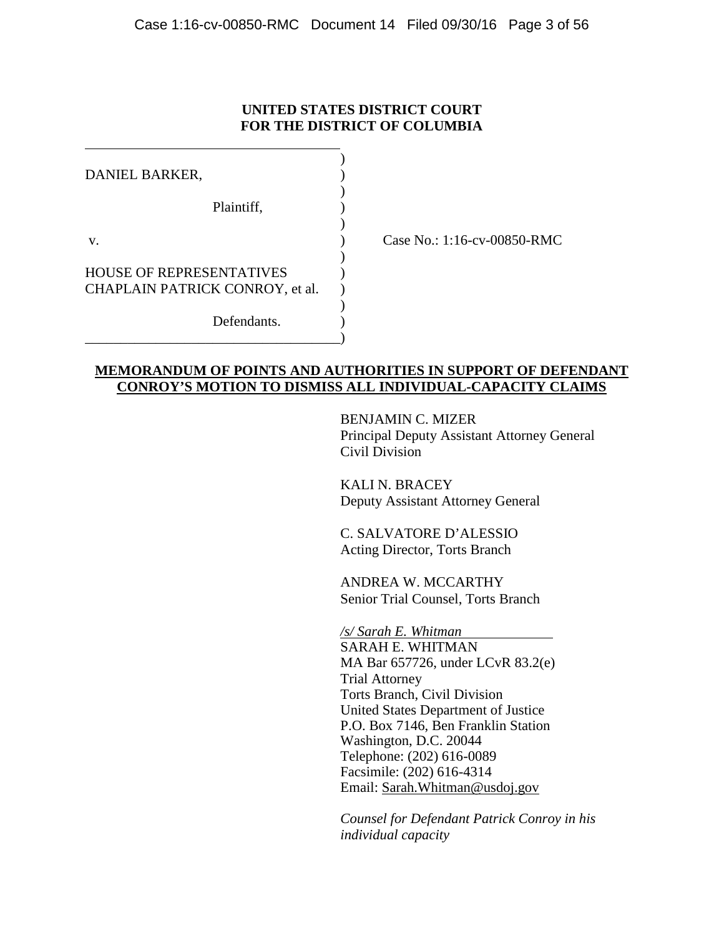# **UNITED STATES DISTRICT COURT FOR THE DISTRICT OF COLUMBIA**

| DANIEL BARKER,                  |  |
|---------------------------------|--|
|                                 |  |
| Plaintiff,                      |  |
|                                 |  |
| V.                              |  |
|                                 |  |
| <b>HOUSE OF REPRESENTATIVES</b> |  |
| CHAPLAIN PATRICK CONROY, et al. |  |
|                                 |  |
| Defendants.                     |  |
|                                 |  |

Case No.: 1:16-cv-00850-RMC

## **MEMORANDUM OF POINTS AND AUTHORITIES IN SUPPORT OF DEFENDANT CONROY'S MOTION TO DISMISS ALL INDIVIDUAL-CAPACITY CLAIMS**

BENJAMIN C. MIZER Principal Deputy Assistant Attorney General Civil Division

KALI N. BRACEY Deputy Assistant Attorney General

C. SALVATORE D'ALESSIO Acting Director, Torts Branch

ANDREA W. MCCARTHY Senior Trial Counsel, Torts Branch

*/s/ Sarah E. Whitman* SARAH E. WHITMAN MA Bar 657726, under LCvR 83.2(e) Trial Attorney Torts Branch, Civil Division United States Department of Justice P.O. Box 7146, Ben Franklin Station Washington, D.C. 20044 Telephone: (202) 616-0089 Facsimile: (202) 616-4314 Email: Sarah.Whitman@usdoj.gov

*Counsel for Defendant Patrick Conroy in his individual capacity*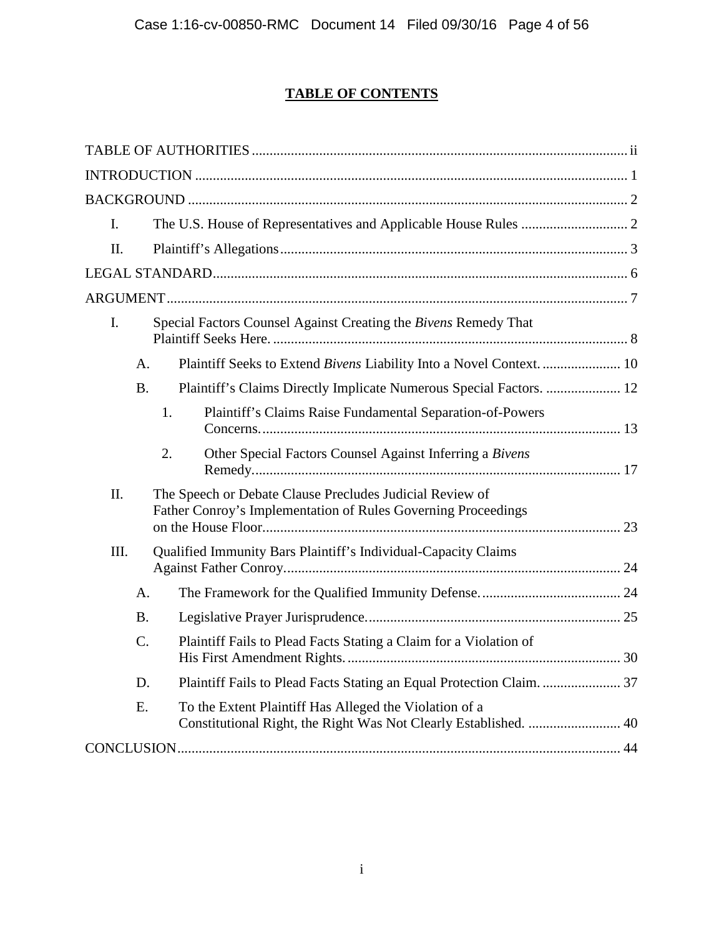# **TABLE OF CONTENTS**

| L.      |                 |                                                                                                                           |  |
|---------|-----------------|---------------------------------------------------------------------------------------------------------------------------|--|
| $\Pi$ . |                 |                                                                                                                           |  |
|         |                 |                                                                                                                           |  |
|         |                 |                                                                                                                           |  |
| Ι.      |                 | Special Factors Counsel Against Creating the Bivens Remedy That                                                           |  |
|         | A.              | Plaintiff Seeks to Extend Bivens Liability Into a Novel Context.  10                                                      |  |
|         | <b>B.</b>       | Plaintiff's Claims Directly Implicate Numerous Special Factors.  12                                                       |  |
|         |                 | 1.<br>Plaintiff's Claims Raise Fundamental Separation-of-Powers                                                           |  |
|         |                 | Other Special Factors Counsel Against Inferring a Bivens<br>2.                                                            |  |
| II.     |                 | The Speech or Debate Clause Precludes Judicial Review of<br>Father Conroy's Implementation of Rules Governing Proceedings |  |
| III.    |                 | Qualified Immunity Bars Plaintiff's Individual-Capacity Claims                                                            |  |
|         | A.              |                                                                                                                           |  |
|         | Β.              |                                                                                                                           |  |
|         | $\mathcal{C}$ . | Plaintiff Fails to Plead Facts Stating a Claim for a Violation of                                                         |  |
|         | D.              |                                                                                                                           |  |
|         | E.              | To the Extent Plaintiff Has Alleged the Violation of a                                                                    |  |
|         |                 |                                                                                                                           |  |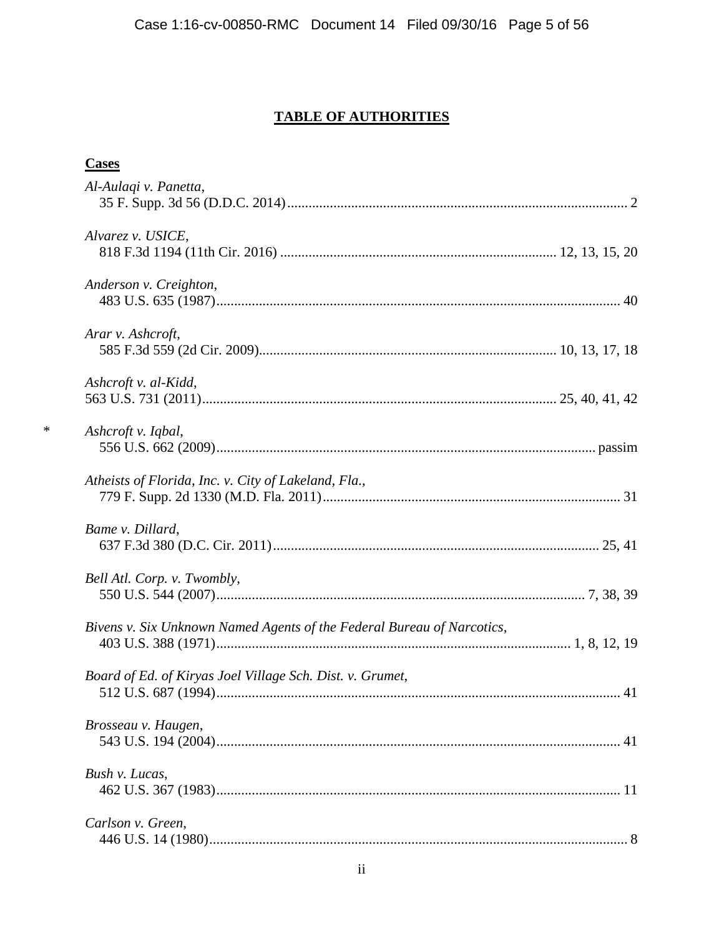# **TABLE OF AUTHORITIES**

## **Cases**

| Al-Aulagi v. Panetta,                                                  |    |
|------------------------------------------------------------------------|----|
| Alvarez v. USICE,                                                      |    |
| Anderson v. Creighton,                                                 |    |
| Arar v. Ashcroft,                                                      |    |
| Ashcroft v. al-Kidd,                                                   |    |
| Ashcroft v. Iqbal,                                                     |    |
| Atheists of Florida, Inc. v. City of Lakeland, Fla.,                   |    |
| Bame v. Dillard,                                                       |    |
| Bell Atl. Corp. v. Twombly,                                            |    |
| Bivens v. Six Unknown Named Agents of the Federal Bureau of Narcotics, |    |
| Board of Ed. of Kiryas Joel Village Sch. Dist. v. Grumet,              |    |
| Brosseau v. Haugen,                                                    | 41 |
| Bush v. Lucas,                                                         |    |
| Carlson v. Green,                                                      |    |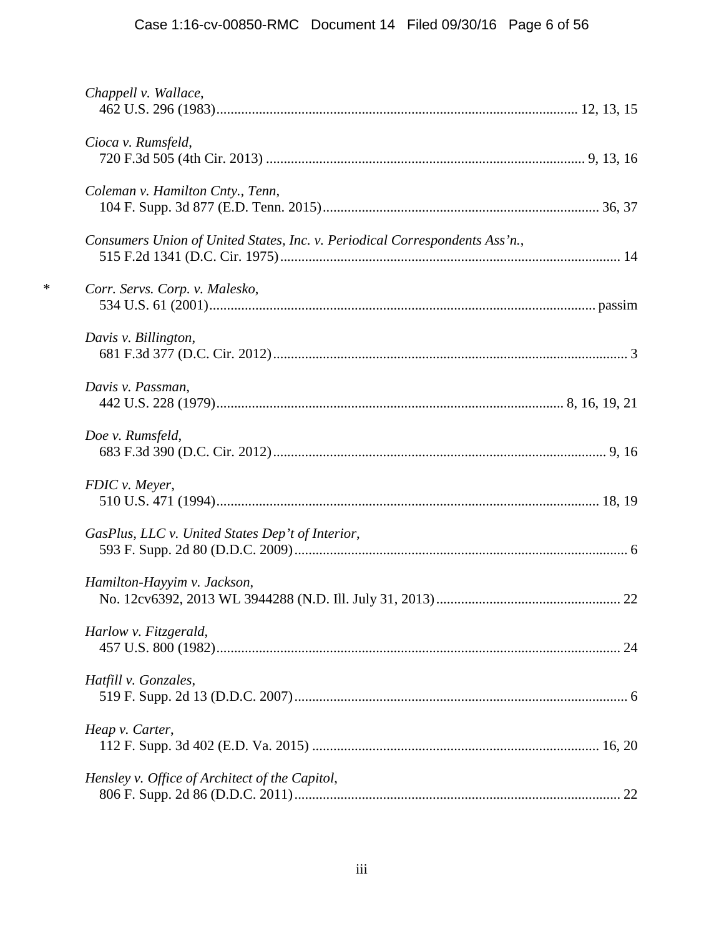|        | Chappell v. Wallace,                                                        |  |
|--------|-----------------------------------------------------------------------------|--|
|        | Cioca v. Rumsfeld,                                                          |  |
|        |                                                                             |  |
|        | Coleman v. Hamilton Cnty., Tenn,                                            |  |
|        | Consumers Union of United States, Inc. v. Periodical Correspondents Ass'n., |  |
| $\ast$ | Corr. Servs. Corp. v. Malesko,                                              |  |
|        | Davis v. Billington,                                                        |  |
|        | Davis v. Passman,                                                           |  |
|        | Doe v. Rumsfeld,                                                            |  |
|        | FDIC v. Meyer,                                                              |  |
|        | GasPlus, LLC v. United States Dep't of Interior,                            |  |
|        | Hamilton-Hayyim v. Jackson,                                                 |  |
|        | Harlow v. Fitzgerald,                                                       |  |
|        | Hatfill v. Gonzales,                                                        |  |
|        | Heap v. Carter,                                                             |  |
|        | Hensley v. Office of Architect of the Capitol,                              |  |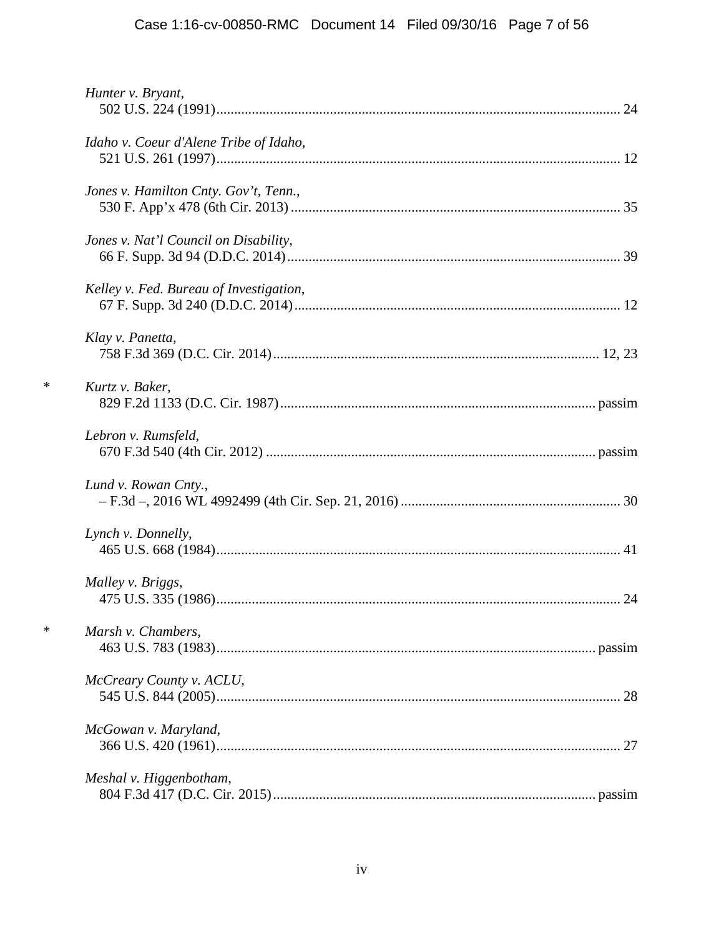# Case 1:16-cv-00850-RMC Document 14 Filed 09/30/16 Page 7 of 56

| Idaho v. Coeur d'Alene Tribe of Idaho,  |  |
|-----------------------------------------|--|
|                                         |  |
| Jones v. Hamilton Cnty. Gov't, Tenn.,   |  |
|                                         |  |
| Jones v. Nat'l Council on Disability,   |  |
|                                         |  |
| Kelley v. Fed. Bureau of Investigation, |  |
|                                         |  |
| Klay v. Panetta,                        |  |
|                                         |  |
| Kurtz v. Baker,                         |  |
|                                         |  |
| Lebron v. Rumsfeld,                     |  |
|                                         |  |
| Lund v. Rowan Cnty.,                    |  |
|                                         |  |
| Lynch v. Donnelly,                      |  |
|                                         |  |
| Malley v. Briggs,                       |  |
|                                         |  |
| Marsh v. Chambers,                      |  |
|                                         |  |
|                                         |  |
| McCreary County v. ACLU,                |  |
|                                         |  |
| McGowan v. Maryland,                    |  |
|                                         |  |
|                                         |  |
| Meshal v. Higgenbotham,                 |  |
|                                         |  |

 $\ast$ 

 $\ast$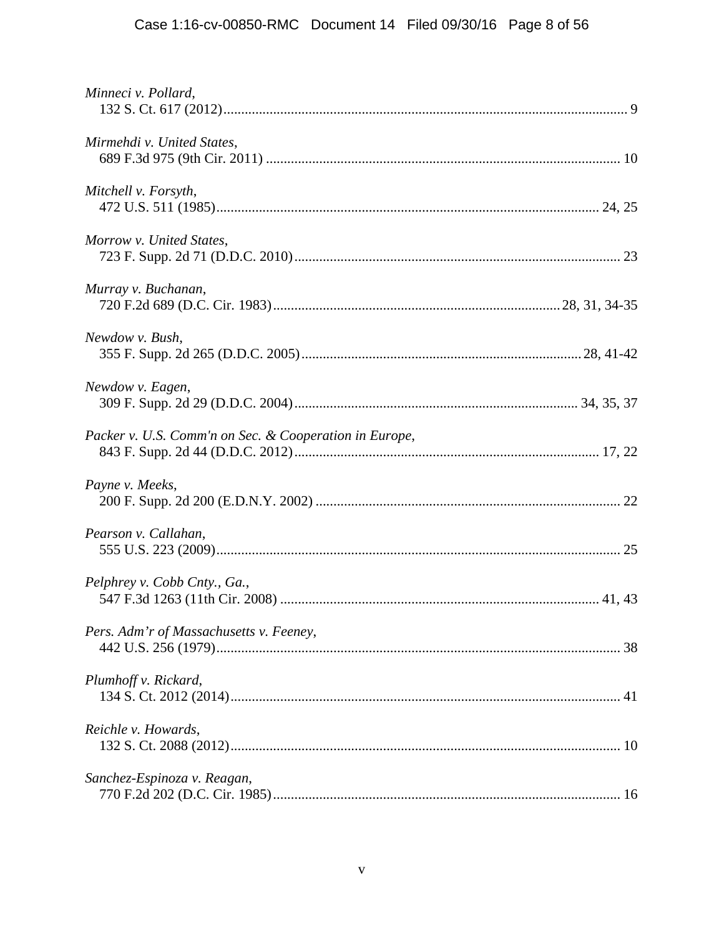| Minneci v. Pollard,                                    |  |
|--------------------------------------------------------|--|
| Mirmehdi v. United States,                             |  |
| Mitchell v. Forsyth,                                   |  |
| Morrow v. United States,                               |  |
| Murray v. Buchanan,                                    |  |
| Newdow v. Bush,                                        |  |
| Newdow v. Eagen,                                       |  |
| Packer v. U.S. Comm'n on Sec. & Cooperation in Europe, |  |
| Payne v. Meeks,                                        |  |
| Pearson v. Callahan,                                   |  |
| Pelphrey v. Cobb Cnty., Ga.,                           |  |
| Pers. Adm'r of Massachusetts v. Feeney,                |  |
| Plumhoff v. Rickard,                                   |  |
| Reichle v. Howards,                                    |  |
| Sanchez-Espinoza v. Reagan,                            |  |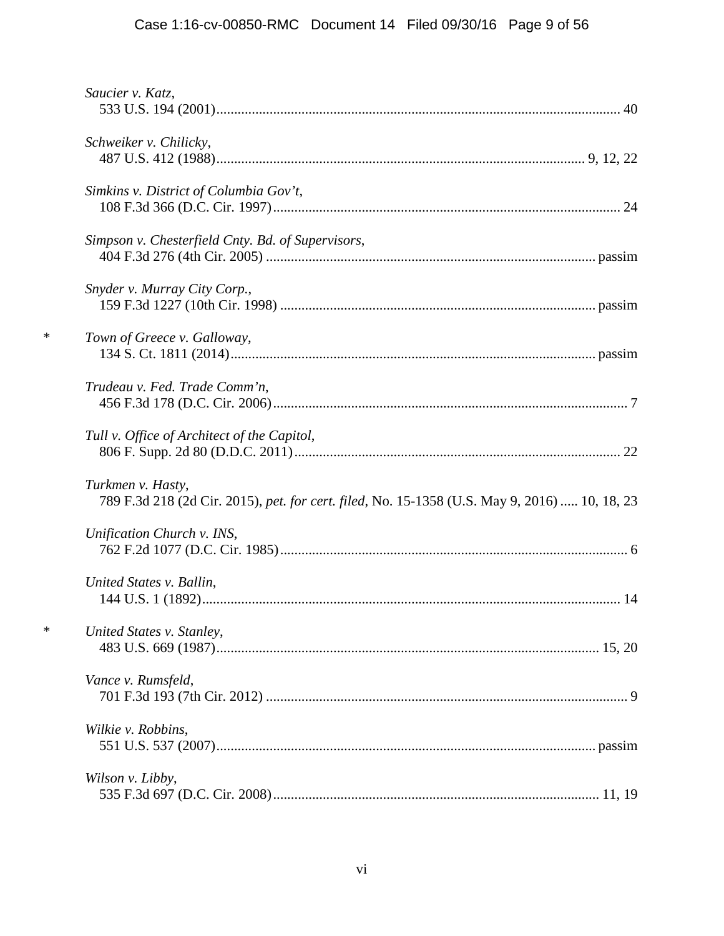# Case 1:16-cv-00850-RMC Document 14 Filed 09/30/16 Page 9 of 56

|        | Saucier v. Katz,                                                                                                   |
|--------|--------------------------------------------------------------------------------------------------------------------|
|        | Schweiker v. Chilicky,                                                                                             |
|        | Simkins v. District of Columbia Gov't,                                                                             |
|        | Simpson v. Chesterfield Cnty. Bd. of Supervisors,                                                                  |
|        | Snyder v. Murray City Corp.,                                                                                       |
| $\ast$ | Town of Greece v. Galloway,                                                                                        |
|        | Trudeau v. Fed. Trade Comm'n,                                                                                      |
|        | Tull v. Office of Architect of the Capitol,                                                                        |
|        | Turkmen v. Hasty,<br>789 F.3d 218 (2d Cir. 2015), pet. for cert. filed, No. 15-1358 (U.S. May 9, 2016)  10, 18, 23 |
|        | Unification Church v. INS,                                                                                         |
|        | United States v. Ballin,                                                                                           |
| $\ast$ | United States v. Stanley,                                                                                          |
|        | Vance v. Rumsfeld,                                                                                                 |
|        | Wilkie v. Robbins,                                                                                                 |
|        | Wilson v. Libby,                                                                                                   |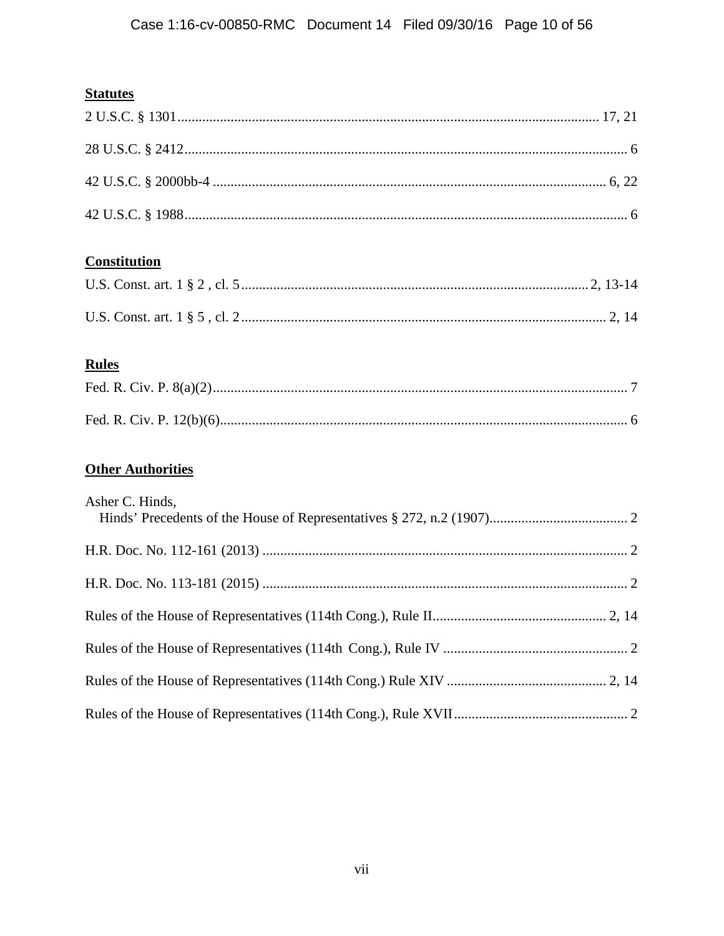# **Statutes**

# **Constitution**

# **Rules**

# **Other Authorities**

| Asher C. Hinds, |  |
|-----------------|--|
|                 |  |
|                 |  |
|                 |  |
|                 |  |
|                 |  |
|                 |  |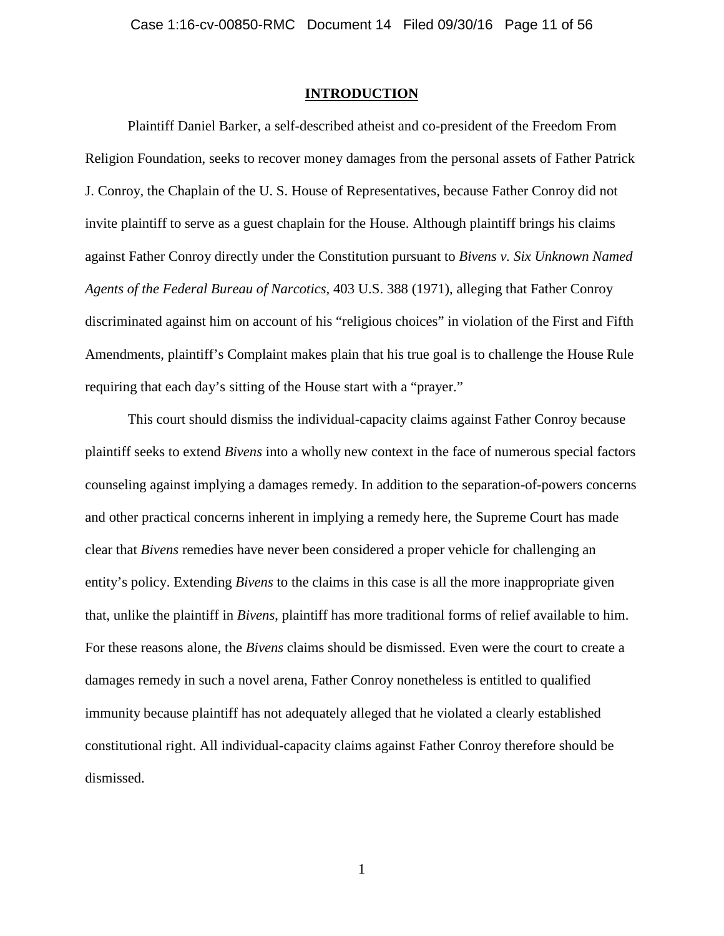### **INTRODUCTION**

Plaintiff Daniel Barker, a self-described atheist and co-president of the Freedom From Religion Foundation, seeks to recover money damages from the personal assets of Father Patrick J. Conroy, the Chaplain of the U. S. House of Representatives, because Father Conroy did not invite plaintiff to serve as a guest chaplain for the House. Although plaintiff brings his claims against Father Conroy directly under the Constitution pursuant to *Bivens v. Six Unknown Named Agents of the Federal Bureau of Narcotics*, 403 U.S. 388 (1971), alleging that Father Conroy discriminated against him on account of his "religious choices" in violation of the First and Fifth Amendments, plaintiff's Complaint makes plain that his true goal is to challenge the House Rule requiring that each day's sitting of the House start with a "prayer."

This court should dismiss the individual-capacity claims against Father Conroy because plaintiff seeks to extend *Bivens* into a wholly new context in the face of numerous special factors counseling against implying a damages remedy. In addition to the separation-of-powers concerns and other practical concerns inherent in implying a remedy here, the Supreme Court has made clear that *Bivens* remedies have never been considered a proper vehicle for challenging an entity's policy. Extending *Bivens* to the claims in this case is all the more inappropriate given that, unlike the plaintiff in *Bivens*, plaintiff has more traditional forms of relief available to him. For these reasons alone, the *Bivens* claims should be dismissed. Even were the court to create a damages remedy in such a novel arena, Father Conroy nonetheless is entitled to qualified immunity because plaintiff has not adequately alleged that he violated a clearly established constitutional right. All individual-capacity claims against Father Conroy therefore should be dismissed.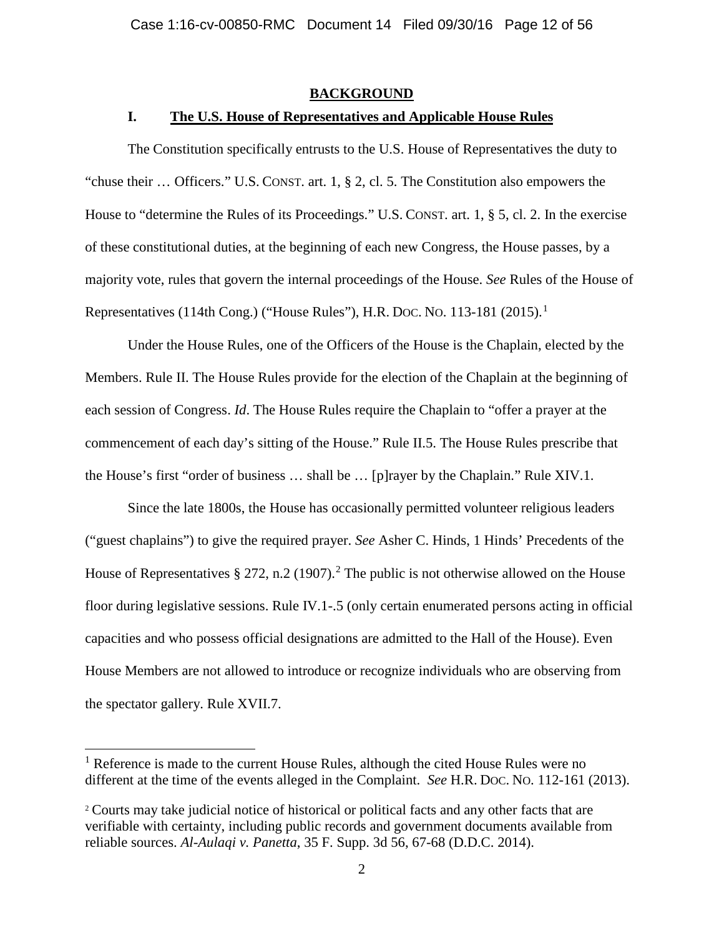## **BACKGROUND**

## **I. The U.S. House of Representatives and Applicable House Rules**

The Constitution specifically entrusts to the U.S. House of Representatives the duty to "chuse their … Officers." U.S. CONST. art. 1, § 2, cl. 5. The Constitution also empowers the House to "determine the Rules of its Proceedings." U.S. CONST. art. 1, § 5, cl. 2. In the exercise of these constitutional duties, at the beginning of each new Congress, the House passes, by a majority vote, rules that govern the internal proceedings of the House. *See* Rules of the House of Representatives (114th Cong.) ("House Rules"), H.R. Doc. No. 113-181 (2015).<sup>1</sup>

Under the House Rules, one of the Officers of the House is the Chaplain, elected by the Members. Rule II. The House Rules provide for the election of the Chaplain at the beginning of each session of Congress. *Id*. The House Rules require the Chaplain to "offer a prayer at the commencement of each day's sitting of the House." Rule II.5. The House Rules prescribe that the House's first "order of business … shall be … [p]rayer by the Chaplain." Rule XIV.1.

Since the late 1800s, the House has occasionally permitted volunteer religious leaders ("guest chaplains") to give the required prayer. *See* Asher C. Hinds, 1 Hinds' Precedents of the House of Representatives  $\S 272$ , n.2 (1907).<sup>2</sup> The public is not otherwise allowed on the House floor during legislative sessions. Rule IV.1-.5 (only certain enumerated persons acting in official capacities and who possess official designations are admitted to the Hall of the House). Even House Members are not allowed to introduce or recognize individuals who are observing from the spectator gallery. Rule XVII.7.

<sup>&</sup>lt;sup>1</sup> Reference is made to the current House Rules, although the cited House Rules were no different at the time of the events alleged in the Complaint. *See* H.R. DOC. NO. 112-161 (2013).

<sup>2</sup> Courts may take judicial notice of historical or political facts and any other facts that are verifiable with certainty, including public records and government documents available from reliable sources. *Al-Aulaqi v. Panetta*, 35 F. Supp. 3d 56, 67-68 (D.D.C. 2014).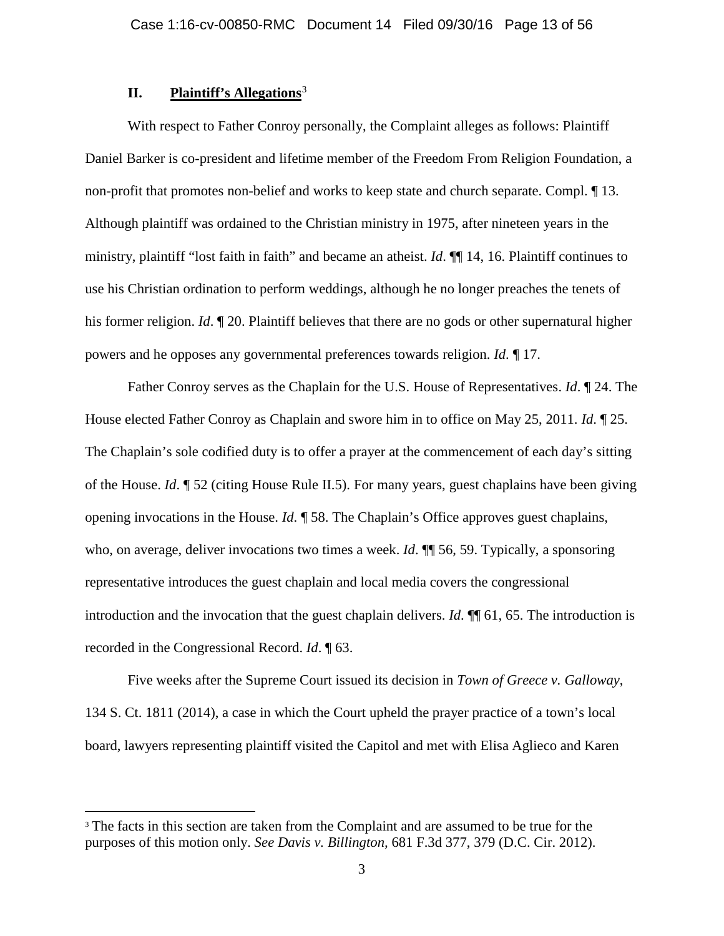## **II. Plaintiff's Allegations**<sup>3</sup>

With respect to Father Conroy personally, the Complaint alleges as follows: Plaintiff Daniel Barker is co-president and lifetime member of the Freedom From Religion Foundation, a non-profit that promotes non-belief and works to keep state and church separate. Compl. ¶ 13. Although plaintiff was ordained to the Christian ministry in 1975, after nineteen years in the ministry, plaintiff "lost faith in faith" and became an atheist. *Id*. ¶¶ 14, 16. Plaintiff continues to use his Christian ordination to perform weddings, although he no longer preaches the tenets of his former religion. *Id*. ¶ 20. Plaintiff believes that there are no gods or other supernatural higher powers and he opposes any governmental preferences towards religion. *Id*. ¶ 17.

Father Conroy serves as the Chaplain for the U.S. House of Representatives. *Id*. ¶ 24. The House elected Father Conroy as Chaplain and swore him in to office on May 25, 2011. *Id*. ¶ 25. The Chaplain's sole codified duty is to offer a prayer at the commencement of each day's sitting of the House. *Id*. ¶ 52 (citing House Rule II.5). For many years, guest chaplains have been giving opening invocations in the House. *Id*. ¶ 58. The Chaplain's Office approves guest chaplains, who, on average, deliver invocations two times a week. *Id*.  $\P$  56, 59. Typically, a sponsoring representative introduces the guest chaplain and local media covers the congressional introduction and the invocation that the guest chaplain delivers. *Id*. ¶¶ 61, 65. The introduction is recorded in the Congressional Record. *Id*. ¶ 63.

Five weeks after the Supreme Court issued its decision in *Town of Greece v. Galloway*, 134 S. Ct. 1811 (2014), a case in which the Court upheld the prayer practice of a town's local board, lawyers representing plaintiff visited the Capitol and met with Elisa Aglieco and Karen

<sup>&</sup>lt;sup>3</sup> The facts in this section are taken from the Complaint and are assumed to be true for the purposes of this motion only. *See Davis v. Billington,* 681 F.3d 377, 379 (D.C. Cir. 2012).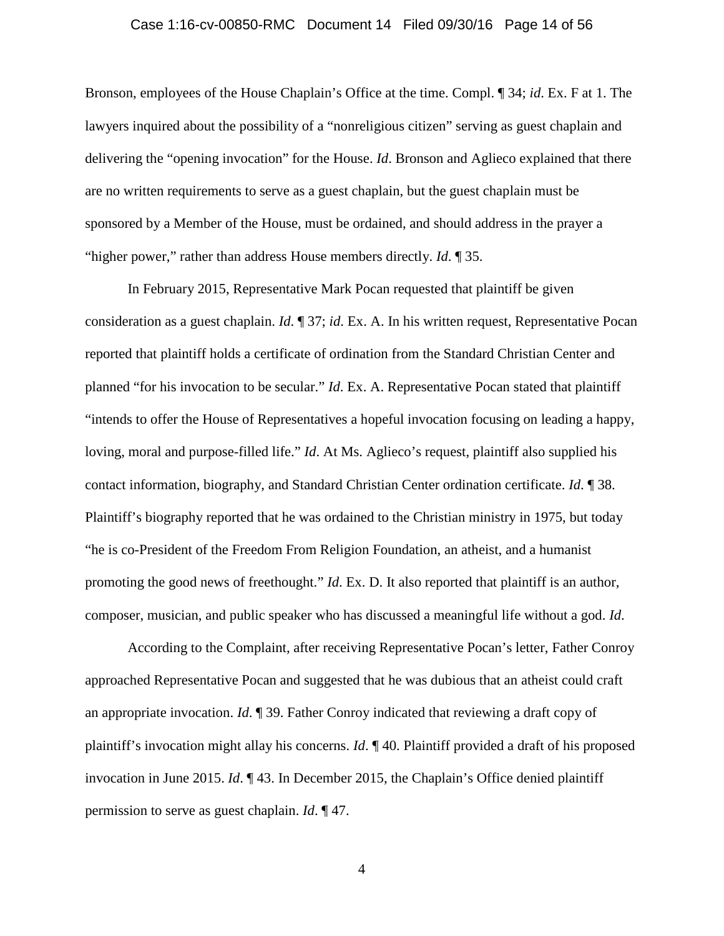#### Case 1:16-cv-00850-RMC Document 14 Filed 09/30/16 Page 14 of 56

Bronson, employees of the House Chaplain's Office at the time. Compl. ¶ 34; *id*. Ex. F at 1. The lawyers inquired about the possibility of a "nonreligious citizen" serving as guest chaplain and delivering the "opening invocation" for the House. *Id*. Bronson and Aglieco explained that there are no written requirements to serve as a guest chaplain, but the guest chaplain must be sponsored by a Member of the House, must be ordained, and should address in the prayer a "higher power," rather than address House members directly. *Id*. ¶ 35.

In February 2015, Representative Mark Pocan requested that plaintiff be given consideration as a guest chaplain. *Id*. ¶ 37; *id*. Ex. A. In his written request, Representative Pocan reported that plaintiff holds a certificate of ordination from the Standard Christian Center and planned "for his invocation to be secular." *Id*. Ex. A. Representative Pocan stated that plaintiff "intends to offer the House of Representatives a hopeful invocation focusing on leading a happy, loving, moral and purpose-filled life." *Id*. At Ms. Aglieco's request, plaintiff also supplied his contact information, biography, and Standard Christian Center ordination certificate. *Id*. ¶ 38. Plaintiff's biography reported that he was ordained to the Christian ministry in 1975, but today "he is co-President of the Freedom From Religion Foundation, an atheist, and a humanist promoting the good news of freethought." *Id*. Ex. D. It also reported that plaintiff is an author, composer, musician, and public speaker who has discussed a meaningful life without a god. *Id*.

According to the Complaint, after receiving Representative Pocan's letter, Father Conroy approached Representative Pocan and suggested that he was dubious that an atheist could craft an appropriate invocation. *Id*. ¶ 39. Father Conroy indicated that reviewing a draft copy of plaintiff's invocation might allay his concerns. *Id*. ¶ 40. Plaintiff provided a draft of his proposed invocation in June 2015. *Id*. ¶ 43. In December 2015, the Chaplain's Office denied plaintiff permission to serve as guest chaplain. *Id*. ¶ 47.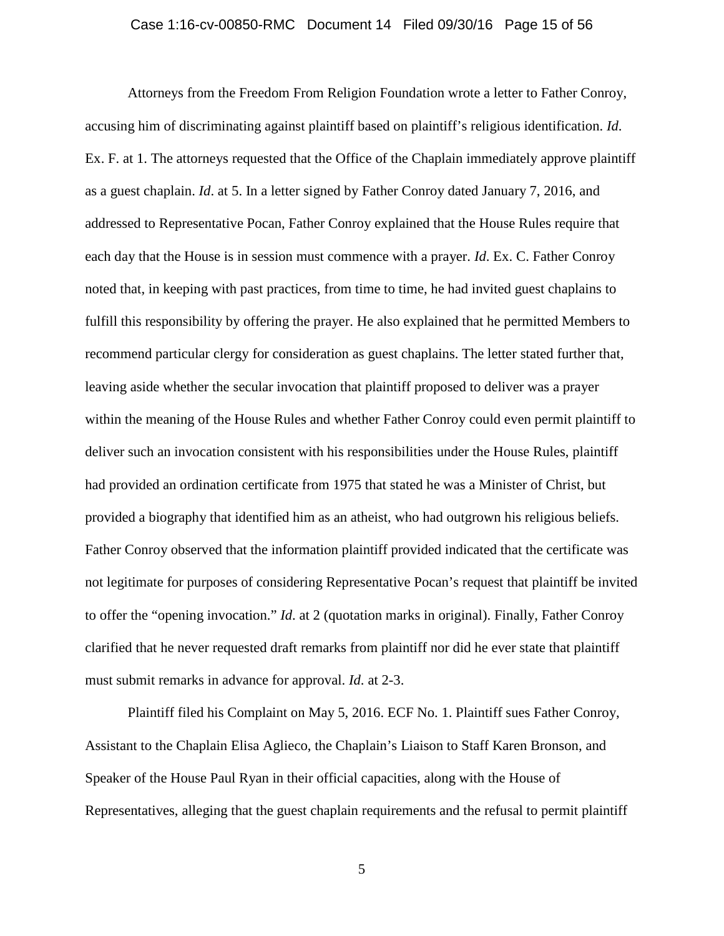#### Case 1:16-cv-00850-RMC Document 14 Filed 09/30/16 Page 15 of 56

Attorneys from the Freedom From Religion Foundation wrote a letter to Father Conroy, accusing him of discriminating against plaintiff based on plaintiff's religious identification. *Id*. Ex. F. at 1. The attorneys requested that the Office of the Chaplain immediately approve plaintiff as a guest chaplain. *Id*. at 5. In a letter signed by Father Conroy dated January 7, 2016, and addressed to Representative Pocan, Father Conroy explained that the House Rules require that each day that the House is in session must commence with a prayer. *Id*. Ex. C. Father Conroy noted that, in keeping with past practices, from time to time, he had invited guest chaplains to fulfill this responsibility by offering the prayer. He also explained that he permitted Members to recommend particular clergy for consideration as guest chaplains. The letter stated further that, leaving aside whether the secular invocation that plaintiff proposed to deliver was a prayer within the meaning of the House Rules and whether Father Conroy could even permit plaintiff to deliver such an invocation consistent with his responsibilities under the House Rules, plaintiff had provided an ordination certificate from 1975 that stated he was a Minister of Christ, but provided a biography that identified him as an atheist, who had outgrown his religious beliefs. Father Conroy observed that the information plaintiff provided indicated that the certificate was not legitimate for purposes of considering Representative Pocan's request that plaintiff be invited to offer the "opening invocation." *Id*. at 2 (quotation marks in original). Finally, Father Conroy clarified that he never requested draft remarks from plaintiff nor did he ever state that plaintiff must submit remarks in advance for approval. *Id*. at 2-3.

Plaintiff filed his Complaint on May 5, 2016. ECF No. 1. Plaintiff sues Father Conroy, Assistant to the Chaplain Elisa Aglieco, the Chaplain's Liaison to Staff Karen Bronson, and Speaker of the House Paul Ryan in their official capacities, along with the House of Representatives, alleging that the guest chaplain requirements and the refusal to permit plaintiff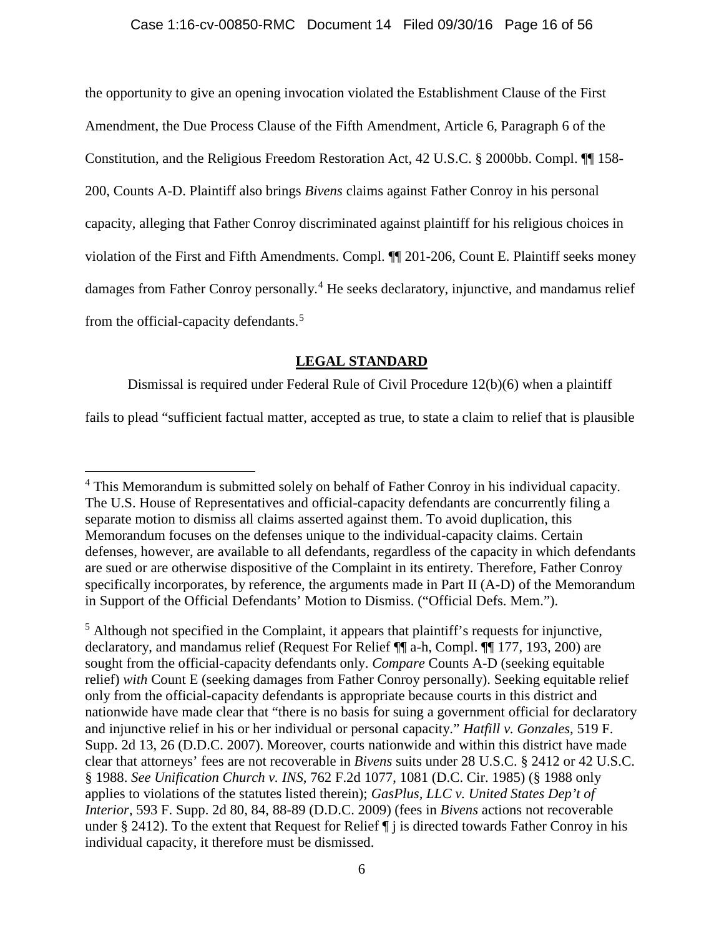## Case 1:16-cv-00850-RMC Document 14 Filed 09/30/16 Page 16 of 56

the opportunity to give an opening invocation violated the Establishment Clause of the First Amendment, the Due Process Clause of the Fifth Amendment, Article 6, Paragraph 6 of the Constitution, and the Religious Freedom Restoration Act, 42 U.S.C. § 2000bb. Compl. ¶¶ 158- 200, Counts A-D. Plaintiff also brings *Bivens* claims against Father Conroy in his personal capacity, alleging that Father Conroy discriminated against plaintiff for his religious choices in violation of the First and Fifth Amendments. Compl. ¶¶ 201-206, Count E. Plaintiff seeks money damages from Father Conroy personally.<sup>4</sup> He seeks declaratory, injunctive, and mandamus relief from the official-capacity defendants.<sup>5</sup>

## **LEGAL STANDARD**

Dismissal is required under Federal Rule of Civil Procedure 12(b)(6) when a plaintiff

fails to plead "sufficient factual matter, accepted as true, to state a claim to relief that is plausible

<sup>&</sup>lt;sup>4</sup> This Memorandum is submitted solely on behalf of Father Conroy in his individual capacity. The U.S. House of Representatives and official-capacity defendants are concurrently filing a separate motion to dismiss all claims asserted against them. To avoid duplication, this Memorandum focuses on the defenses unique to the individual-capacity claims. Certain defenses, however, are available to all defendants, regardless of the capacity in which defendants are sued or are otherwise dispositive of the Complaint in its entirety. Therefore, Father Conroy specifically incorporates, by reference, the arguments made in Part II (A-D) of the Memorandum in Support of the Official Defendants' Motion to Dismiss. ("Official Defs. Mem.").

 $<sup>5</sup>$  Although not specified in the Complaint, it appears that plaintiff's requests for injunctive,</sup> declaratory, and mandamus relief (Request For Relief ¶¶ a-h, Compl. ¶¶ 177, 193, 200) are sought from the official-capacity defendants only. *Compare* Counts A-D (seeking equitable relief) *with* Count E (seeking damages from Father Conroy personally). Seeking equitable relief only from the official-capacity defendants is appropriate because courts in this district and nationwide have made clear that "there is no basis for suing a government official for declaratory and injunctive relief in his or her individual or personal capacity." *Hatfill v. Gonzales*, 519 F. Supp. 2d 13, 26 (D.D.C. 2007). Moreover, courts nationwide and within this district have made clear that attorneys' fees are not recoverable in *Bivens* suits under 28 U.S.C. § 2412 or 42 U.S.C. § 1988. *See Unification Church v. INS*, 762 F.2d 1077, 1081 (D.C. Cir. 1985) (§ 1988 only applies to violations of the statutes listed therein); *GasPlus, LLC v. United States Dep't of Interior*, 593 F. Supp. 2d 80, 84, 88-89 (D.D.C. 2009) (fees in *Bivens* actions not recoverable under § 2412). To the extent that Request for Relief ¶ j is directed towards Father Conroy in his individual capacity, it therefore must be dismissed.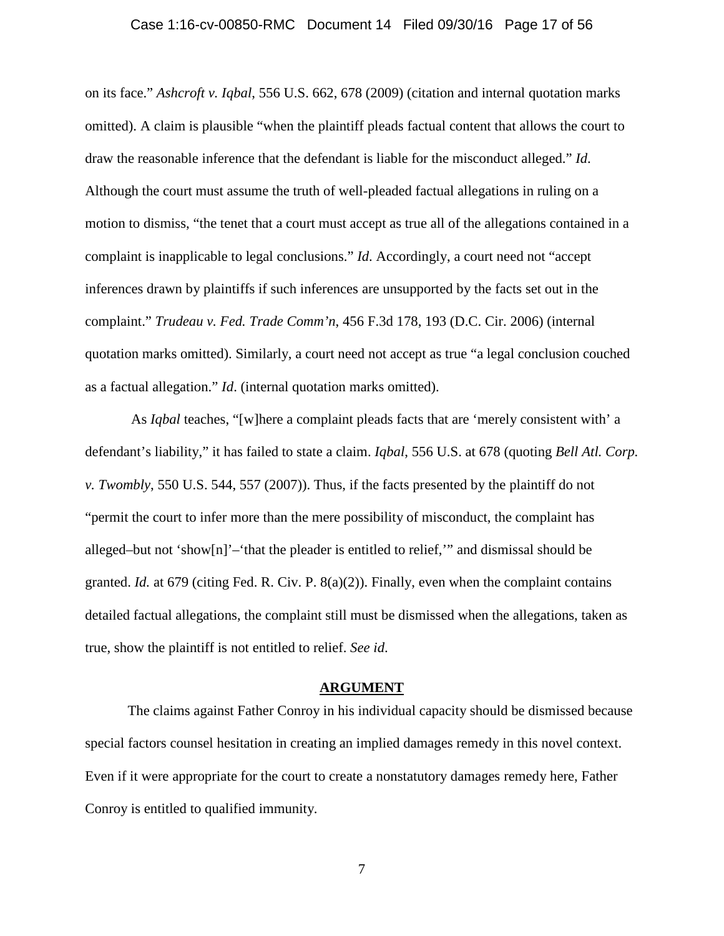#### Case 1:16-cv-00850-RMC Document 14 Filed 09/30/16 Page 17 of 56

on its face." *Ashcroft v. Iqbal*, 556 U.S. 662, 678 (2009) (citation and internal quotation marks omitted). A claim is plausible "when the plaintiff pleads factual content that allows the court to draw the reasonable inference that the defendant is liable for the misconduct alleged." *Id*. Although the court must assume the truth of well-pleaded factual allegations in ruling on a motion to dismiss, "the tenet that a court must accept as true all of the allegations contained in a complaint is inapplicable to legal conclusions." *Id*. Accordingly, a court need not "accept inferences drawn by plaintiffs if such inferences are unsupported by the facts set out in the complaint." *Trudeau v. Fed. Trade Comm'n*, 456 F.3d 178, 193 (D.C. Cir. 2006) (internal quotation marks omitted). Similarly, a court need not accept as true "a legal conclusion couched as a factual allegation." *Id*. (internal quotation marks omitted).

As *Iqbal* teaches, "[w]here a complaint pleads facts that are 'merely consistent with' a defendant's liability," it has failed to state a claim. *Iqbal*, 556 U.S. at 678 (quoting *Bell Atl. Corp. v. Twombly*, 550 U.S. 544, 557 (2007)). Thus, if the facts presented by the plaintiff do not "permit the court to infer more than the mere possibility of misconduct, the complaint has alleged–but not 'show[n]'–'that the pleader is entitled to relief,'" and dismissal should be granted. *Id.* at 679 (citing Fed. R. Civ. P. 8(a)(2)). Finally, even when the complaint contains detailed factual allegations, the complaint still must be dismissed when the allegations, taken as true, show the plaintiff is not entitled to relief. *See id*.

### **ARGUMENT**

The claims against Father Conroy in his individual capacity should be dismissed because special factors counsel hesitation in creating an implied damages remedy in this novel context. Even if it were appropriate for the court to create a nonstatutory damages remedy here, Father Conroy is entitled to qualified immunity.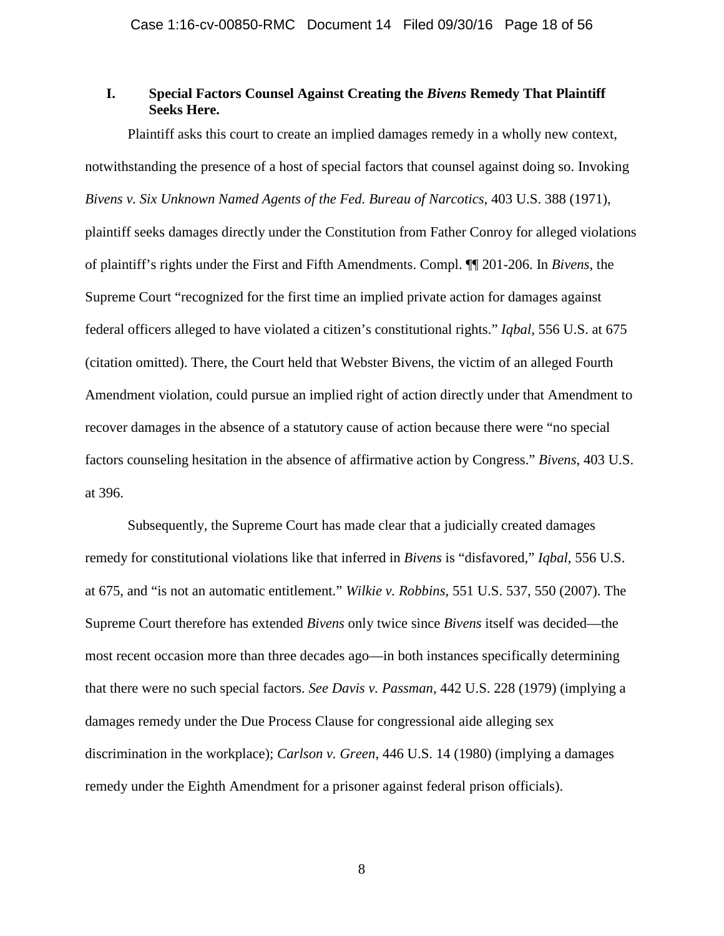## **I. Special Factors Counsel Against Creating the** *Bivens* **Remedy That Plaintiff Seeks Here.**

Plaintiff asks this court to create an implied damages remedy in a wholly new context, notwithstanding the presence of a host of special factors that counsel against doing so. Invoking *Bivens v. Six Unknown Named Agents of the Fed. Bureau of Narcotics*, 403 U.S. 388 (1971), plaintiff seeks damages directly under the Constitution from Father Conroy for alleged violations of plaintiff's rights under the First and Fifth Amendments. Compl. ¶¶ 201-206. In *Bivens*, the Supreme Court "recognized for the first time an implied private action for damages against federal officers alleged to have violated a citizen's constitutional rights." *Iqbal*, 556 U.S. at 675 (citation omitted). There, the Court held that Webster Bivens, the victim of an alleged Fourth Amendment violation, could pursue an implied right of action directly under that Amendment to recover damages in the absence of a statutory cause of action because there were "no special factors counseling hesitation in the absence of affirmative action by Congress." *Bivens*, 403 U.S. at 396.

Subsequently, the Supreme Court has made clear that a judicially created damages remedy for constitutional violations like that inferred in *Bivens* is "disfavored," *Iqbal*, 556 U.S. at 675, and "is not an automatic entitlement." *Wilkie v. Robbins*, 551 U.S. 537, 550 (2007). The Supreme Court therefore has extended *Bivens* only twice since *Bivens* itself was decided—the most recent occasion more than three decades ago—in both instances specifically determining that there were no such special factors. *See Davis v. Passman,* 442 U.S. 228 (1979) (implying a damages remedy under the Due Process Clause for congressional aide alleging sex discrimination in the workplace); *Carlson v. Green,* 446 U.S. 14 (1980) (implying a damages remedy under the Eighth Amendment for a prisoner against federal prison officials).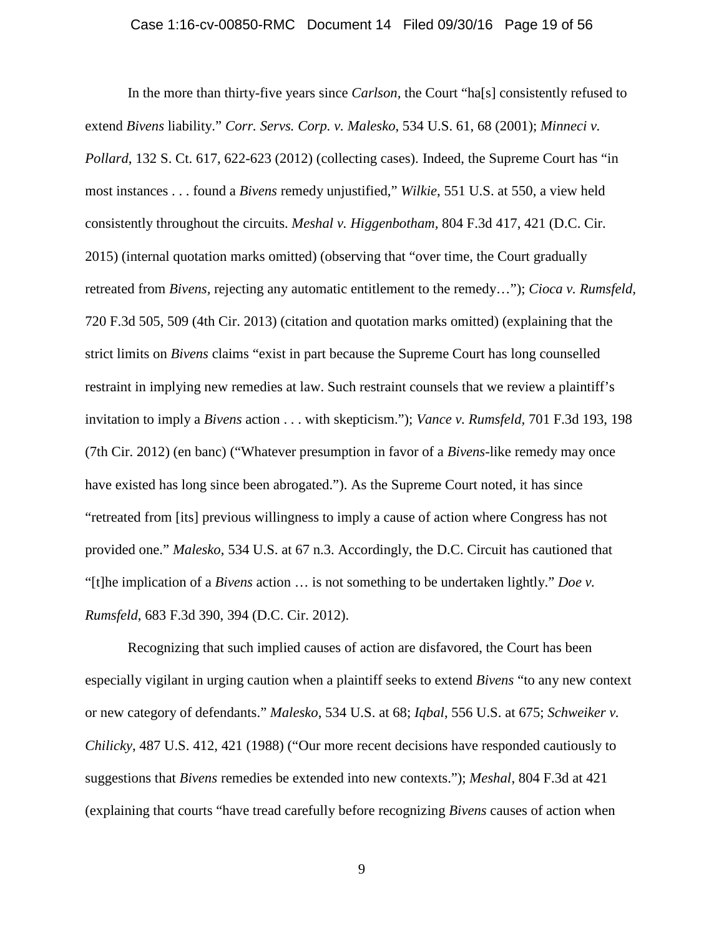#### Case 1:16-cv-00850-RMC Document 14 Filed 09/30/16 Page 19 of 56

In the more than thirty-five years since *Carlson,* the Court "ha[s] consistently refused to extend *Bivens* liability." *Corr. Servs. Corp. v. Malesko*, 534 U.S. 61, 68 (2001); *Minneci v. Pollard*, 132 S. Ct. 617, 622-623 (2012) (collecting cases). Indeed, the Supreme Court has "in most instances . . . found a *Bivens* remedy unjustified," *Wilkie*, 551 U.S. at 550, a view held consistently throughout the circuits. *Meshal v. Higgenbotham,* 804 F.3d 417, 421 (D.C. Cir. 2015) (internal quotation marks omitted) (observing that "over time, the Court gradually retreated from *Bivens,* rejecting any automatic entitlement to the remedy…"); *Cioca v. Rumsfeld,*  720 F.3d 505, 509 (4th Cir. 2013) (citation and quotation marks omitted) (explaining that the strict limits on *Bivens* claims "exist in part because the Supreme Court has long counselled restraint in implying new remedies at law. Such restraint counsels that we review a plaintiff's invitation to imply a *Bivens* action . . . with skepticism."); *Vance v. Rumsfeld,* 701 F.3d 193, 198 (7th Cir. 2012) (en banc) ("Whatever presumption in favor of a *Bivens*-like remedy may once have existed has long since been abrogated."). As the Supreme Court noted, it has since "retreated from [its] previous willingness to imply a cause of action where Congress has not provided one." *Malesko*, 534 U.S. at 67 n.3. Accordingly, the D.C. Circuit has cautioned that "[t]he implication of a *Bivens* action … is not something to be undertaken lightly." *Doe v. Rumsfeld*, 683 F.3d 390, 394 (D.C. Cir. 2012).

Recognizing that such implied causes of action are disfavored, the Court has been especially vigilant in urging caution when a plaintiff seeks to extend *Bivens* "to any new context or new category of defendants." *Malesko*, 534 U.S. at 68; *Iqbal*, 556 U.S. at 675; *Schweiker v. Chilicky*, 487 U.S. 412, 421 (1988) ("Our more recent decisions have responded cautiously to suggestions that *Bivens* remedies be extended into new contexts."); *Meshal*, 804 F.3d at 421 (explaining that courts "have tread carefully before recognizing *Bivens* causes of action when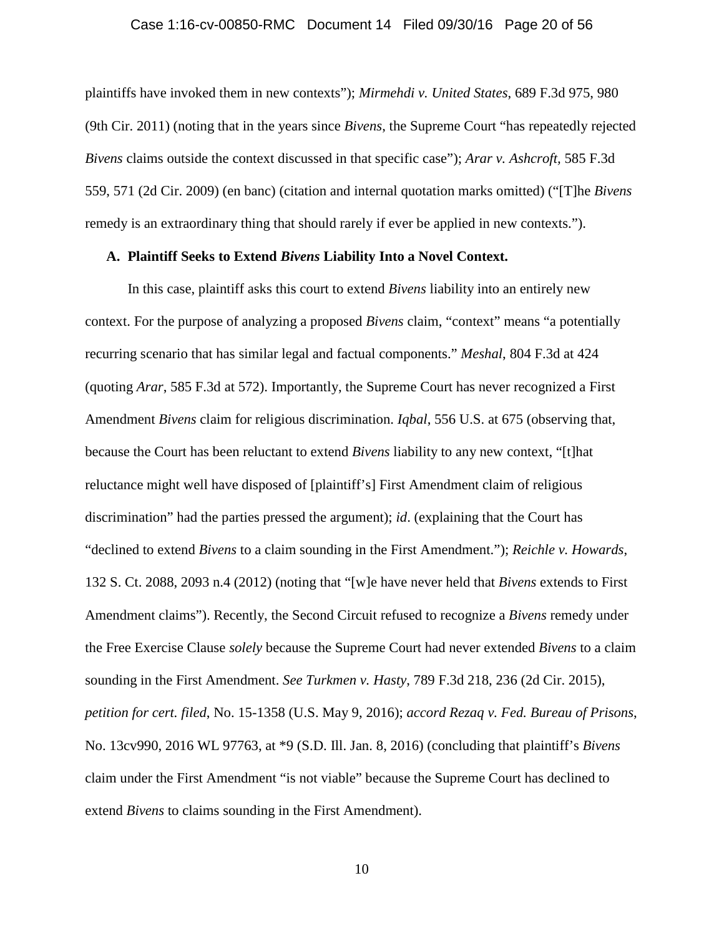#### Case 1:16-cv-00850-RMC Document 14 Filed 09/30/16 Page 20 of 56

plaintiffs have invoked them in new contexts"); *Mirmehdi v. United States*, 689 F.3d 975, 980 (9th Cir. 2011) (noting that in the years since *Bivens*, the Supreme Court "has repeatedly rejected *Bivens* claims outside the context discussed in that specific case"); *Arar v. Ashcroft,* 585 F.3d 559, 571 (2d Cir. 2009) (en banc) (citation and internal quotation marks omitted) ("[T]he *Bivens* remedy is an extraordinary thing that should rarely if ever be applied in new contexts.").

### **A. Plaintiff Seeks to Extend** *Bivens* **Liability Into a Novel Context.**

In this case, plaintiff asks this court to extend *Bivens* liability into an entirely new context. For the purpose of analyzing a proposed *Bivens* claim, "context" means "a potentially recurring scenario that has similar legal and factual components." *Meshal*, 804 F.3d at 424 (quoting *Arar*, 585 F.3d at 572). Importantly, the Supreme Court has never recognized a First Amendment *Bivens* claim for religious discrimination. *Iqbal*, 556 U.S. at 675 (observing that, because the Court has been reluctant to extend *Bivens* liability to any new context, "[t]hat reluctance might well have disposed of [plaintiff's] First Amendment claim of religious discrimination" had the parties pressed the argument); *id*. (explaining that the Court has "declined to extend *Bivens* to a claim sounding in the First Amendment."); *Reichle v. Howards*, 132 S. Ct. 2088, 2093 n.4 (2012) (noting that "[w]e have never held that *Bivens* extends to First Amendment claims"). Recently, the Second Circuit refused to recognize a *Bivens* remedy under the Free Exercise Clause *solely* because the Supreme Court had never extended *Bivens* to a claim sounding in the First Amendment. *See Turkmen v. Hasty*, 789 F.3d 218, 236 (2d Cir. 2015), *petition for cert. filed*, No. 15-1358 (U.S. May 9, 2016); *accord Rezaq v. Fed. Bureau of Prisons*, No. 13cv990, 2016 WL 97763, at \*9 (S.D. Ill. Jan. 8, 2016) (concluding that plaintiff's *Bivens* claim under the First Amendment "is not viable" because the Supreme Court has declined to extend *Bivens* to claims sounding in the First Amendment).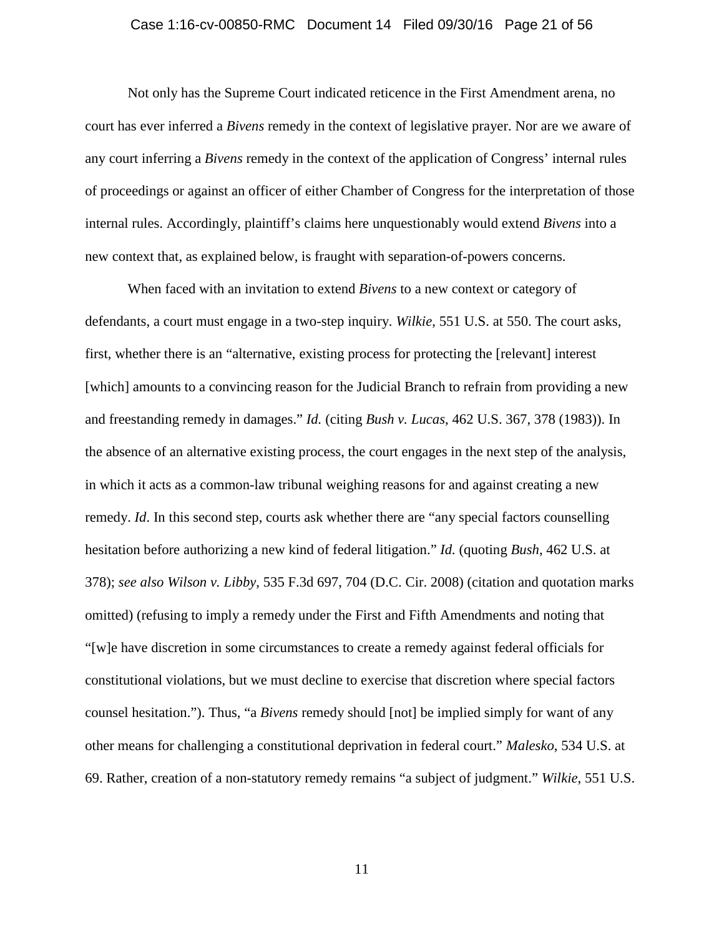#### Case 1:16-cv-00850-RMC Document 14 Filed 09/30/16 Page 21 of 56

Not only has the Supreme Court indicated reticence in the First Amendment arena, no court has ever inferred a *Bivens* remedy in the context of legislative prayer. Nor are we aware of any court inferring a *Bivens* remedy in the context of the application of Congress' internal rules of proceedings or against an officer of either Chamber of Congress for the interpretation of those internal rules. Accordingly, plaintiff's claims here unquestionably would extend *Bivens* into a new context that, as explained below, is fraught with separation-of-powers concerns.

When faced with an invitation to extend *Bivens* to a new context or category of defendants, a court must engage in a two-step inquiry. *Wilkie*, 551 U.S. at 550. The court asks, first, whether there is an "alternative, existing process for protecting the [relevant] interest [which] amounts to a convincing reason for the Judicial Branch to refrain from providing a new and freestanding remedy in damages." *Id.* (citing *Bush v. Lucas*, 462 U.S. 367, 378 (1983)). In the absence of an alternative existing process, the court engages in the next step of the analysis, in which it acts as a common-law tribunal weighing reasons for and against creating a new remedy. *Id*. In this second step, courts ask whether there are "any special factors counselling hesitation before authorizing a new kind of federal litigation." *Id.* (quoting *Bush*, 462 U.S. at 378); *see also Wilson v. Libby*, 535 F.3d 697, 704 (D.C. Cir. 2008) (citation and quotation marks omitted) (refusing to imply a remedy under the First and Fifth Amendments and noting that "[w]e have discretion in some circumstances to create a remedy against federal officials for constitutional violations, but we must decline to exercise that discretion where special factors counsel hesitation."). Thus, "a *Bivens* remedy should [not] be implied simply for want of any other means for challenging a constitutional deprivation in federal court." *Malesko*, 534 U.S. at 69. Rather, creation of a non-statutory remedy remains "a subject of judgment." *Wilkie*, 551 U.S.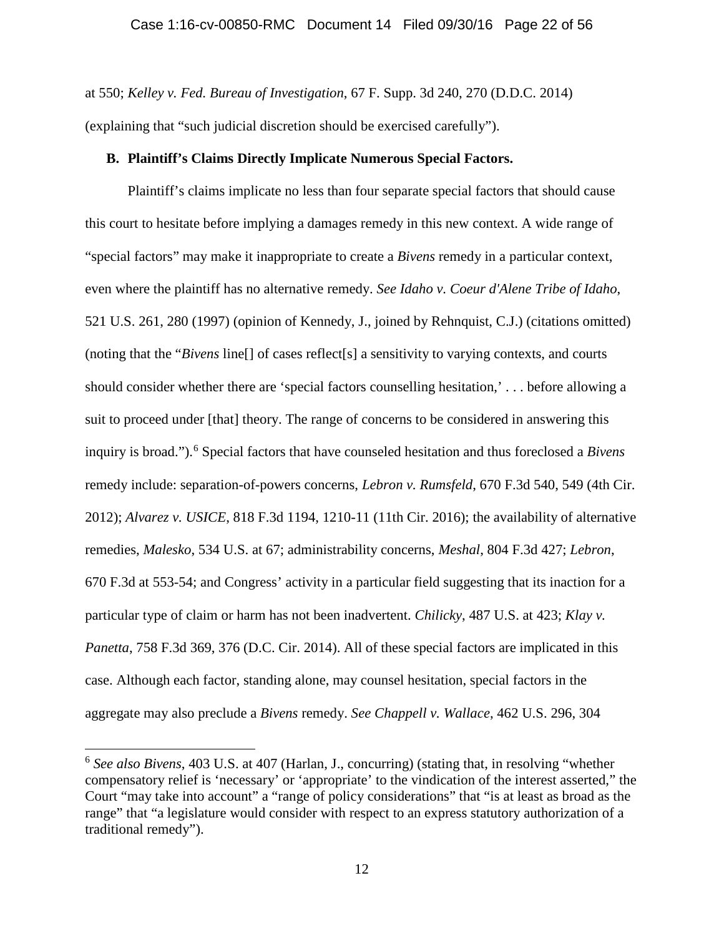at 550; *Kelley v. Fed. Bureau of Investigation*, 67 F. Supp. 3d 240, 270 (D.D.C. 2014) (explaining that "such judicial discretion should be exercised carefully").

### **B. Plaintiff's Claims Directly Implicate Numerous Special Factors.**

Plaintiff's claims implicate no less than four separate special factors that should cause this court to hesitate before implying a damages remedy in this new context. A wide range of "special factors" may make it inappropriate to create a *Bivens* remedy in a particular context, even where the plaintiff has no alternative remedy. *See Idaho v. Coeur d'Alene Tribe of Idaho*, 521 U.S. 261, 280 (1997) (opinion of Kennedy, J., joined by Rehnquist, C.J.) (citations omitted) (noting that the "*Bivens* line[] of cases reflect[s] a sensitivity to varying contexts, and courts should consider whether there are 'special factors counselling hesitation,' . . . before allowing a suit to proceed under [that] theory. The range of concerns to be considered in answering this inquiry is broad."). <sup>6</sup> Special factors that have counseled hesitation and thus foreclosed a *Bivens* remedy include: separation-of-powers concerns, *Lebron v. Rumsfeld*, 670 F.3d 540, 549 (4th Cir. 2012); *Alvarez v. USICE*, 818 F.3d 1194, 1210-11 (11th Cir. 2016); the availability of alternative remedies, *Malesko*, 534 U.S. at 67; administrability concerns, *Meshal*, 804 F.3d 427; *Lebron*, 670 F.3d at 553-54; and Congress' activity in a particular field suggesting that its inaction for a particular type of claim or harm has not been inadvertent. *Chilicky*, 487 U.S. at 423; *Klay v. Panetta*, 758 F.3d 369, 376 (D.C. Cir. 2014). All of these special factors are implicated in this case. Although each factor, standing alone, may counsel hesitation, special factors in the aggregate may also preclude a *Bivens* remedy. *See Chappell v. Wallace*, 462 U.S. 296, 304

 <sup>6</sup> *See also Bivens*, 403 U.S. at 407 (Harlan, J., concurring) (stating that, in resolving "whether compensatory relief is 'necessary' or 'appropriate' to the vindication of the interest asserted," the Court "may take into account" a "range of policy considerations" that "is at least as broad as the range" that "a legislature would consider with respect to an express statutory authorization of a traditional remedy").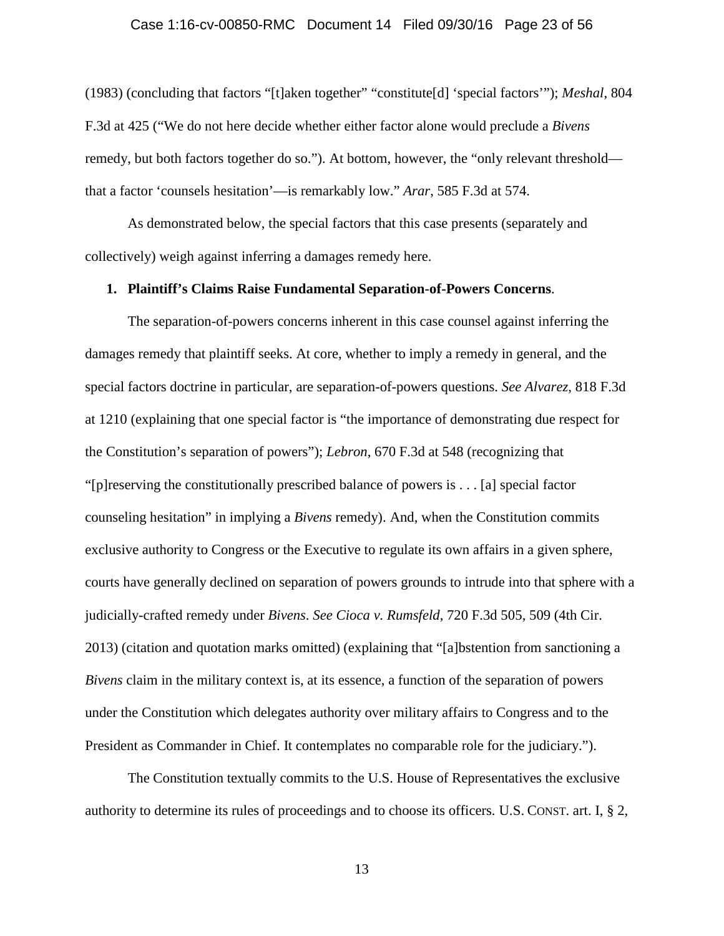#### Case 1:16-cv-00850-RMC Document 14 Filed 09/30/16 Page 23 of 56

(1983) (concluding that factors "[t]aken together" "constitute[d] 'special factors'"); *Meshal*, 804 F.3d at 425 ("We do not here decide whether either factor alone would preclude a *Bivens* remedy, but both factors together do so."). At bottom, however, the "only relevant threshold that a factor 'counsels hesitation'—is remarkably low." *Arar*, 585 F.3d at 574.

As demonstrated below, the special factors that this case presents (separately and collectively) weigh against inferring a damages remedy here.

#### **1. Plaintiff's Claims Raise Fundamental Separation-of-Powers Concerns**.

The separation-of-powers concerns inherent in this case counsel against inferring the damages remedy that plaintiff seeks. At core, whether to imply a remedy in general, and the special factors doctrine in particular, are separation-of-powers questions. *See Alvarez*, 818 F.3d at 1210 (explaining that one special factor is "the importance of demonstrating due respect for the Constitution's separation of powers"); *Lebron*, 670 F.3d at 548 (recognizing that "[p]reserving the constitutionally prescribed balance of powers is . . . [a] special factor counseling hesitation" in implying a *Bivens* remedy). And, when the Constitution commits exclusive authority to Congress or the Executive to regulate its own affairs in a given sphere, courts have generally declined on separation of powers grounds to intrude into that sphere with a judicially-crafted remedy under *Bivens*. *See Cioca v. Rumsfeld*, 720 F.3d 505, 509 (4th Cir. 2013) (citation and quotation marks omitted) (explaining that "[a]bstention from sanctioning a *Bivens* claim in the military context is, at its essence, a function of the separation of powers under the Constitution which delegates authority over military affairs to Congress and to the President as Commander in Chief. It contemplates no comparable role for the judiciary.").

The Constitution textually commits to the U.S. House of Representatives the exclusive authority to determine its rules of proceedings and to choose its officers. U.S. CONST. art. I, § 2,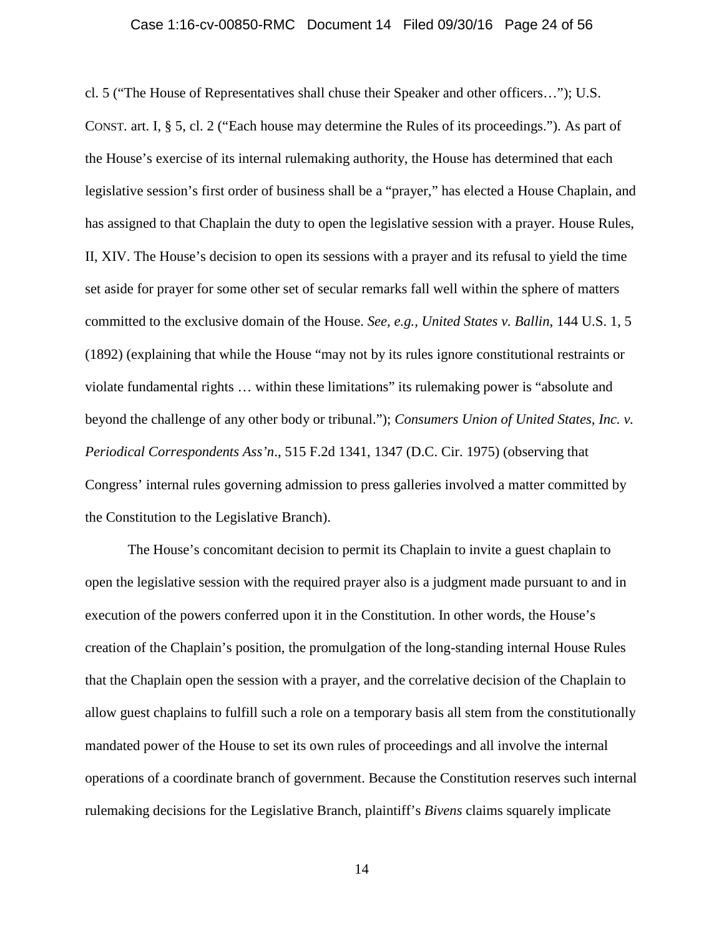#### Case 1:16-cv-00850-RMC Document 14 Filed 09/30/16 Page 24 of 56

cl. 5 ("The House of Representatives shall chuse their Speaker and other officers…"); U.S. CONST. art. I, § 5, cl. 2 ("Each house may determine the Rules of its proceedings."). As part of the House's exercise of its internal rulemaking authority, the House has determined that each legislative session's first order of business shall be a "prayer," has elected a House Chaplain, and has assigned to that Chaplain the duty to open the legislative session with a prayer. House Rules, II, XIV. The House's decision to open its sessions with a prayer and its refusal to yield the time set aside for prayer for some other set of secular remarks fall well within the sphere of matters committed to the exclusive domain of the House. *See, e.g., United States v. Ballin*, 144 U.S. 1, 5 (1892) (explaining that while the House "may not by its rules ignore constitutional restraints or violate fundamental rights … within these limitations" its rulemaking power is "absolute and beyond the challenge of any other body or tribunal."); *Consumers Union of United States, Inc. v. Periodical Correspondents Ass'n*., 515 F.2d 1341, 1347 (D.C. Cir. 1975) (observing that Congress' internal rules governing admission to press galleries involved a matter committed by the Constitution to the Legislative Branch).

The House's concomitant decision to permit its Chaplain to invite a guest chaplain to open the legislative session with the required prayer also is a judgment made pursuant to and in execution of the powers conferred upon it in the Constitution. In other words, the House's creation of the Chaplain's position, the promulgation of the long-standing internal House Rules that the Chaplain open the session with a prayer, and the correlative decision of the Chaplain to allow guest chaplains to fulfill such a role on a temporary basis all stem from the constitutionally mandated power of the House to set its own rules of proceedings and all involve the internal operations of a coordinate branch of government. Because the Constitution reserves such internal rulemaking decisions for the Legislative Branch, plaintiff's *Bivens* claims squarely implicate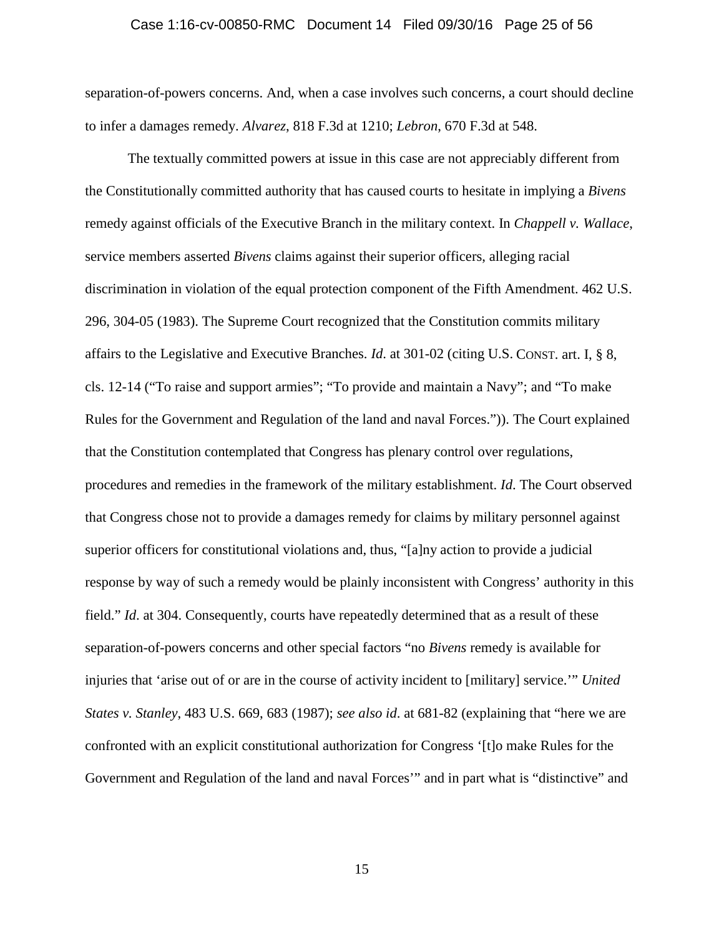#### Case 1:16-cv-00850-RMC Document 14 Filed 09/30/16 Page 25 of 56

separation-of-powers concerns. And, when a case involves such concerns, a court should decline to infer a damages remedy. *Alvarez*, 818 F.3d at 1210; *Lebron*, 670 F.3d at 548.

The textually committed powers at issue in this case are not appreciably different from the Constitutionally committed authority that has caused courts to hesitate in implying a *Bivens* remedy against officials of the Executive Branch in the military context. In *Chappell v. Wallace*, service members asserted *Bivens* claims against their superior officers, alleging racial discrimination in violation of the equal protection component of the Fifth Amendment. 462 U.S. 296, 304-05 (1983). The Supreme Court recognized that the Constitution commits military affairs to the Legislative and Executive Branches. *Id*. at 301-02 (citing U.S. CONST. art. I, § 8, cls. 12-14 ("To raise and support armies"; "To provide and maintain a Navy"; and "To make Rules for the Government and Regulation of the land and naval Forces.")). The Court explained that the Constitution contemplated that Congress has plenary control over regulations, procedures and remedies in the framework of the military establishment. *Id*. The Court observed that Congress chose not to provide a damages remedy for claims by military personnel against superior officers for constitutional violations and, thus, "[a]ny action to provide a judicial response by way of such a remedy would be plainly inconsistent with Congress' authority in this field." *Id*. at 304. Consequently, courts have repeatedly determined that as a result of these separation-of-powers concerns and other special factors "no *Bivens* remedy is available for injuries that 'arise out of or are in the course of activity incident to [military] service.'" *United States v. Stanley*, 483 U.S. 669, 683 (1987); *see also id*. at 681-82 (explaining that "here we are confronted with an explicit constitutional authorization for Congress '[t]o make Rules for the Government and Regulation of the land and naval Forces'" and in part what is "distinctive" and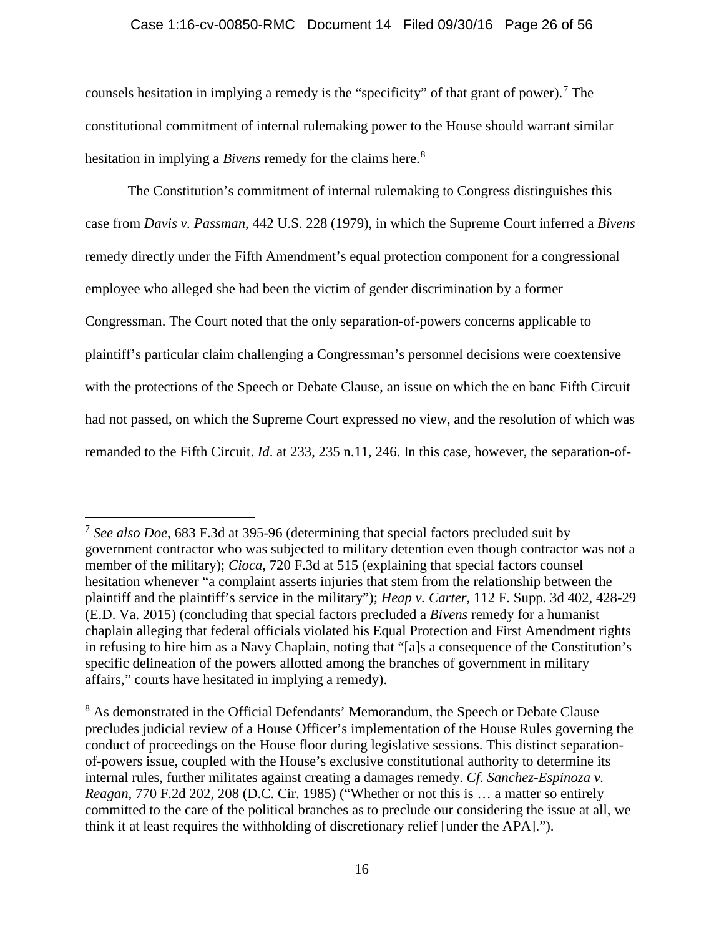### Case 1:16-cv-00850-RMC Document 14 Filed 09/30/16 Page 26 of 56

counsels hesitation in implying a remedy is the "specificity" of that grant of power).<sup>7</sup> The constitutional commitment of internal rulemaking power to the House should warrant similar hesitation in implying a *Bivens* remedy for the claims here. 8

The Constitution's commitment of internal rulemaking to Congress distinguishes this case from *Davis v. Passman*, 442 U.S. 228 (1979), in which the Supreme Court inferred a *Bivens* remedy directly under the Fifth Amendment's equal protection component for a congressional employee who alleged she had been the victim of gender discrimination by a former Congressman. The Court noted that the only separation-of-powers concerns applicable to plaintiff's particular claim challenging a Congressman's personnel decisions were coextensive with the protections of the Speech or Debate Clause, an issue on which the en banc Fifth Circuit had not passed, on which the Supreme Court expressed no view, and the resolution of which was remanded to the Fifth Circuit. *Id*. at 233, 235 n.11, 246. In this case, however, the separation-of-

 <sup>7</sup> *See also Doe*, 683 F.3d at 395-96 (determining that special factors precluded suit by government contractor who was subjected to military detention even though contractor was not a member of the military); *Cioca*, 720 F.3d at 515 (explaining that special factors counsel hesitation whenever "a complaint asserts injuries that stem from the relationship between the plaintiff and the plaintiff's service in the military"); *Heap v. Carter*, 112 F. Supp. 3d 402, 428-29 (E.D. Va. 2015) (concluding that special factors precluded a *Bivens* remedy for a humanist chaplain alleging that federal officials violated his Equal Protection and First Amendment rights in refusing to hire him as a Navy Chaplain, noting that "[a]s a consequence of the Constitution's specific delineation of the powers allotted among the branches of government in military affairs," courts have hesitated in implying a remedy).

<sup>&</sup>lt;sup>8</sup> As demonstrated in the Official Defendants' Memorandum, the Speech or Debate Clause precludes judicial review of a House Officer's implementation of the House Rules governing the conduct of proceedings on the House floor during legislative sessions. This distinct separationof-powers issue, coupled with the House's exclusive constitutional authority to determine its internal rules, further militates against creating a damages remedy. *Cf. Sanchez-Espinoza v. Reagan*, 770 F.2d 202, 208 (D.C. Cir. 1985) ("Whether or not this is … a matter so entirely committed to the care of the political branches as to preclude our considering the issue at all, we think it at least requires the withholding of discretionary relief [under the APA].").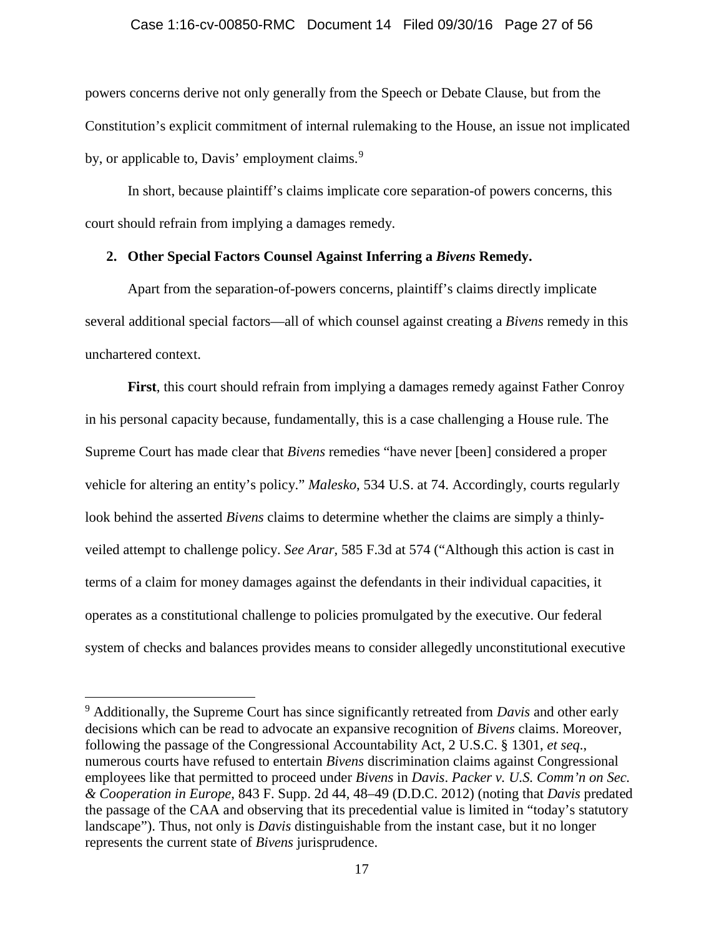#### Case 1:16-cv-00850-RMC Document 14 Filed 09/30/16 Page 27 of 56

powers concerns derive not only generally from the Speech or Debate Clause, but from the Constitution's explicit commitment of internal rulemaking to the House, an issue not implicated by, or applicable to, Davis' employment claims.<sup>9</sup>

In short, because plaintiff's claims implicate core separation-of powers concerns, this court should refrain from implying a damages remedy.

### **2. Other Special Factors Counsel Against Inferring a** *Bivens* **Remedy.**

Apart from the separation-of-powers concerns, plaintiff's claims directly implicate several additional special factors—all of which counsel against creating a *Bivens* remedy in this unchartered context.

**First**, this court should refrain from implying a damages remedy against Father Conroy in his personal capacity because, fundamentally, this is a case challenging a House rule. The Supreme Court has made clear that *Bivens* remedies "have never [been] considered a proper vehicle for altering an entity's policy." *Malesko*, 534 U.S. at 74. Accordingly, courts regularly look behind the asserted *Bivens* claims to determine whether the claims are simply a thinlyveiled attempt to challenge policy. *See Arar,* 585 F.3d at 574 ("Although this action is cast in terms of a claim for money damages against the defendants in their individual capacities, it operates as a constitutional challenge to policies promulgated by the executive. Our federal system of checks and balances provides means to consider allegedly unconstitutional executive

 <sup>9</sup> Additionally, the Supreme Court has since significantly retreated from *Davis* and other early decisions which can be read to advocate an expansive recognition of *Bivens* claims. Moreover, following the passage of the Congressional Accountability Act, 2 U.S.C. § 1301, *et seq*., numerous courts have refused to entertain *Bivens* discrimination claims against Congressional employees like that permitted to proceed under *Bivens* in *Davis*. *Packer v. U.S. Comm'n on Sec. & Cooperation in Europe*, 843 F. Supp. 2d 44, 48–49 (D.D.C. 2012) (noting that *Davis* predated the passage of the CAA and observing that its precedential value is limited in "today's statutory landscape"). Thus, not only is *Davis* distinguishable from the instant case, but it no longer represents the current state of *Bivens* jurisprudence.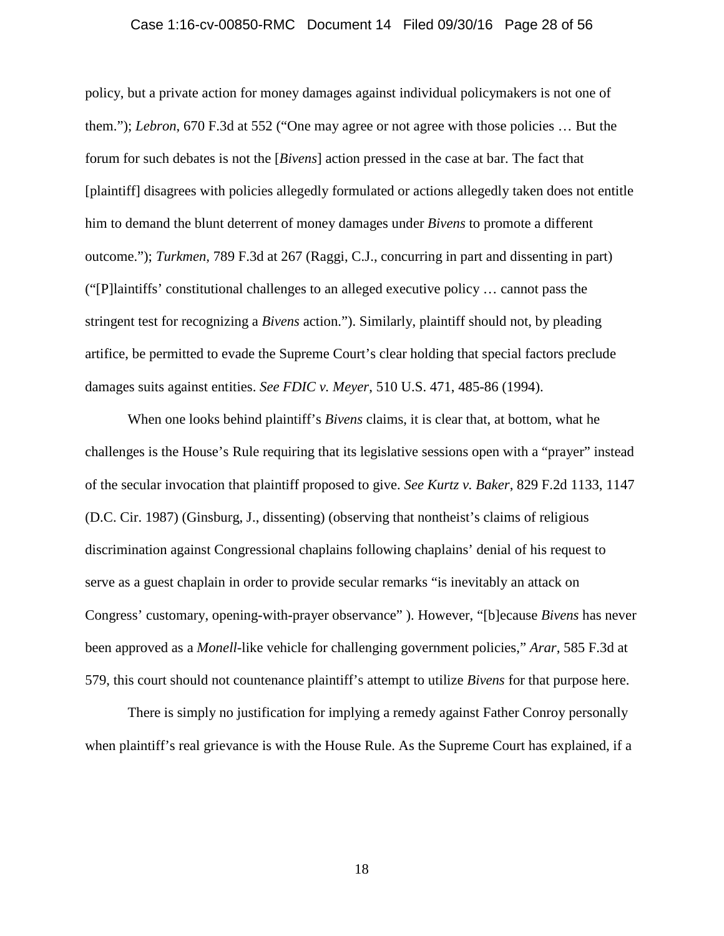#### Case 1:16-cv-00850-RMC Document 14 Filed 09/30/16 Page 28 of 56

policy, but a private action for money damages against individual policymakers is not one of them."); *Lebron*, 670 F.3d at 552 ("One may agree or not agree with those policies … But the forum for such debates is not the [*Bivens*] action pressed in the case at bar. The fact that [plaintiff] disagrees with policies allegedly formulated or actions allegedly taken does not entitle him to demand the blunt deterrent of money damages under *Bivens* to promote a different outcome."); *Turkmen,* 789 F.3d at 267 (Raggi, C.J., concurring in part and dissenting in part) ("[P]laintiffs' constitutional challenges to an alleged executive policy … cannot pass the stringent test for recognizing a *Bivens* action."). Similarly, plaintiff should not, by pleading artifice, be permitted to evade the Supreme Court's clear holding that special factors preclude damages suits against entities. *See FDIC v. Meyer*, 510 U.S. 471, 485-86 (1994).

When one looks behind plaintiff's *Bivens* claims, it is clear that, at bottom, what he challenges is the House's Rule requiring that its legislative sessions open with a "prayer" instead of the secular invocation that plaintiff proposed to give. *See Kurtz v. Baker*, 829 F.2d 1133, 1147 (D.C. Cir. 1987) (Ginsburg, J., dissenting) (observing that nontheist's claims of religious discrimination against Congressional chaplains following chaplains' denial of his request to serve as a guest chaplain in order to provide secular remarks "is inevitably an attack on Congress' customary, opening-with-prayer observance" ). However, "[b]ecause *Bivens* has never been approved as a *Monell*-like vehicle for challenging government policies," *Arar*, 585 F.3d at 579, this court should not countenance plaintiff's attempt to utilize *Bivens* for that purpose here.

There is simply no justification for implying a remedy against Father Conroy personally when plaintiff's real grievance is with the House Rule. As the Supreme Court has explained, if a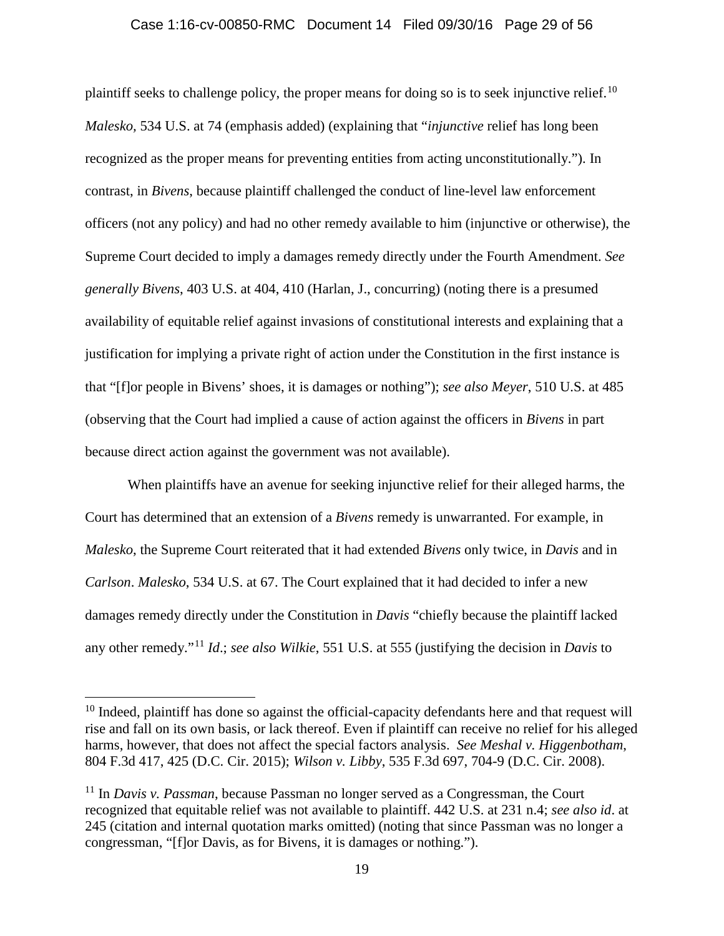#### Case 1:16-cv-00850-RMC Document 14 Filed 09/30/16 Page 29 of 56

plaintiff seeks to challenge policy, the proper means for doing so is to seek injunctive relief.<sup>10</sup> *Malesko,* 534 U.S. at 74 (emphasis added) (explaining that "*injunctive* relief has long been recognized as the proper means for preventing entities from acting unconstitutionally."). In contrast, in *Bivens*, because plaintiff challenged the conduct of line-level law enforcement officers (not any policy) and had no other remedy available to him (injunctive or otherwise), the Supreme Court decided to imply a damages remedy directly under the Fourth Amendment. *See generally Bivens*, 403 U.S. at 404, 410 (Harlan, J., concurring) (noting there is a presumed availability of equitable relief against invasions of constitutional interests and explaining that a justification for implying a private right of action under the Constitution in the first instance is that "[f]or people in Bivens' shoes, it is damages or nothing"); *see also Meyer*, 510 U.S. at 485 (observing that the Court had implied a cause of action against the officers in *Bivens* in part because direct action against the government was not available).

When plaintiffs have an avenue for seeking injunctive relief for their alleged harms, the Court has determined that an extension of a *Bivens* remedy is unwarranted. For example, in *Malesko*, the Supreme Court reiterated that it had extended *Bivens* only twice, in *Davis* and in *Carlson*. *Malesko*, 534 U.S. at 67. The Court explained that it had decided to infer a new damages remedy directly under the Constitution in *Davis* "chiefly because the plaintiff lacked any other remedy."<sup>11</sup> *Id*.; *see also Wilkie*, 551 U.S. at 555 (justifying the decision in *Davis* to

 $10$  Indeed, plaintiff has done so against the official-capacity defendants here and that request will rise and fall on its own basis, or lack thereof. Even if plaintiff can receive no relief for his alleged harms, however, that does not affect the special factors analysis. *See Meshal v. Higgenbotham*, 804 F.3d 417, 425 (D.C. Cir. 2015); *Wilson v. Libby*, 535 F.3d 697, 704-9 (D.C. Cir. 2008).

<sup>&</sup>lt;sup>11</sup> In *Davis v. Passman*, because Passman no longer served as a Congressman, the Court recognized that equitable relief was not available to plaintiff. 442 U.S. at 231 n.4; *see also id*. at 245 (citation and internal quotation marks omitted) (noting that since Passman was no longer a congressman, "[f]or Davis, as for Bivens, it is damages or nothing.").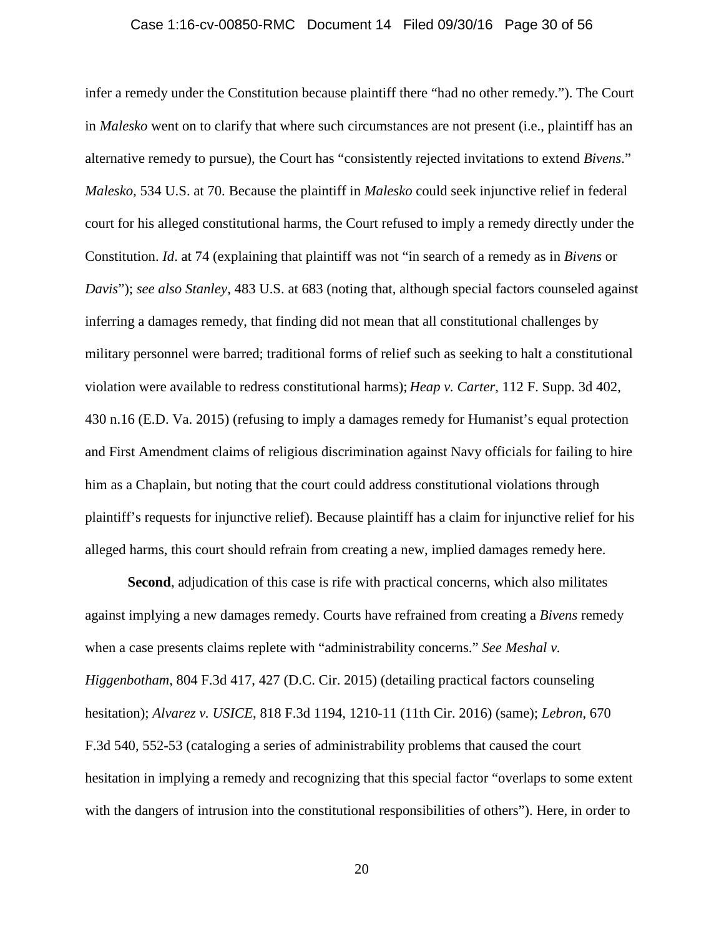#### Case 1:16-cv-00850-RMC Document 14 Filed 09/30/16 Page 30 of 56

infer a remedy under the Constitution because plaintiff there "had no other remedy."). The Court in *Malesko* went on to clarify that where such circumstances are not present (i.e., plaintiff has an alternative remedy to pursue), the Court has "consistently rejected invitations to extend *Bivens*." *Malesko,* 534 U.S. at 70. Because the plaintiff in *Malesko* could seek injunctive relief in federal court for his alleged constitutional harms, the Court refused to imply a remedy directly under the Constitution. *Id*. at 74 (explaining that plaintiff was not "in search of a remedy as in *Bivens* or *Davis*"); *see also Stanley*, 483 U.S. at 683 (noting that, although special factors counseled against inferring a damages remedy, that finding did not mean that all constitutional challenges by military personnel were barred; traditional forms of relief such as seeking to halt a constitutional violation were available to redress constitutional harms); *Heap v. Carter*, 112 F. Supp. 3d 402, 430 n.16 (E.D. Va. 2015) (refusing to imply a damages remedy for Humanist's equal protection and First Amendment claims of religious discrimination against Navy officials for failing to hire him as a Chaplain, but noting that the court could address constitutional violations through plaintiff's requests for injunctive relief). Because plaintiff has a claim for injunctive relief for his alleged harms, this court should refrain from creating a new, implied damages remedy here.

**Second**, adjudication of this case is rife with practical concerns, which also militates against implying a new damages remedy. Courts have refrained from creating a *Bivens* remedy when a case presents claims replete with "administrability concerns." *See Meshal v. Higgenbotham*, 804 F.3d 417, 427 (D.C. Cir. 2015) (detailing practical factors counseling hesitation); *Alvarez v. USICE*, 818 F.3d 1194, 1210-11 (11th Cir. 2016) (same); *Lebron*, 670 F.3d 540, 552-53 (cataloging a series of administrability problems that caused the court hesitation in implying a remedy and recognizing that this special factor "overlaps to some extent with the dangers of intrusion into the constitutional responsibilities of others"). Here, in order to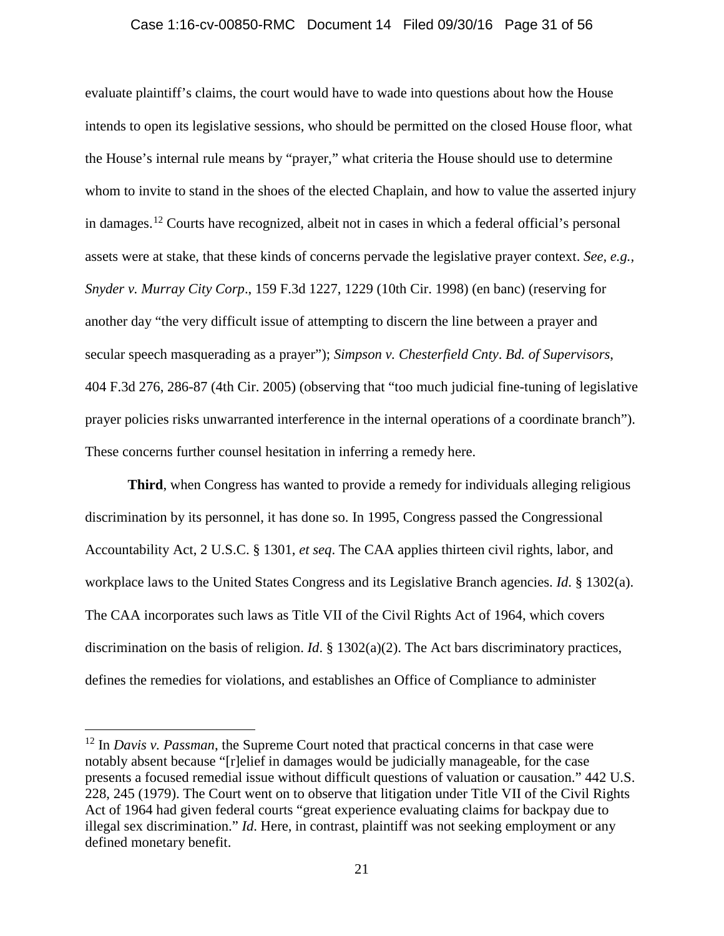#### Case 1:16-cv-00850-RMC Document 14 Filed 09/30/16 Page 31 of 56

evaluate plaintiff's claims, the court would have to wade into questions about how the House intends to open its legislative sessions, who should be permitted on the closed House floor, what the House's internal rule means by "prayer," what criteria the House should use to determine whom to invite to stand in the shoes of the elected Chaplain, and how to value the asserted injury in damages. <sup>12</sup> Courts have recognized, albeit not in cases in which a federal official's personal assets were at stake, that these kinds of concerns pervade the legislative prayer context. *See, e.g., Snyder v. Murray City Corp*., 159 F.3d 1227, 1229 (10th Cir. 1998) (en banc) (reserving for another day "the very difficult issue of attempting to discern the line between a prayer and secular speech masquerading as a prayer"); *Simpson v. Chesterfield Cnty*. *Bd. of Supervisors*, 404 F.3d 276, 286-87 (4th Cir. 2005) (observing that "too much judicial fine-tuning of legislative prayer policies risks unwarranted interference in the internal operations of a coordinate branch"). These concerns further counsel hesitation in inferring a remedy here.

**Third**, when Congress has wanted to provide a remedy for individuals alleging religious discrimination by its personnel, it has done so. In 1995, Congress passed the Congressional Accountability Act, 2 U.S.C. § 1301, *et seq*. The CAA applies thirteen civil rights, labor, and workplace laws to the United States Congress and its Legislative Branch agencies. *Id*. § 1302(a). The CAA incorporates such laws as Title VII of the Civil Rights Act of 1964, which covers discrimination on the basis of religion. *Id*. § 1302(a)(2). The Act bars discriminatory practices, defines the remedies for violations, and establishes an Office of Compliance to administer

<sup>&</sup>lt;sup>12</sup> In *Davis v. Passman*, the Supreme Court noted that practical concerns in that case were notably absent because "[r]elief in damages would be judicially manageable, for the case presents a focused remedial issue without difficult questions of valuation or causation." 442 U.S. 228, 245 (1979). The Court went on to observe that litigation under Title VII of the Civil Rights Act of 1964 had given federal courts "great experience evaluating claims for backpay due to illegal sex discrimination." *Id*. Here, in contrast, plaintiff was not seeking employment or any defined monetary benefit.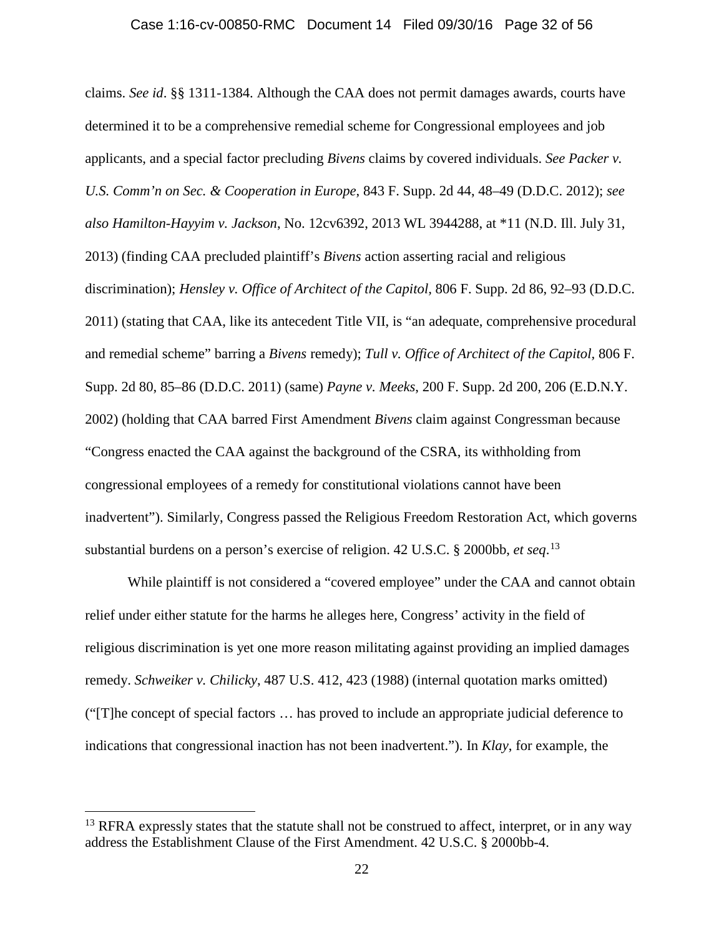#### Case 1:16-cv-00850-RMC Document 14 Filed 09/30/16 Page 32 of 56

claims. *See id*. §§ 1311-1384. Although the CAA does not permit damages awards, courts have determined it to be a comprehensive remedial scheme for Congressional employees and job applicants, and a special factor precluding *Bivens* claims by covered individuals. *See Packer v. U.S. Comm'n on Sec. & Cooperation in Europe*, 843 F. Supp. 2d 44, 48–49 (D.D.C. 2012); *see also Hamilton-Hayyim v. Jackson*, No. 12cv6392, 2013 WL 3944288, at \*11 (N.D. Ill. July 31, 2013) (finding CAA precluded plaintiff's *Bivens* action asserting racial and religious discrimination); *Hensley v. Office of Architect of the Capitol,* 806 F. Supp. 2d 86, 92–93 (D.D.C. 2011) (stating that CAA, like its antecedent Title VII, is "an adequate, comprehensive procedural and remedial scheme" barring a *Bivens* remedy); *Tull v. Office of Architect of the Capitol,* 806 F. Supp. 2d 80, 85–86 (D.D.C. 2011) (same) *Payne v. Meeks*, 200 F. Supp. 2d 200, 206 (E.D.N.Y. 2002) (holding that CAA barred First Amendment *Bivens* claim against Congressman because "Congress enacted the CAA against the background of the CSRA, its withholding from congressional employees of a remedy for constitutional violations cannot have been inadvertent"). Similarly, Congress passed the Religious Freedom Restoration Act, which governs substantial burdens on a person's exercise of religion. 42 U.S.C. § 2000bb, *et seq*. 13

While plaintiff is not considered a "covered employee" under the CAA and cannot obtain relief under either statute for the harms he alleges here, Congress' activity in the field of religious discrimination is yet one more reason militating against providing an implied damages remedy. *Schweiker v. Chilicky*, 487 U.S. 412, 423 (1988) (internal quotation marks omitted) ("[T]he concept of special factors … has proved to include an appropriate judicial deference to indications that congressional inaction has not been inadvertent."). In *Klay*, for example, the

<sup>&</sup>lt;sup>13</sup> RFRA expressly states that the statute shall not be construed to affect, interpret, or in any way address the Establishment Clause of the First Amendment. 42 U.S.C. § 2000bb-4.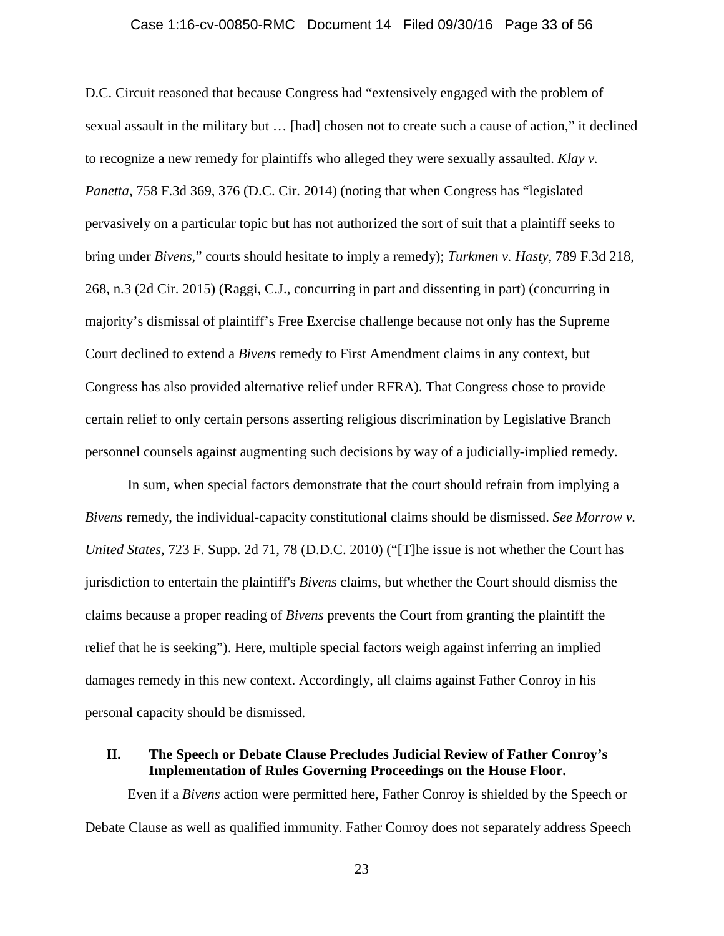#### Case 1:16-cv-00850-RMC Document 14 Filed 09/30/16 Page 33 of 56

D.C. Circuit reasoned that because Congress had "extensively engaged with the problem of sexual assault in the military but … [had] chosen not to create such a cause of action," it declined to recognize a new remedy for plaintiffs who alleged they were sexually assaulted. *Klay v. Panetta*, 758 F.3d 369, 376 (D.C. Cir. 2014) (noting that when Congress has "legislated pervasively on a particular topic but has not authorized the sort of suit that a plaintiff seeks to bring under *Bivens,*" courts should hesitate to imply a remedy); *Turkmen v. Hasty*, 789 F.3d 218, 268, n.3 (2d Cir. 2015) (Raggi, C.J., concurring in part and dissenting in part) (concurring in majority's dismissal of plaintiff's Free Exercise challenge because not only has the Supreme Court declined to extend a *Bivens* remedy to First Amendment claims in any context, but Congress has also provided alternative relief under RFRA). That Congress chose to provide certain relief to only certain persons asserting religious discrimination by Legislative Branch personnel counsels against augmenting such decisions by way of a judicially-implied remedy.

In sum, when special factors demonstrate that the court should refrain from implying a *Bivens* remedy, the individual-capacity constitutional claims should be dismissed. *See Morrow v. United States*, 723 F. Supp. 2d 71, 78 (D.D.C. 2010) ("[T]he issue is not whether the Court has jurisdiction to entertain the plaintiff's *Bivens* claims, but whether the Court should dismiss the claims because a proper reading of *Bivens* prevents the Court from granting the plaintiff the relief that he is seeking"). Here, multiple special factors weigh against inferring an implied damages remedy in this new context. Accordingly, all claims against Father Conroy in his personal capacity should be dismissed.

## **II. The Speech or Debate Clause Precludes Judicial Review of Father Conroy's Implementation of Rules Governing Proceedings on the House Floor.**

Even if a *Bivens* action were permitted here, Father Conroy is shielded by the Speech or Debate Clause as well as qualified immunity. Father Conroy does not separately address Speech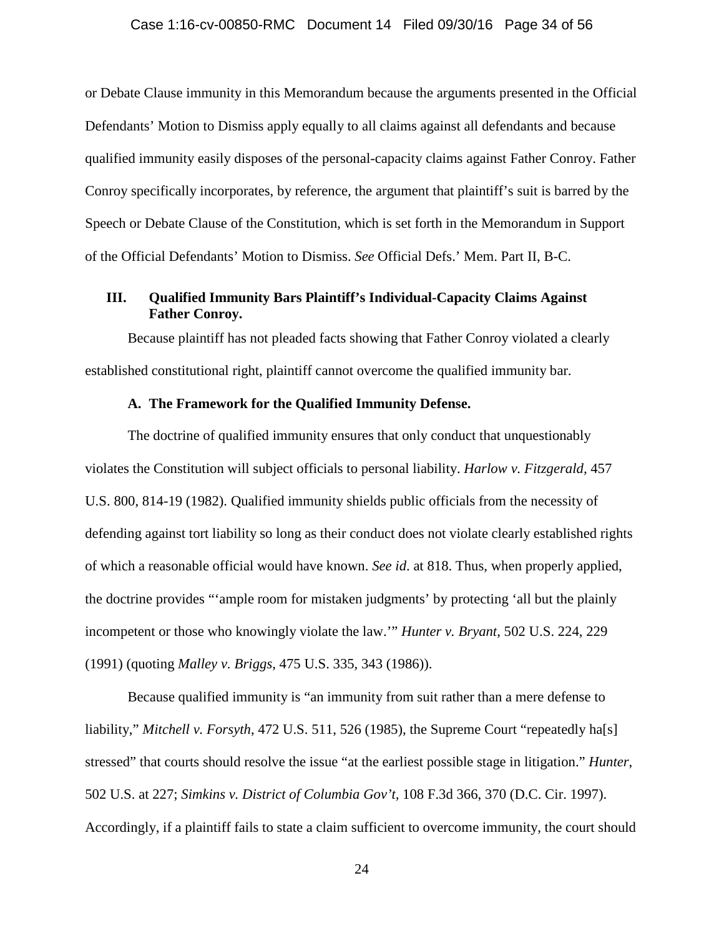#### Case 1:16-cv-00850-RMC Document 14 Filed 09/30/16 Page 34 of 56

or Debate Clause immunity in this Memorandum because the arguments presented in the Official Defendants' Motion to Dismiss apply equally to all claims against all defendants and because qualified immunity easily disposes of the personal-capacity claims against Father Conroy. Father Conroy specifically incorporates, by reference, the argument that plaintiff's suit is barred by the Speech or Debate Clause of the Constitution, which is set forth in the Memorandum in Support of the Official Defendants' Motion to Dismiss. *See* Official Defs.' Mem. Part II, B-C.

## **III. Qualified Immunity Bars Plaintiff's Individual-Capacity Claims Against Father Conroy.**

Because plaintiff has not pleaded facts showing that Father Conroy violated a clearly established constitutional right, plaintiff cannot overcome the qualified immunity bar.

## **A. The Framework for the Qualified Immunity Defense.**

The doctrine of qualified immunity ensures that only conduct that unquestionably violates the Constitution will subject officials to personal liability. *Harlow v. Fitzgerald,* 457 U.S. 800, 814-19 (1982). Qualified immunity shields public officials from the necessity of defending against tort liability so long as their conduct does not violate clearly established rights of which a reasonable official would have known. *See id*. at 818. Thus, when properly applied, the doctrine provides "'ample room for mistaken judgments' by protecting 'all but the plainly incompetent or those who knowingly violate the law.'" *Hunter v. Bryant*, 502 U.S. 224, 229 (1991) (quoting *Malley v. Briggs*, 475 U.S. 335, 343 (1986)).

Because qualified immunity is "an immunity from suit rather than a mere defense to liability," *Mitchell v. Forsyth*, 472 U.S. 511, 526 (1985), the Supreme Court "repeatedly ha[s] stressed" that courts should resolve the issue "at the earliest possible stage in litigation." *Hunter*, 502 U.S. at 227; *Simkins v. District of Columbia Gov't,* 108 F.3d 366, 370 (D.C. Cir. 1997). Accordingly, if a plaintiff fails to state a claim sufficient to overcome immunity, the court should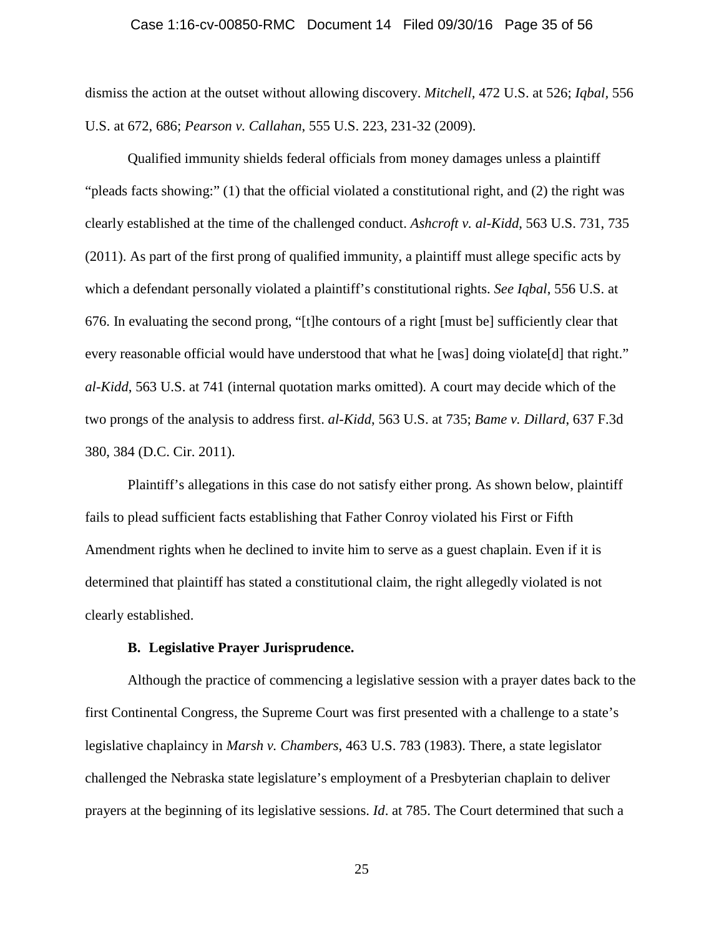#### Case 1:16-cv-00850-RMC Document 14 Filed 09/30/16 Page 35 of 56

dismiss the action at the outset without allowing discovery. *Mitchell,* 472 U.S. at 526; *Iqbal,* 556 U.S. at 672, 686; *Pearson v. Callahan*, 555 U.S. 223, 231-32 (2009).

Qualified immunity shields federal officials from money damages unless a plaintiff "pleads facts showing:" (1) that the official violated a constitutional right, and (2) the right was clearly established at the time of the challenged conduct. *Ashcroft v. al-Kidd*, 563 U.S. 731, 735 (2011). As part of the first prong of qualified immunity, a plaintiff must allege specific acts by which a defendant personally violated a plaintiff's constitutional rights. *See Iqbal*, 556 U.S. at 676. In evaluating the second prong, "[t]he contours of a right [must be] sufficiently clear that every reasonable official would have understood that what he [was] doing violate[d] that right." *al-Kidd*, 563 U.S. at 741 (internal quotation marks omitted). A court may decide which of the two prongs of the analysis to address first. *al-Kidd*, 563 U.S. at 735; *Bame v. Dillard*, 637 F.3d 380, 384 (D.C. Cir. 2011).

Plaintiff's allegations in this case do not satisfy either prong. As shown below, plaintiff fails to plead sufficient facts establishing that Father Conroy violated his First or Fifth Amendment rights when he declined to invite him to serve as a guest chaplain. Even if it is determined that plaintiff has stated a constitutional claim, the right allegedly violated is not clearly established.

## **B. Legislative Prayer Jurisprudence.**

Although the practice of commencing a legislative session with a prayer dates back to the first Continental Congress, the Supreme Court was first presented with a challenge to a state's legislative chaplaincy in *Marsh v. Chambers*, 463 U.S. 783 (1983). There, a state legislator challenged the Nebraska state legislature's employment of a Presbyterian chaplain to deliver prayers at the beginning of its legislative sessions. *Id*. at 785. The Court determined that such a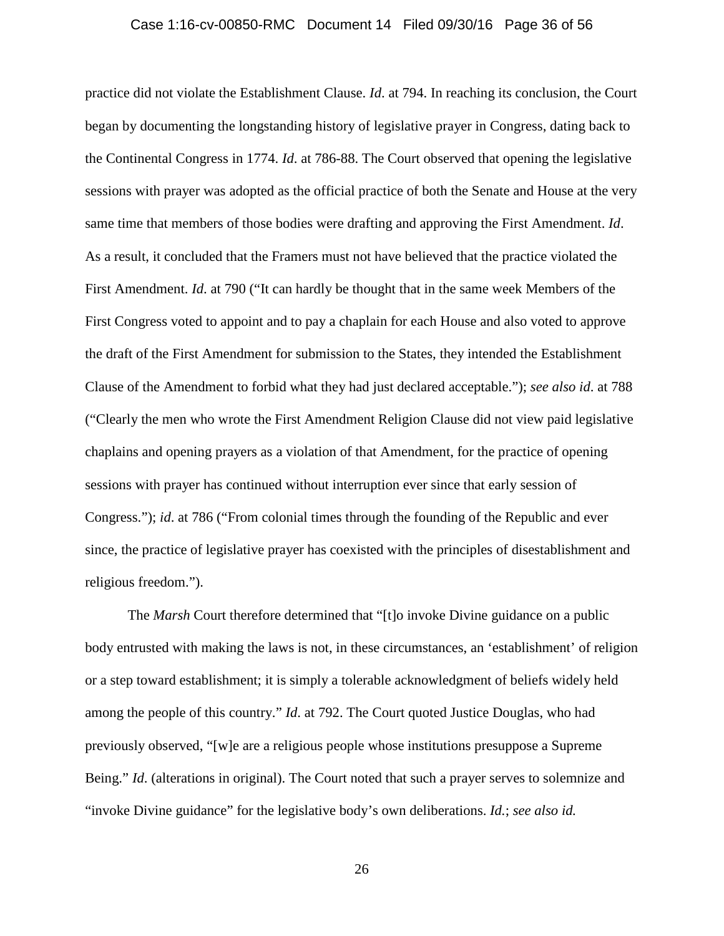#### Case 1:16-cv-00850-RMC Document 14 Filed 09/30/16 Page 36 of 56

practice did not violate the Establishment Clause. *Id*. at 794. In reaching its conclusion, the Court began by documenting the longstanding history of legislative prayer in Congress, dating back to the Continental Congress in 1774. *Id*. at 786-88. The Court observed that opening the legislative sessions with prayer was adopted as the official practice of both the Senate and House at the very same time that members of those bodies were drafting and approving the First Amendment. *Id*. As a result, it concluded that the Framers must not have believed that the practice violated the First Amendment. *Id*. at 790 ("It can hardly be thought that in the same week Members of the First Congress voted to appoint and to pay a chaplain for each House and also voted to approve the draft of the First Amendment for submission to the States, they intended the Establishment Clause of the Amendment to forbid what they had just declared acceptable."); *see also id*. at 788 ("Clearly the men who wrote the First Amendment Religion Clause did not view paid legislative chaplains and opening prayers as a violation of that Amendment, for the practice of opening sessions with prayer has continued without interruption ever since that early session of Congress."); *id*. at 786 ("From colonial times through the founding of the Republic and ever since, the practice of legislative prayer has coexisted with the principles of disestablishment and religious freedom.").

The *Marsh* Court therefore determined that "[t]o invoke Divine guidance on a public body entrusted with making the laws is not, in these circumstances, an 'establishment' of religion or a step toward establishment; it is simply a tolerable acknowledgment of beliefs widely held among the people of this country." *Id*. at 792. The Court quoted Justice Douglas, who had previously observed, "[w]e are a religious people whose institutions presuppose a Supreme Being." *Id*. (alterations in original). The Court noted that such a prayer serves to solemnize and "invoke Divine guidance" for the legislative body's own deliberations. *Id.*; *see also id.*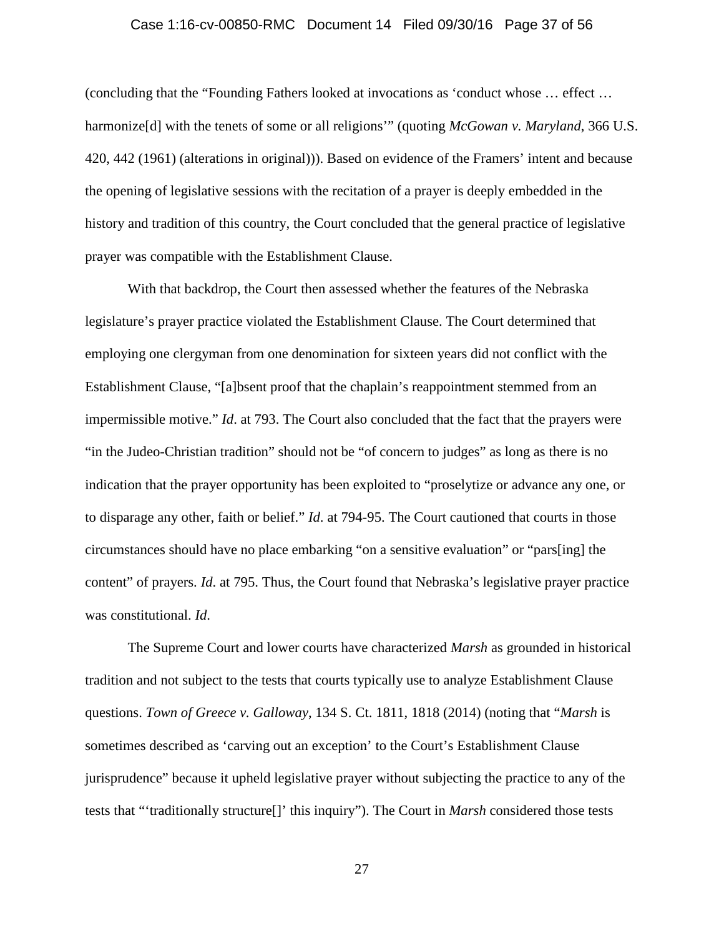#### Case 1:16-cv-00850-RMC Document 14 Filed 09/30/16 Page 37 of 56

(concluding that the "Founding Fathers looked at invocations as 'conduct whose … effect … harmonize[d] with the tenets of some or all religions'" (quoting *McGowan v. Maryland*, 366 U.S. 420, 442 (1961) (alterations in original))). Based on evidence of the Framers' intent and because the opening of legislative sessions with the recitation of a prayer is deeply embedded in the history and tradition of this country, the Court concluded that the general practice of legislative prayer was compatible with the Establishment Clause.

With that backdrop, the Court then assessed whether the features of the Nebraska legislature's prayer practice violated the Establishment Clause. The Court determined that employing one clergyman from one denomination for sixteen years did not conflict with the Establishment Clause, "[a]bsent proof that the chaplain's reappointment stemmed from an impermissible motive." *Id*. at 793. The Court also concluded that the fact that the prayers were "in the Judeo-Christian tradition" should not be "of concern to judges" as long as there is no indication that the prayer opportunity has been exploited to "proselytize or advance any one, or to disparage any other, faith or belief." *Id*. at 794-95. The Court cautioned that courts in those circumstances should have no place embarking "on a sensitive evaluation" or "pars[ing] the content" of prayers. *Id*. at 795. Thus, the Court found that Nebraska's legislative prayer practice was constitutional. *Id*.

The Supreme Court and lower courts have characterized *Marsh* as grounded in historical tradition and not subject to the tests that courts typically use to analyze Establishment Clause questions. *Town of Greece v. Galloway*, 134 S. Ct. 1811, 1818 (2014) (noting that "*Marsh* is sometimes described as 'carving out an exception' to the Court's Establishment Clause jurisprudence" because it upheld legislative prayer without subjecting the practice to any of the tests that "'traditionally structure[]' this inquiry"). The Court in *Marsh* considered those tests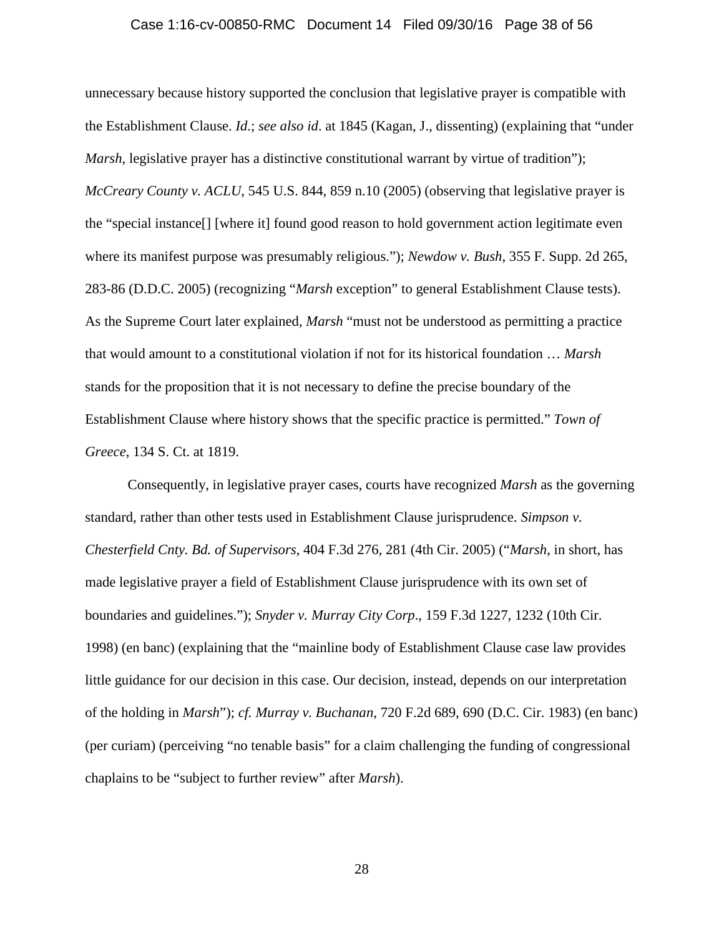#### Case 1:16-cv-00850-RMC Document 14 Filed 09/30/16 Page 38 of 56

unnecessary because history supported the conclusion that legislative prayer is compatible with the Establishment Clause. *Id*.; *see also id*. at 1845 (Kagan, J., dissenting) (explaining that "under *Marsh*, legislative prayer has a distinctive constitutional warrant by virtue of tradition"); *McCreary County v. ACLU*, 545 U.S. 844, 859 n.10 (2005) (observing that legislative prayer is the "special instance[] [where it] found good reason to hold government action legitimate even where its manifest purpose was presumably religious."); *Newdow v. Bush*, 355 F. Supp. 2d 265, 283-86 (D.D.C. 2005) (recognizing "*Marsh* exception" to general Establishment Clause tests). As the Supreme Court later explained, *Marsh* "must not be understood as permitting a practice that would amount to a constitutional violation if not for its historical foundation … *Marsh* stands for the proposition that it is not necessary to define the precise boundary of the Establishment Clause where history shows that the specific practice is permitted." *Town of Greece*, 134 S. Ct. at 1819.

Consequently, in legislative prayer cases, courts have recognized *Marsh* as the governing standard, rather than other tests used in Establishment Clause jurisprudence. *Simpson v. Chesterfield Cnty. Bd. of Supervisors*, 404 F.3d 276, 281 (4th Cir. 2005) ("*Marsh*, in short, has made legislative prayer a field of Establishment Clause jurisprudence with its own set of boundaries and guidelines."); *Snyder v. Murray City Corp*., 159 F.3d 1227, 1232 (10th Cir. 1998) (en banc) (explaining that the "mainline body of Establishment Clause case law provides little guidance for our decision in this case. Our decision, instead, depends on our interpretation of the holding in *Marsh*"); *cf. Murray v. Buchanan*, 720 F.2d 689, 690 (D.C. Cir. 1983) (en banc) (per curiam) (perceiving "no tenable basis" for a claim challenging the funding of congressional chaplains to be "subject to further review" after *Marsh*).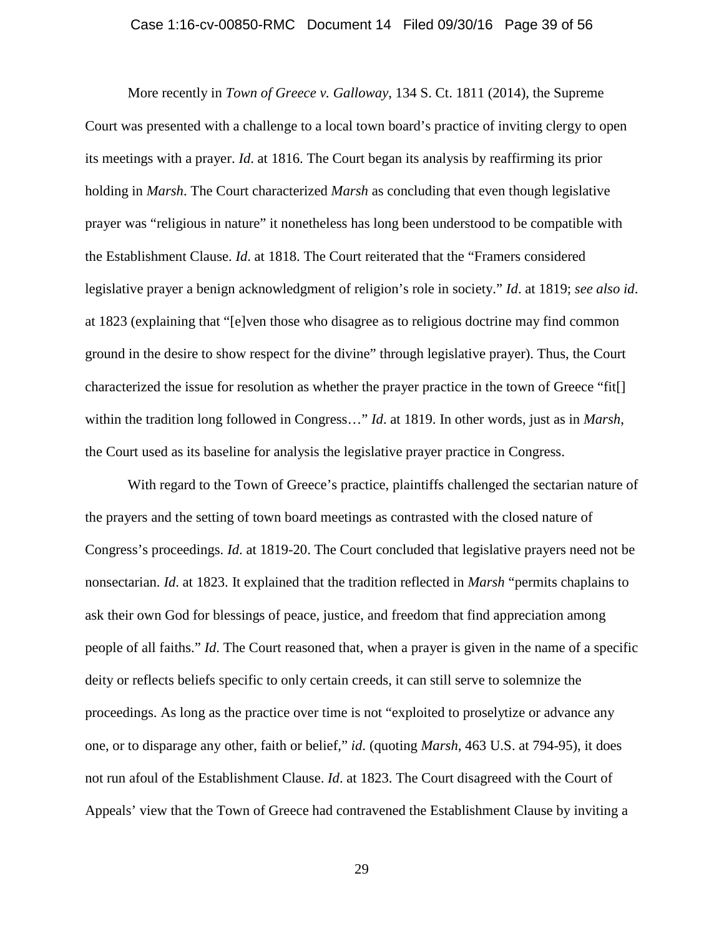#### Case 1:16-cv-00850-RMC Document 14 Filed 09/30/16 Page 39 of 56

More recently in *Town of Greece v. Galloway*, 134 S. Ct. 1811 (2014), the Supreme Court was presented with a challenge to a local town board's practice of inviting clergy to open its meetings with a prayer. *Id*. at 1816. The Court began its analysis by reaffirming its prior holding in *Marsh*. The Court characterized *Marsh* as concluding that even though legislative prayer was "religious in nature" it nonetheless has long been understood to be compatible with the Establishment Clause. *Id*. at 1818. The Court reiterated that the "Framers considered legislative prayer a benign acknowledgment of religion's role in society." *Id*. at 1819; *see also id*. at 1823 (explaining that "[e]ven those who disagree as to religious doctrine may find common ground in the desire to show respect for the divine" through legislative prayer). Thus, the Court characterized the issue for resolution as whether the prayer practice in the town of Greece "fit[] within the tradition long followed in Congress…" *Id*. at 1819. In other words, just as in *Marsh*, the Court used as its baseline for analysis the legislative prayer practice in Congress.

With regard to the Town of Greece's practice, plaintiffs challenged the sectarian nature of the prayers and the setting of town board meetings as contrasted with the closed nature of Congress's proceedings. *Id*. at 1819-20. The Court concluded that legislative prayers need not be nonsectarian. *Id*. at 1823. It explained that the tradition reflected in *Marsh* "permits chaplains to ask their own God for blessings of peace, justice, and freedom that find appreciation among people of all faiths." *Id*. The Court reasoned that, when a prayer is given in the name of a specific deity or reflects beliefs specific to only certain creeds, it can still serve to solemnize the proceedings. As long as the practice over time is not "exploited to proselytize or advance any one, or to disparage any other, faith or belief," *id*. (quoting *Marsh*, 463 U.S. at 794-95), it does not run afoul of the Establishment Clause. *Id*. at 1823. The Court disagreed with the Court of Appeals' view that the Town of Greece had contravened the Establishment Clause by inviting a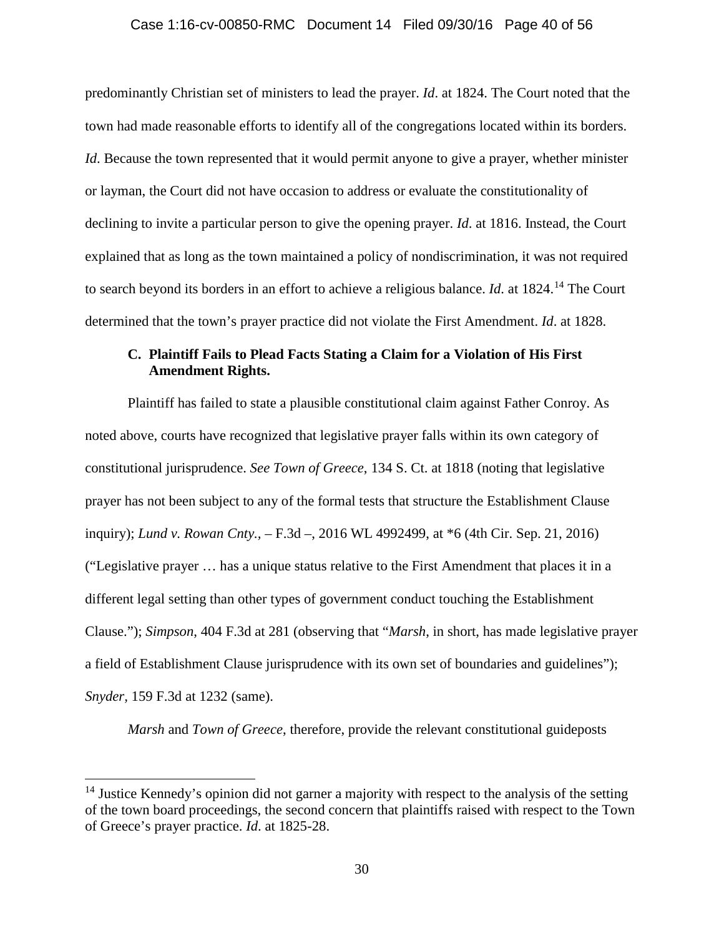#### Case 1:16-cv-00850-RMC Document 14 Filed 09/30/16 Page 40 of 56

predominantly Christian set of ministers to lead the prayer. *Id*. at 1824. The Court noted that the town had made reasonable efforts to identify all of the congregations located within its borders. *Id*. Because the town represented that it would permit anyone to give a prayer, whether minister or layman, the Court did not have occasion to address or evaluate the constitutionality of declining to invite a particular person to give the opening prayer. *Id*. at 1816. Instead, the Court explained that as long as the town maintained a policy of nondiscrimination, it was not required to search beyond its borders in an effort to achieve a religious balance. *Id*. at 1824.<sup>14</sup> The Court determined that the town's prayer practice did not violate the First Amendment. *Id*. at 1828.

## **C. Plaintiff Fails to Plead Facts Stating a Claim for a Violation of His First Amendment Rights.**

Plaintiff has failed to state a plausible constitutional claim against Father Conroy. As noted above, courts have recognized that legislative prayer falls within its own category of constitutional jurisprudence. *See Town of Greece*, 134 S. Ct. at 1818 (noting that legislative prayer has not been subject to any of the formal tests that structure the Establishment Clause inquiry); *Lund v. Rowan Cnty.,* – F.3d –, 2016 WL 4992499, at \*6 (4th Cir. Sep. 21, 2016) ("Legislative prayer … has a unique status relative to the First Amendment that places it in a different legal setting than other types of government conduct touching the Establishment Clause."); *Simpson*, 404 F.3d at 281 (observing that "*Marsh*, in short, has made legislative prayer a field of Establishment Clause jurisprudence with its own set of boundaries and guidelines"); *Snyder,* 159 F.3d at 1232 (same).

*Marsh* and *Town of Greece*, therefore, provide the relevant constitutional guideposts

<sup>&</sup>lt;sup>14</sup> Justice Kennedy's opinion did not garner a majority with respect to the analysis of the setting of the town board proceedings, the second concern that plaintiffs raised with respect to the Town of Greece's prayer practice. *Id*. at 1825-28.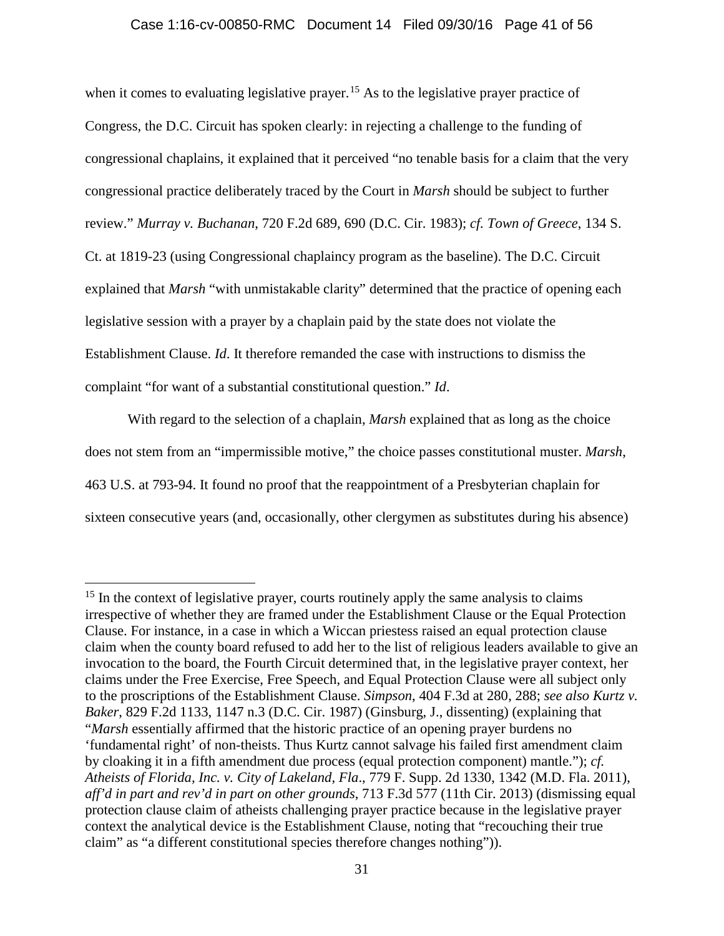### Case 1:16-cv-00850-RMC Document 14 Filed 09/30/16 Page 41 of 56

when it comes to evaluating legislative prayer.<sup>15</sup> As to the legislative prayer practice of Congress, the D.C. Circuit has spoken clearly: in rejecting a challenge to the funding of congressional chaplains, it explained that it perceived "no tenable basis for a claim that the very congressional practice deliberately traced by the Court in *Marsh* should be subject to further review." *Murray v. Buchanan*, 720 F.2d 689, 690 (D.C. Cir. 1983); *cf. Town of Greece*, 134 S. Ct. at 1819-23 (using Congressional chaplaincy program as the baseline). The D.C. Circuit explained that *Marsh* "with unmistakable clarity" determined that the practice of opening each legislative session with a prayer by a chaplain paid by the state does not violate the Establishment Clause. *Id*. It therefore remanded the case with instructions to dismiss the complaint "for want of a substantial constitutional question." *Id*.

With regard to the selection of a chaplain, *Marsh* explained that as long as the choice does not stem from an "impermissible motive," the choice passes constitutional muster. *Marsh*, 463 U.S. at 793-94. It found no proof that the reappointment of a Presbyterian chaplain for sixteen consecutive years (and, occasionally, other clergymen as substitutes during his absence)

 $15$  In the context of legislative prayer, courts routinely apply the same analysis to claims irrespective of whether they are framed under the Establishment Clause or the Equal Protection Clause. For instance, in a case in which a Wiccan priestess raised an equal protection clause claim when the county board refused to add her to the list of religious leaders available to give an invocation to the board, the Fourth Circuit determined that, in the legislative prayer context, her claims under the Free Exercise, Free Speech, and Equal Protection Clause were all subject only to the proscriptions of the Establishment Clause. *Simpson*, 404 F.3d at 280, 288; *see also Kurtz v. Baker*, 829 F.2d 1133, 1147 n.3 (D.C. Cir. 1987) (Ginsburg, J., dissenting) (explaining that "*Marsh* essentially affirmed that the historic practice of an opening prayer burdens no 'fundamental right' of non-theists. Thus Kurtz cannot salvage his failed first amendment claim by cloaking it in a fifth amendment due process (equal protection component) mantle."); *cf. Atheists of Florida, Inc. v. City of Lakeland, Fla*., 779 F. Supp. 2d 1330, 1342 (M.D. Fla. 2011), *aff'd in part and rev'd in part on other grounds*, 713 F.3d 577 (11th Cir. 2013) (dismissing equal protection clause claim of atheists challenging prayer practice because in the legislative prayer context the analytical device is the Establishment Clause, noting that "recouching their true claim" as "a different constitutional species therefore changes nothing")).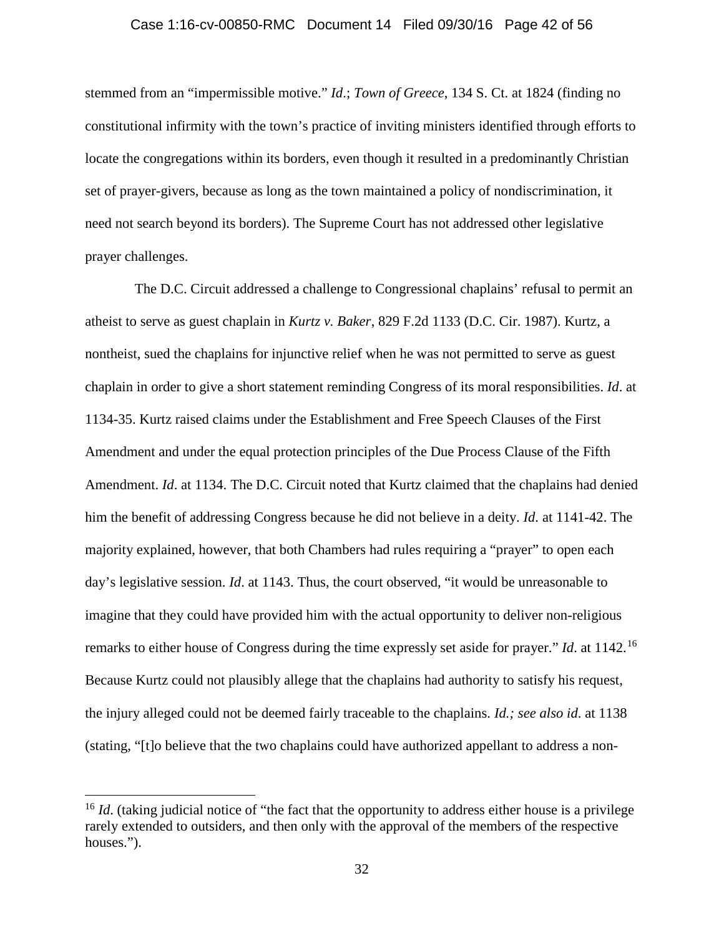#### Case 1:16-cv-00850-RMC Document 14 Filed 09/30/16 Page 42 of 56

stemmed from an "impermissible motive." *Id*.; *Town of Greece*, 134 S. Ct. at 1824 (finding no constitutional infirmity with the town's practice of inviting ministers identified through efforts to locate the congregations within its borders, even though it resulted in a predominantly Christian set of prayer-givers, because as long as the town maintained a policy of nondiscrimination, it need not search beyond its borders). The Supreme Court has not addressed other legislative prayer challenges.

The D.C. Circuit addressed a challenge to Congressional chaplains' refusal to permit an atheist to serve as guest chaplain in *Kurtz v. Baker*, 829 F.2d 1133 (D.C. Cir. 1987). Kurtz, a nontheist, sued the chaplains for injunctive relief when he was not permitted to serve as guest chaplain in order to give a short statement reminding Congress of its moral responsibilities. *Id*. at 1134-35. Kurtz raised claims under the Establishment and Free Speech Clauses of the First Amendment and under the equal protection principles of the Due Process Clause of the Fifth Amendment. *Id*. at 1134. The D.C. Circuit noted that Kurtz claimed that the chaplains had denied him the benefit of addressing Congress because he did not believe in a deity. *Id*. at 1141-42. The majority explained, however, that both Chambers had rules requiring a "prayer" to open each day's legislative session. *Id*. at 1143. Thus, the court observed, "it would be unreasonable to imagine that they could have provided him with the actual opportunity to deliver non-religious remarks to either house of Congress during the time expressly set aside for prayer." *Id*. at 1142. 16 Because Kurtz could not plausibly allege that the chaplains had authority to satisfy his request, the injury alleged could not be deemed fairly traceable to the chaplains. *Id.; see also id*. at 1138 (stating, "[t]o believe that the two chaplains could have authorized appellant to address a non-

<sup>&</sup>lt;sup>16</sup> *Id.* (taking judicial notice of "the fact that the opportunity to address either house is a privilege rarely extended to outsiders, and then only with the approval of the members of the respective houses.").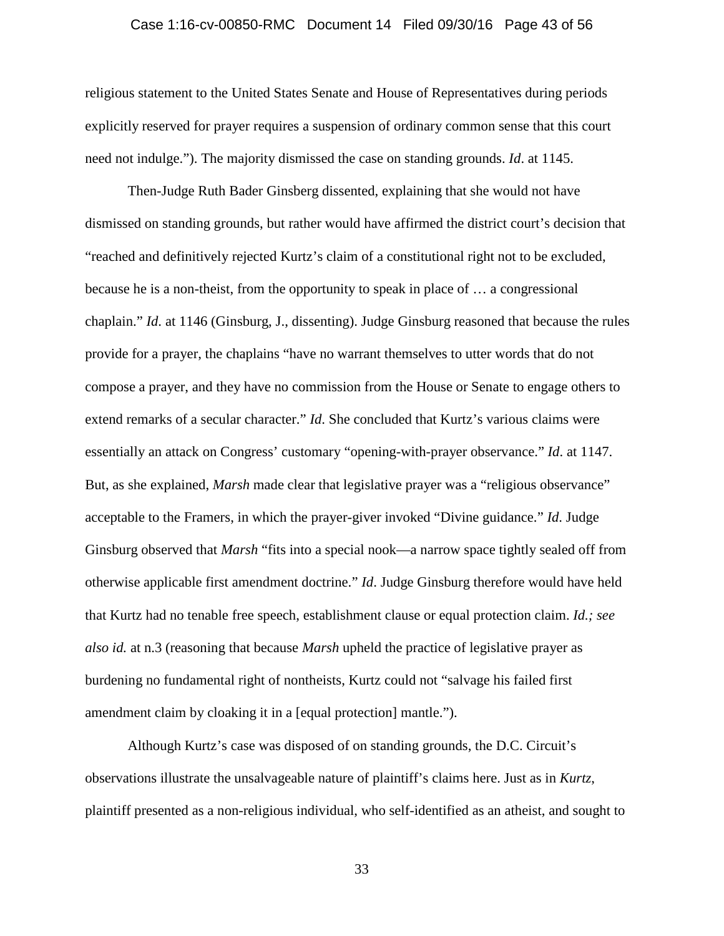#### Case 1:16-cv-00850-RMC Document 14 Filed 09/30/16 Page 43 of 56

religious statement to the United States Senate and House of Representatives during periods explicitly reserved for prayer requires a suspension of ordinary common sense that this court need not indulge."). The majority dismissed the case on standing grounds. *Id*. at 1145.

Then-Judge Ruth Bader Ginsberg dissented, explaining that she would not have dismissed on standing grounds, but rather would have affirmed the district court's decision that "reached and definitively rejected Kurtz's claim of a constitutional right not to be excluded, because he is a non-theist, from the opportunity to speak in place of … a congressional chaplain." *Id*. at 1146 (Ginsburg, J., dissenting). Judge Ginsburg reasoned that because the rules provide for a prayer, the chaplains "have no warrant themselves to utter words that do not compose a prayer, and they have no commission from the House or Senate to engage others to extend remarks of a secular character." *Id*. She concluded that Kurtz's various claims were essentially an attack on Congress' customary "opening-with-prayer observance." *Id*. at 1147. But, as she explained, *Marsh* made clear that legislative prayer was a "religious observance" acceptable to the Framers, in which the prayer-giver invoked "Divine guidance." *Id*. Judge Ginsburg observed that *Marsh* "fits into a special nook—a narrow space tightly sealed off from otherwise applicable first amendment doctrine." *Id*. Judge Ginsburg therefore would have held that Kurtz had no tenable free speech, establishment clause or equal protection claim. *Id.; see also id.* at n.3 (reasoning that because *Marsh* upheld the practice of legislative prayer as burdening no fundamental right of nontheists, Kurtz could not "salvage his failed first amendment claim by cloaking it in a [equal protection] mantle.").

Although Kurtz's case was disposed of on standing grounds, the D.C. Circuit's observations illustrate the unsalvageable nature of plaintiff's claims here. Just as in *Kurtz*, plaintiff presented as a non-religious individual, who self-identified as an atheist, and sought to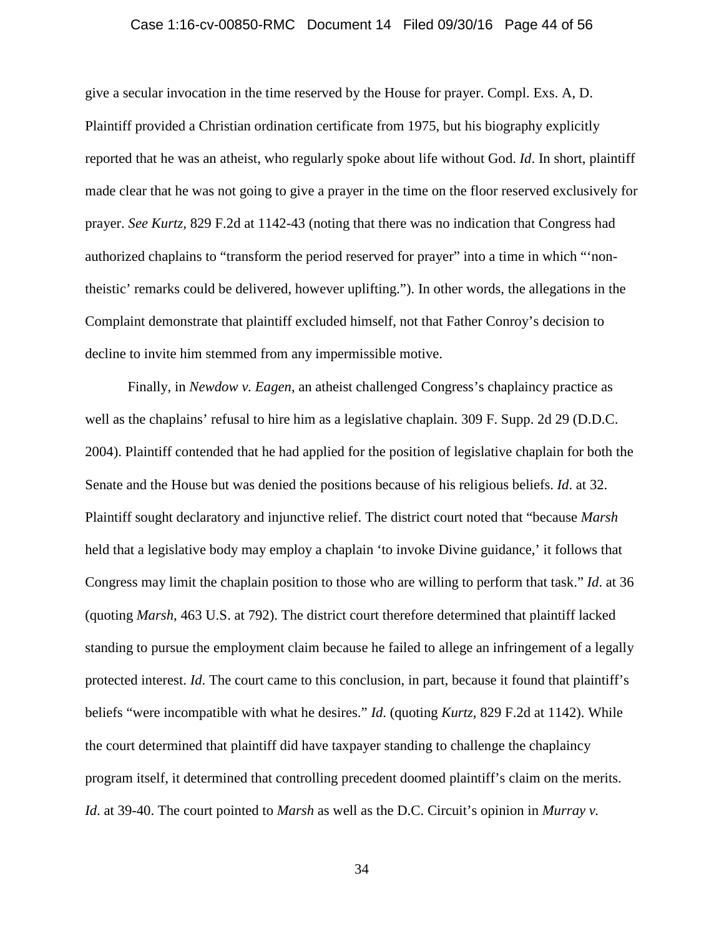#### Case 1:16-cv-00850-RMC Document 14 Filed 09/30/16 Page 44 of 56

give a secular invocation in the time reserved by the House for prayer. Compl. Exs. A, D. Plaintiff provided a Christian ordination certificate from 1975, but his biography explicitly reported that he was an atheist, who regularly spoke about life without God. *Id*. In short, plaintiff made clear that he was not going to give a prayer in the time on the floor reserved exclusively for prayer. *See Kurtz,* 829 F.2d at 1142-43 (noting that there was no indication that Congress had authorized chaplains to "transform the period reserved for prayer" into a time in which "'nontheistic' remarks could be delivered, however uplifting."). In other words, the allegations in the Complaint demonstrate that plaintiff excluded himself, not that Father Conroy's decision to decline to invite him stemmed from any impermissible motive.

Finally, in *Newdow v. Eagen*, an atheist challenged Congress's chaplaincy practice as well as the chaplains' refusal to hire him as a legislative chaplain. 309 F. Supp. 2d 29 (D.D.C. 2004). Plaintiff contended that he had applied for the position of legislative chaplain for both the Senate and the House but was denied the positions because of his religious beliefs. *Id*. at 32. Plaintiff sought declaratory and injunctive relief. The district court noted that "because *Marsh* held that a legislative body may employ a chaplain 'to invoke Divine guidance,' it follows that Congress may limit the chaplain position to those who are willing to perform that task." *Id*. at 36 (quoting *Marsh*, 463 U.S. at 792). The district court therefore determined that plaintiff lacked standing to pursue the employment claim because he failed to allege an infringement of a legally protected interest. *Id*. The court came to this conclusion, in part, because it found that plaintiff's beliefs "were incompatible with what he desires." *Id*. (quoting *Kurtz*, 829 F.2d at 1142). While the court determined that plaintiff did have taxpayer standing to challenge the chaplaincy program itself, it determined that controlling precedent doomed plaintiff's claim on the merits. *Id*. at 39-40. The court pointed to *Marsh* as well as the D.C. Circuit's opinion in *Murray v.*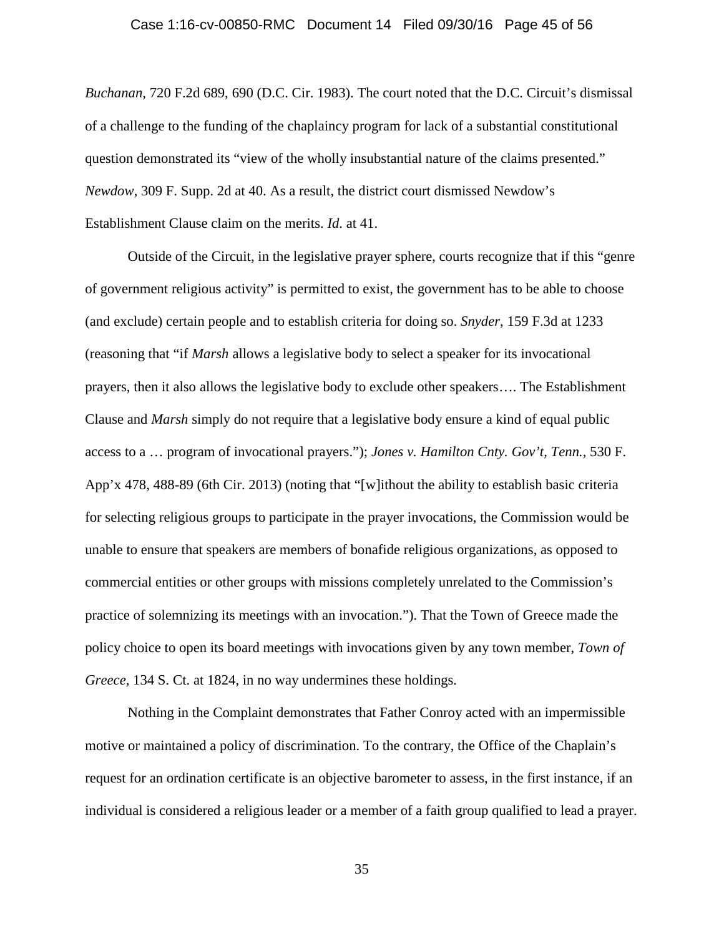#### Case 1:16-cv-00850-RMC Document 14 Filed 09/30/16 Page 45 of 56

*Buchanan*, 720 F.2d 689, 690 (D.C. Cir. 1983). The court noted that the D.C. Circuit's dismissal of a challenge to the funding of the chaplaincy program for lack of a substantial constitutional question demonstrated its "view of the wholly insubstantial nature of the claims presented." *Newdow*, 309 F. Supp. 2d at 40. As a result, the district court dismissed Newdow's Establishment Clause claim on the merits. *Id*. at 41.

Outside of the Circuit, in the legislative prayer sphere, courts recognize that if this "genre of government religious activity" is permitted to exist, the government has to be able to choose (and exclude) certain people and to establish criteria for doing so. *Snyder*, 159 F.3d at 1233 (reasoning that "if *Marsh* allows a legislative body to select a speaker for its invocational prayers, then it also allows the legislative body to exclude other speakers…. The Establishment Clause and *Marsh* simply do not require that a legislative body ensure a kind of equal public access to a … program of invocational prayers."); *Jones v. Hamilton Cnty. Gov't, Tenn.,* 530 F. App'x 478, 488-89 (6th Cir. 2013) (noting that "[w]ithout the ability to establish basic criteria for selecting religious groups to participate in the prayer invocations, the Commission would be unable to ensure that speakers are members of bonafide religious organizations, as opposed to commercial entities or other groups with missions completely unrelated to the Commission's practice of solemnizing its meetings with an invocation."). That the Town of Greece made the policy choice to open its board meetings with invocations given by any town member, *Town of Greece,* 134 S. Ct. at 1824, in no way undermines these holdings.

Nothing in the Complaint demonstrates that Father Conroy acted with an impermissible motive or maintained a policy of discrimination. To the contrary, the Office of the Chaplain's request for an ordination certificate is an objective barometer to assess, in the first instance, if an individual is considered a religious leader or a member of a faith group qualified to lead a prayer.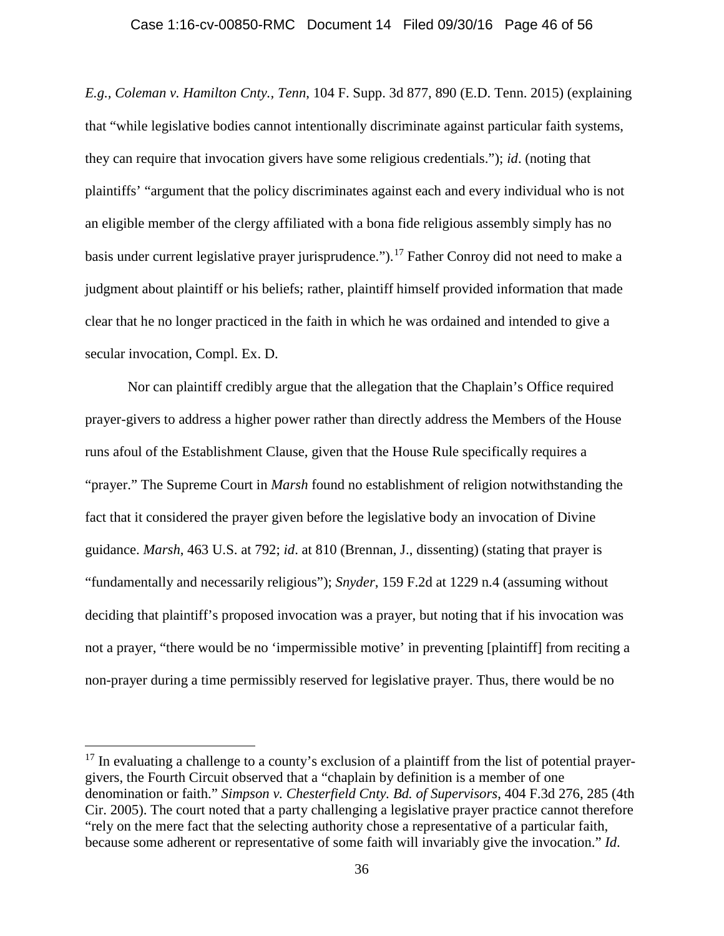#### Case 1:16-cv-00850-RMC Document 14 Filed 09/30/16 Page 46 of 56

*E.g., Coleman v. Hamilton Cnty., Tenn*, 104 F. Supp. 3d 877, 890 (E.D. Tenn. 2015) (explaining that "while legislative bodies cannot intentionally discriminate against particular faith systems, they can require that invocation givers have some religious credentials."); *id*. (noting that plaintiffs' "argument that the policy discriminates against each and every individual who is not an eligible member of the clergy affiliated with a bona fide religious assembly simply has no basis under current legislative prayer jurisprudence.").<sup>17</sup> Father Conroy did not need to make a judgment about plaintiff or his beliefs; rather, plaintiff himself provided information that made clear that he no longer practiced in the faith in which he was ordained and intended to give a secular invocation, Compl. Ex. D.

Nor can plaintiff credibly argue that the allegation that the Chaplain's Office required prayer-givers to address a higher power rather than directly address the Members of the House runs afoul of the Establishment Clause, given that the House Rule specifically requires a "prayer." The Supreme Court in *Marsh* found no establishment of religion notwithstanding the fact that it considered the prayer given before the legislative body an invocation of Divine guidance. *Marsh*, 463 U.S. at 792; *id*. at 810 (Brennan, J., dissenting) (stating that prayer is "fundamentally and necessarily religious"); *Snyder*, 159 F.2d at 1229 n.4 (assuming without deciding that plaintiff's proposed invocation was a prayer, but noting that if his invocation was not a prayer, "there would be no 'impermissible motive' in preventing [plaintiff] from reciting a non-prayer during a time permissibly reserved for legislative prayer. Thus, there would be no

 $17$  In evaluating a challenge to a county's exclusion of a plaintiff from the list of potential prayergivers, the Fourth Circuit observed that a "chaplain by definition is a member of one denomination or faith." *Simpson v. Chesterfield Cnty. Bd. of Supervisors*, 404 F.3d 276, 285 (4th Cir. 2005). The court noted that a party challenging a legislative prayer practice cannot therefore "rely on the mere fact that the selecting authority chose a representative of a particular faith, because some adherent or representative of some faith will invariably give the invocation." *Id*.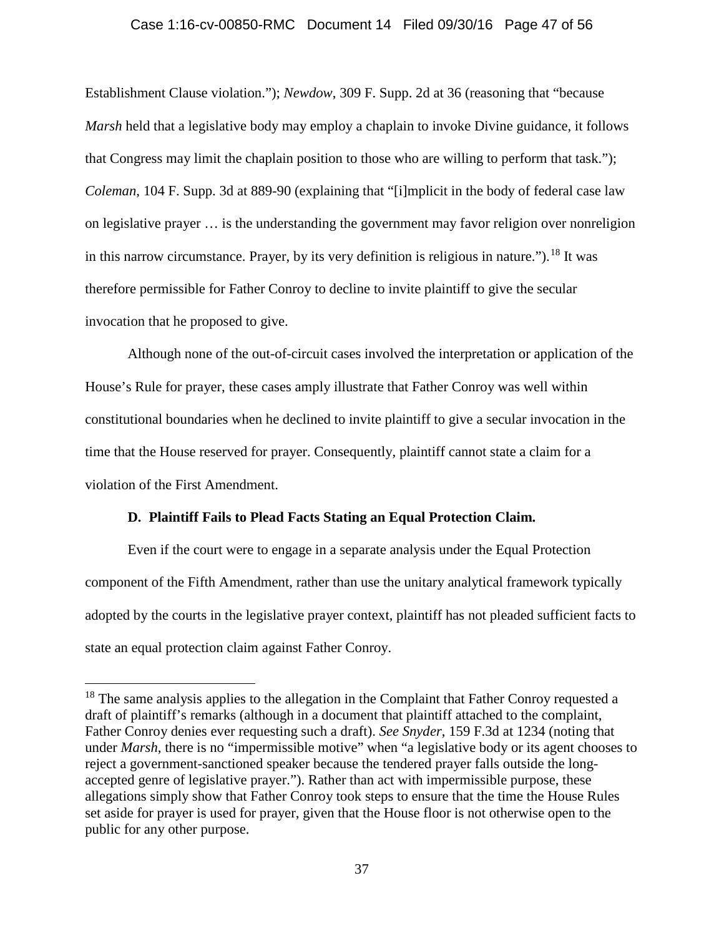#### Case 1:16-cv-00850-RMC Document 14 Filed 09/30/16 Page 47 of 56

Establishment Clause violation."); *Newdow*, 309 F. Supp. 2d at 36 (reasoning that "because *Marsh* held that a legislative body may employ a chaplain to invoke Divine guidance, it follows that Congress may limit the chaplain position to those who are willing to perform that task."); *Coleman*, 104 F. Supp. 3d at 889-90 (explaining that "[i]mplicit in the body of federal case law on legislative prayer … is the understanding the government may favor religion over nonreligion in this narrow circumstance. Prayer, by its very definition is religious in nature.").<sup>18</sup> It was therefore permissible for Father Conroy to decline to invite plaintiff to give the secular invocation that he proposed to give.

Although none of the out-of-circuit cases involved the interpretation or application of the House's Rule for prayer, these cases amply illustrate that Father Conroy was well within constitutional boundaries when he declined to invite plaintiff to give a secular invocation in the time that the House reserved for prayer. Consequently, plaintiff cannot state a claim for a violation of the First Amendment.

## **D. Plaintiff Fails to Plead Facts Stating an Equal Protection Claim.**

Even if the court were to engage in a separate analysis under the Equal Protection component of the Fifth Amendment, rather than use the unitary analytical framework typically adopted by the courts in the legislative prayer context, plaintiff has not pleaded sufficient facts to state an equal protection claim against Father Conroy.

 $18$  The same analysis applies to the allegation in the Complaint that Father Conroy requested a draft of plaintiff's remarks (although in a document that plaintiff attached to the complaint, Father Conroy denies ever requesting such a draft). *See Snyder*, 159 F.3d at 1234 (noting that under *Marsh*, there is no "impermissible motive" when "a legislative body or its agent chooses to reject a government-sanctioned speaker because the tendered prayer falls outside the longaccepted genre of legislative prayer."). Rather than act with impermissible purpose, these allegations simply show that Father Conroy took steps to ensure that the time the House Rules set aside for prayer is used for prayer, given that the House floor is not otherwise open to the public for any other purpose.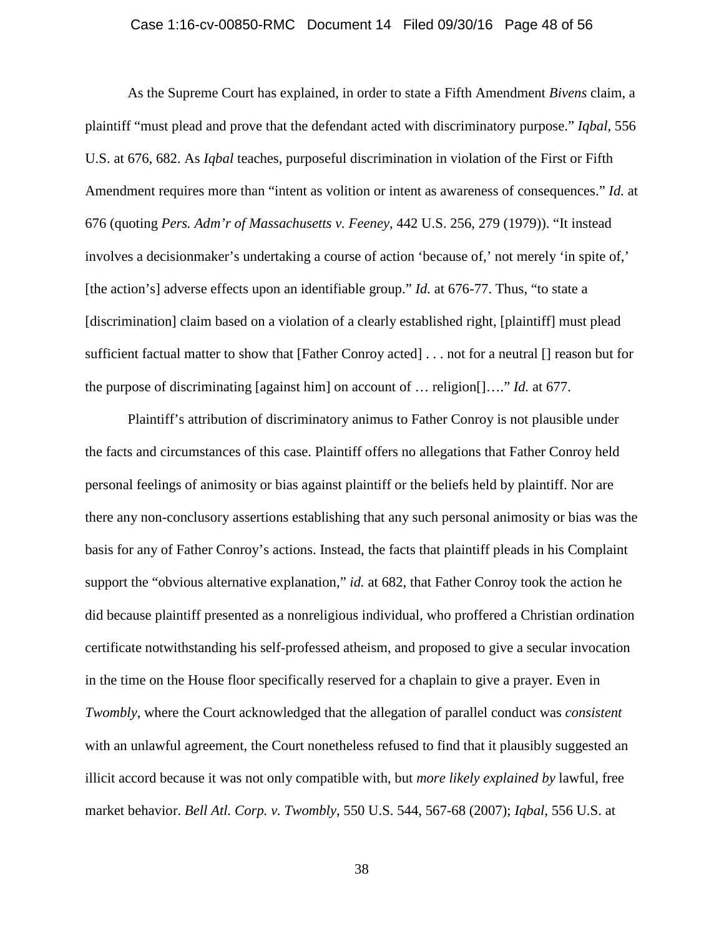#### Case 1:16-cv-00850-RMC Document 14 Filed 09/30/16 Page 48 of 56

As the Supreme Court has explained, in order to state a Fifth Amendment *Bivens* claim, a plaintiff "must plead and prove that the defendant acted with discriminatory purpose." *Iqbal*, 556 U.S. at 676, 682. As *Iqbal* teaches, purposeful discrimination in violation of the First or Fifth Amendment requires more than "intent as volition or intent as awareness of consequences." *Id.* at 676 (quoting *Pers. Adm'r of Massachusetts v. Feeney*, 442 U.S. 256, 279 (1979)). "It instead involves a decisionmaker's undertaking a course of action 'because of,' not merely 'in spite of,' [the action's] adverse effects upon an identifiable group." *Id.* at 676-77. Thus, "to state a [discrimination] claim based on a violation of a clearly established right, [plaintiff] must plead sufficient factual matter to show that [Father Conroy acted] . . . not for a neutral [] reason but for the purpose of discriminating [against him] on account of … religion[]…." *Id.* at 677.

Plaintiff's attribution of discriminatory animus to Father Conroy is not plausible under the facts and circumstances of this case. Plaintiff offers no allegations that Father Conroy held personal feelings of animosity or bias against plaintiff or the beliefs held by plaintiff. Nor are there any non-conclusory assertions establishing that any such personal animosity or bias was the basis for any of Father Conroy's actions. Instead, the facts that plaintiff pleads in his Complaint support the "obvious alternative explanation," *id.* at 682, that Father Conroy took the action he did because plaintiff presented as a nonreligious individual, who proffered a Christian ordination certificate notwithstanding his self-professed atheism, and proposed to give a secular invocation in the time on the House floor specifically reserved for a chaplain to give a prayer. Even in *Twombly*, where the Court acknowledged that the allegation of parallel conduct was *consistent* with an unlawful agreement, the Court nonetheless refused to find that it plausibly suggested an illicit accord because it was not only compatible with, but *more likely explained by* lawful, free market behavior. *Bell Atl. Corp. v. Twombly*, 550 U.S. 544, 567-68 (2007); *Iqbal*, 556 U.S. at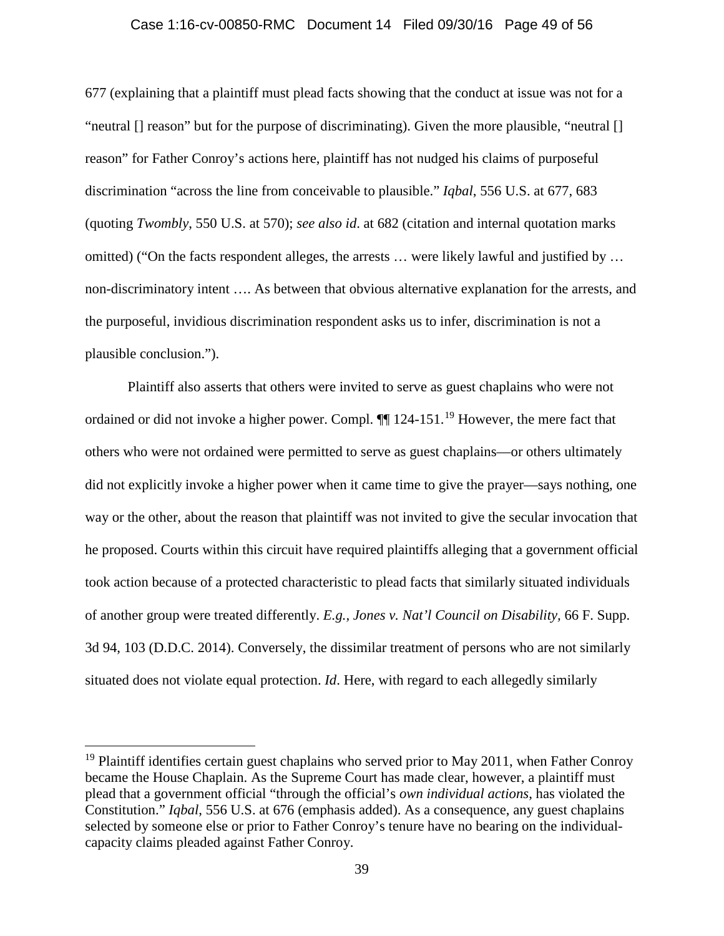#### Case 1:16-cv-00850-RMC Document 14 Filed 09/30/16 Page 49 of 56

677 (explaining that a plaintiff must plead facts showing that the conduct at issue was not for a "neutral [] reason" but for the purpose of discriminating). Given the more plausible, "neutral [] reason" for Father Conroy's actions here, plaintiff has not nudged his claims of purposeful discrimination "across the line from conceivable to plausible." *Iqbal*, 556 U.S. at 677, 683 (quoting *Twombly*, 550 U.S. at 570); *see also id*. at 682 (citation and internal quotation marks omitted) ("On the facts respondent alleges, the arrests … were likely lawful and justified by … non-discriminatory intent …. As between that obvious alternative explanation for the arrests, and the purposeful, invidious discrimination respondent asks us to infer, discrimination is not a plausible conclusion.").

Plaintiff also asserts that others were invited to serve as guest chaplains who were not ordained or did not invoke a higher power. Compl.  $\P$  124-151.<sup>19</sup> However, the mere fact that others who were not ordained were permitted to serve as guest chaplains—or others ultimately did not explicitly invoke a higher power when it came time to give the prayer—says nothing, one way or the other, about the reason that plaintiff was not invited to give the secular invocation that he proposed. Courts within this circuit have required plaintiffs alleging that a government official took action because of a protected characteristic to plead facts that similarly situated individuals of another group were treated differently. *E.g., Jones v. Nat'l Council on Disability,* 66 F. Supp. 3d 94, 103 (D.D.C. 2014). Conversely, the dissimilar treatment of persons who are not similarly situated does not violate equal protection. *Id*. Here, with regard to each allegedly similarly

 $19$  Plaintiff identifies certain guest chaplains who served prior to May 2011, when Father Conroy became the House Chaplain. As the Supreme Court has made clear, however, a plaintiff must plead that a government official "through the official's *own individual actions*, has violated the Constitution." *Iqbal*, 556 U.S. at 676 (emphasis added). As a consequence, any guest chaplains selected by someone else or prior to Father Conroy's tenure have no bearing on the individualcapacity claims pleaded against Father Conroy.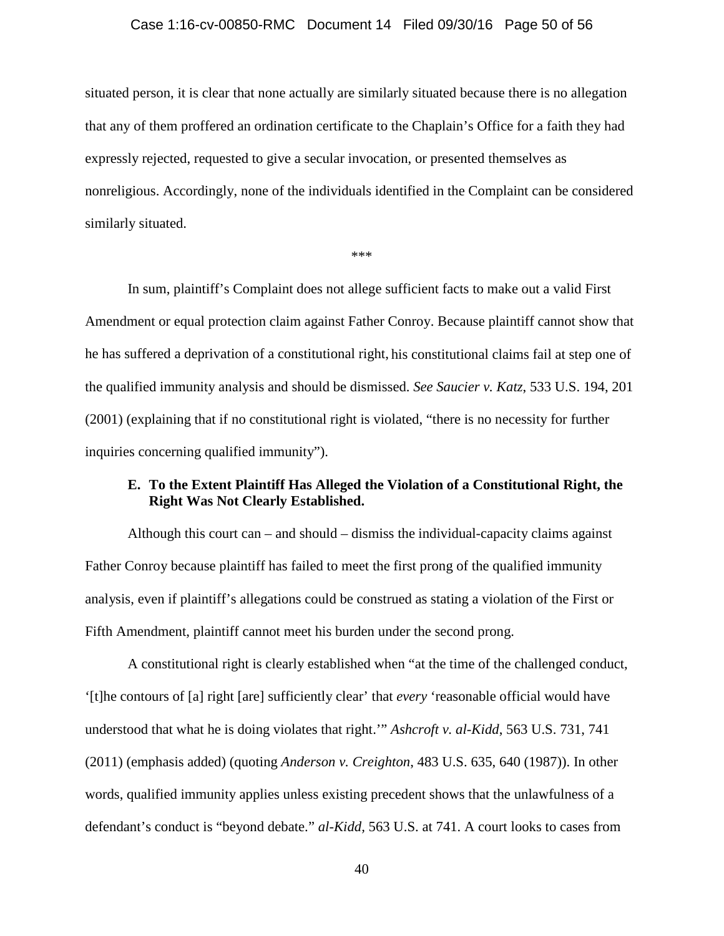#### Case 1:16-cv-00850-RMC Document 14 Filed 09/30/16 Page 50 of 56

situated person, it is clear that none actually are similarly situated because there is no allegation that any of them proffered an ordination certificate to the Chaplain's Office for a faith they had expressly rejected, requested to give a secular invocation, or presented themselves as nonreligious. Accordingly, none of the individuals identified in the Complaint can be considered similarly situated.

\*\*\*

In sum, plaintiff's Complaint does not allege sufficient facts to make out a valid First Amendment or equal protection claim against Father Conroy. Because plaintiff cannot show that he has suffered a deprivation of a constitutional right, his constitutional claims fail at step one of the qualified immunity analysis and should be dismissed. *See Saucier v. Katz*, 533 U.S. 194, 201 (2001) (explaining that if no constitutional right is violated, "there is no necessity for further inquiries concerning qualified immunity").

## **E. To the Extent Plaintiff Has Alleged the Violation of a Constitutional Right, the Right Was Not Clearly Established.**

Although this court can – and should – dismiss the individual-capacity claims against Father Conroy because plaintiff has failed to meet the first prong of the qualified immunity analysis, even if plaintiff's allegations could be construed as stating a violation of the First or Fifth Amendment, plaintiff cannot meet his burden under the second prong.

A constitutional right is clearly established when "at the time of the challenged conduct, '[t]he contours of [a] right [are] sufficiently clear' that *every* 'reasonable official would have understood that what he is doing violates that right.'" *Ashcroft v. al-Kidd*, 563 U.S. 731, 741 (2011) (emphasis added) (quoting *Anderson v. Creighton*, 483 U.S. 635, 640 (1987)). In other words, qualified immunity applies unless existing precedent shows that the unlawfulness of a defendant's conduct is "beyond debate." *al-Kidd,* 563 U.S. at 741. A court looks to cases from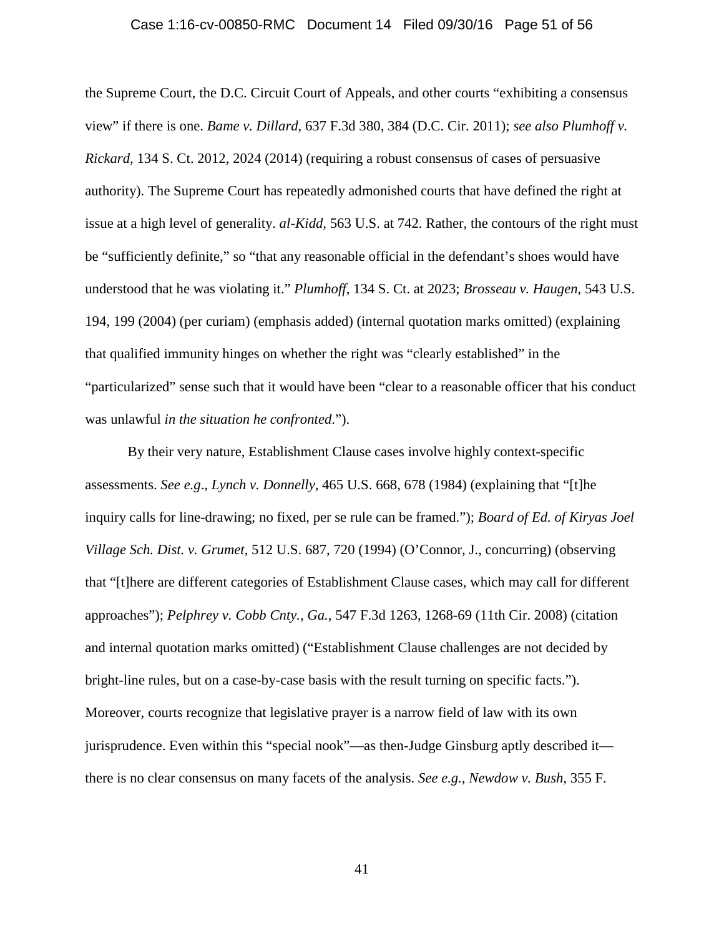#### Case 1:16-cv-00850-RMC Document 14 Filed 09/30/16 Page 51 of 56

the Supreme Court, the D.C. Circuit Court of Appeals, and other courts "exhibiting a consensus view" if there is one. *Bame v. Dillard*, 637 F.3d 380, 384 (D.C. Cir. 2011); *see also Plumhoff v. Rickard*, 134 S. Ct. 2012, 2024 (2014) (requiring a robust consensus of cases of persuasive authority). The Supreme Court has repeatedly admonished courts that have defined the right at issue at a high level of generality. *al-Kidd,* 563 U.S. at 742. Rather, the contours of the right must be "sufficiently definite," so "that any reasonable official in the defendant's shoes would have understood that he was violating it." *Plumhoff*, 134 S. Ct. at 2023; *Brosseau v. Haugen*, 543 U.S. 194, 199 (2004) (per curiam) (emphasis added) (internal quotation marks omitted) (explaining that qualified immunity hinges on whether the right was "clearly established" in the "particularized" sense such that it would have been "clear to a reasonable officer that his conduct was unlawful *in the situation he confronted*.").

By their very nature, Establishment Clause cases involve highly context-specific assessments. *See e.g*., *Lynch v. Donnelly*, 465 U.S. 668, 678 (1984) (explaining that "[t]he inquiry calls for line-drawing; no fixed, per se rule can be framed."); *Board of Ed. of Kiryas Joel Village Sch. Dist. v. Grumet*, 512 U.S. 687, 720 (1994) (O'Connor, J., concurring) (observing that "[t]here are different categories of Establishment Clause cases, which may call for different approaches"); *Pelphrey v. Cobb Cnty., Ga.*, 547 F.3d 1263, 1268-69 (11th Cir. 2008) (citation and internal quotation marks omitted) ("Establishment Clause challenges are not decided by bright-line rules, but on a case-by-case basis with the result turning on specific facts."). Moreover, courts recognize that legislative prayer is a narrow field of law with its own jurisprudence. Even within this "special nook"—as then-Judge Ginsburg aptly described it there is no clear consensus on many facets of the analysis. *See e.g., Newdow v. Bush*, 355 F.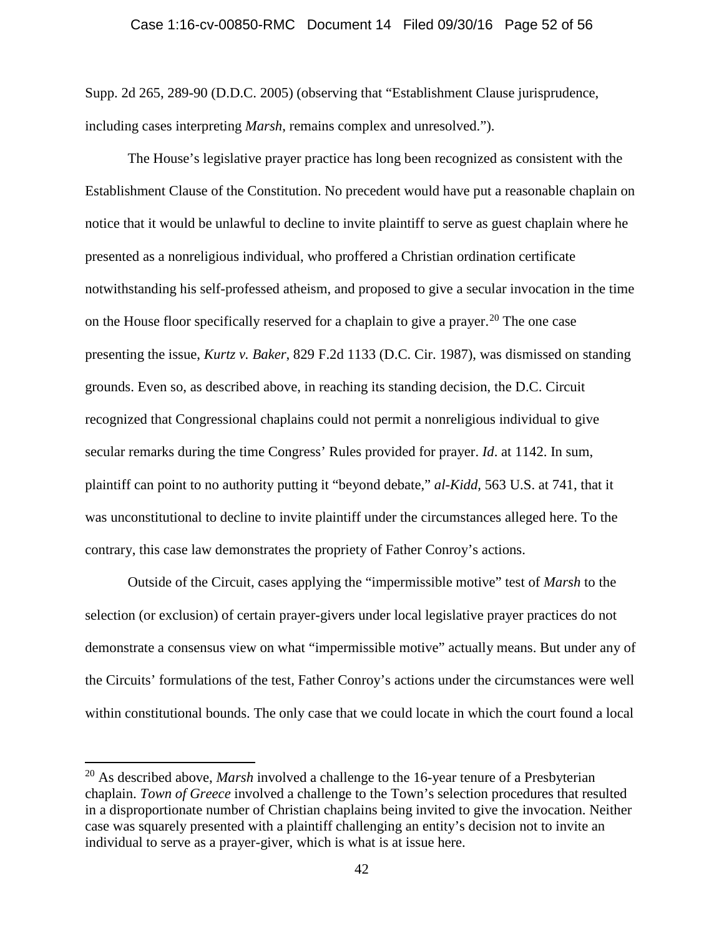#### Case 1:16-cv-00850-RMC Document 14 Filed 09/30/16 Page 52 of 56

Supp. 2d 265, 289-90 (D.D.C. 2005) (observing that "Establishment Clause jurisprudence, including cases interpreting *Marsh*, remains complex and unresolved.").

The House's legislative prayer practice has long been recognized as consistent with the Establishment Clause of the Constitution. No precedent would have put a reasonable chaplain on notice that it would be unlawful to decline to invite plaintiff to serve as guest chaplain where he presented as a nonreligious individual, who proffered a Christian ordination certificate notwithstanding his self-professed atheism, and proposed to give a secular invocation in the time on the House floor specifically reserved for a chaplain to give a prayer. <sup>20</sup> The one case presenting the issue, *Kurtz v. Baker*, 829 F.2d 1133 (D.C. Cir. 1987), was dismissed on standing grounds. Even so, as described above, in reaching its standing decision, the D.C. Circuit recognized that Congressional chaplains could not permit a nonreligious individual to give secular remarks during the time Congress' Rules provided for prayer. *Id*. at 1142. In sum, plaintiff can point to no authority putting it "beyond debate," *al-Kidd,* 563 U.S. at 741, that it was unconstitutional to decline to invite plaintiff under the circumstances alleged here. To the contrary, this case law demonstrates the propriety of Father Conroy's actions.

Outside of the Circuit, cases applying the "impermissible motive" test of *Marsh* to the selection (or exclusion) of certain prayer-givers under local legislative prayer practices do not demonstrate a consensus view on what "impermissible motive" actually means. But under any of the Circuits' formulations of the test, Father Conroy's actions under the circumstances were well within constitutional bounds. The only case that we could locate in which the court found a local

 <sup>20</sup> As described above, *Marsh* involved a challenge to the 16-year tenure of a Presbyterian chaplain. *Town of Greece* involved a challenge to the Town's selection procedures that resulted in a disproportionate number of Christian chaplains being invited to give the invocation. Neither case was squarely presented with a plaintiff challenging an entity's decision not to invite an individual to serve as a prayer-giver, which is what is at issue here.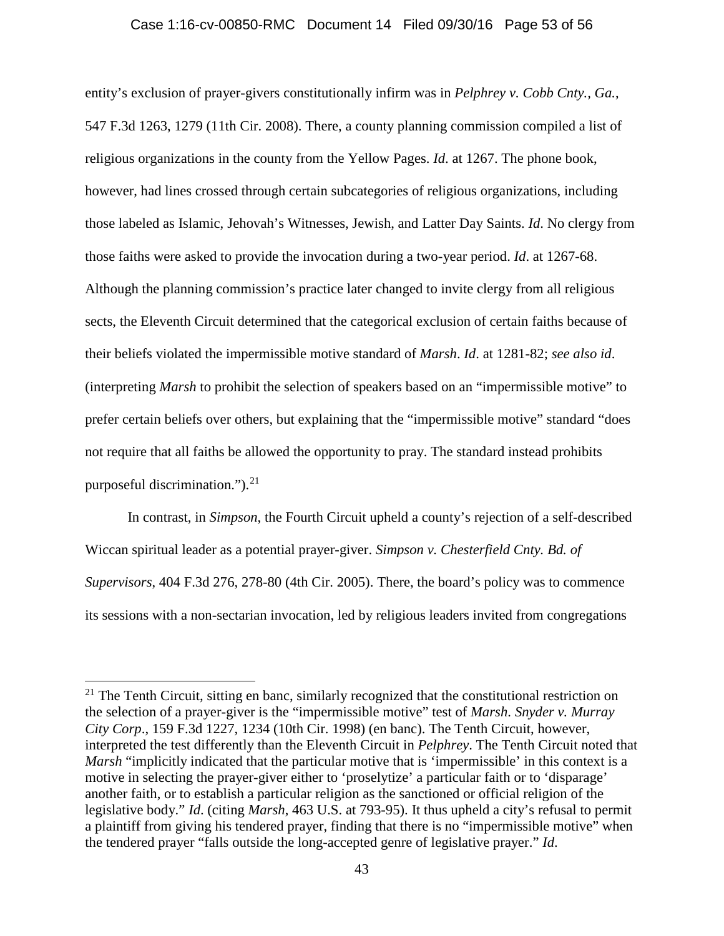#### Case 1:16-cv-00850-RMC Document 14 Filed 09/30/16 Page 53 of 56

entity's exclusion of prayer-givers constitutionally infirm was in *Pelphrey v. Cobb Cnty., Ga.*, 547 F.3d 1263, 1279 (11th Cir. 2008). There, a county planning commission compiled a list of religious organizations in the county from the Yellow Pages. *Id*. at 1267. The phone book, however, had lines crossed through certain subcategories of religious organizations, including those labeled as Islamic, Jehovah's Witnesses, Jewish, and Latter Day Saints. *Id*. No clergy from those faiths were asked to provide the invocation during a two-year period. *Id*. at 1267-68. Although the planning commission's practice later changed to invite clergy from all religious sects, the Eleventh Circuit determined that the categorical exclusion of certain faiths because of their beliefs violated the impermissible motive standard of *Marsh*. *Id*. at 1281-82; *see also id*. (interpreting *Marsh* to prohibit the selection of speakers based on an "impermissible motive" to prefer certain beliefs over others, but explaining that the "impermissible motive" standard "does not require that all faiths be allowed the opportunity to pray. The standard instead prohibits purposeful discrimination."). $21$ 

In contrast, in *Simpson*, the Fourth Circuit upheld a county's rejection of a self-described Wiccan spiritual leader as a potential prayer-giver. *Simpson v. Chesterfield Cnty. Bd. of Supervisors*, 404 F.3d 276, 278-80 (4th Cir. 2005). There, the board's policy was to commence its sessions with a non-sectarian invocation, led by religious leaders invited from congregations

<sup>&</sup>lt;sup>21</sup> The Tenth Circuit, sitting en banc, similarly recognized that the constitutional restriction on the selection of a prayer-giver is the "impermissible motive" test of *Marsh*. *Snyder v. Murray City Corp*., 159 F.3d 1227, 1234 (10th Cir. 1998) (en banc). The Tenth Circuit, however, interpreted the test differently than the Eleventh Circuit in *Pelphrey*. The Tenth Circuit noted that *Marsh* "implicitly indicated that the particular motive that is 'impermissible' in this context is a motive in selecting the prayer-giver either to 'proselytize' a particular faith or to 'disparage' another faith, or to establish a particular religion as the sanctioned or official religion of the legislative body." *Id*. (citing *Marsh*, 463 U.S. at 793-95). It thus upheld a city's refusal to permit a plaintiff from giving his tendered prayer, finding that there is no "impermissible motive" when the tendered prayer "falls outside the long-accepted genre of legislative prayer." *Id*.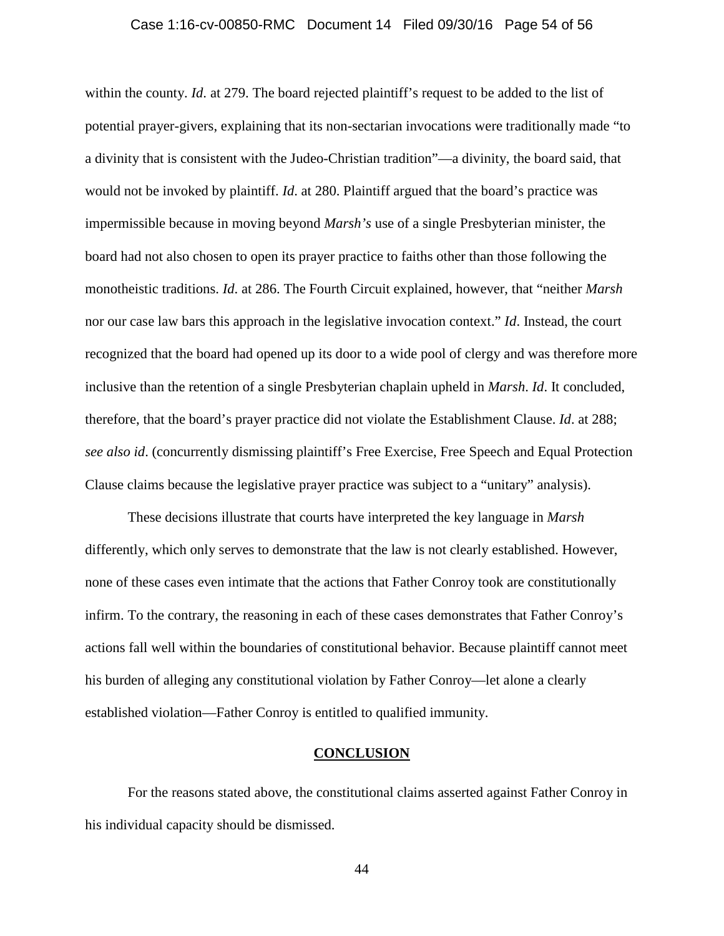#### Case 1:16-cv-00850-RMC Document 14 Filed 09/30/16 Page 54 of 56

within the county. *Id*. at 279. The board rejected plaintiff's request to be added to the list of potential prayer-givers, explaining that its non-sectarian invocations were traditionally made "to a divinity that is consistent with the Judeo-Christian tradition"—a divinity, the board said, that would not be invoked by plaintiff. *Id*. at 280. Plaintiff argued that the board's practice was impermissible because in moving beyond *Marsh's* use of a single Presbyterian minister, the board had not also chosen to open its prayer practice to faiths other than those following the monotheistic traditions. *Id*. at 286. The Fourth Circuit explained, however, that "neither *Marsh* nor our case law bars this approach in the legislative invocation context." *Id*. Instead, the court recognized that the board had opened up its door to a wide pool of clergy and was therefore more inclusive than the retention of a single Presbyterian chaplain upheld in *Marsh*. *Id*. It concluded, therefore, that the board's prayer practice did not violate the Establishment Clause. *Id*. at 288; *see also id*. (concurrently dismissing plaintiff's Free Exercise, Free Speech and Equal Protection Clause claims because the legislative prayer practice was subject to a "unitary" analysis).

These decisions illustrate that courts have interpreted the key language in *Marsh* differently, which only serves to demonstrate that the law is not clearly established. However, none of these cases even intimate that the actions that Father Conroy took are constitutionally infirm. To the contrary, the reasoning in each of these cases demonstrates that Father Conroy's actions fall well within the boundaries of constitutional behavior. Because plaintiff cannot meet his burden of alleging any constitutional violation by Father Conroy—let alone a clearly established violation—Father Conroy is entitled to qualified immunity.

## **CONCLUSION**

For the reasons stated above, the constitutional claims asserted against Father Conroy in his individual capacity should be dismissed.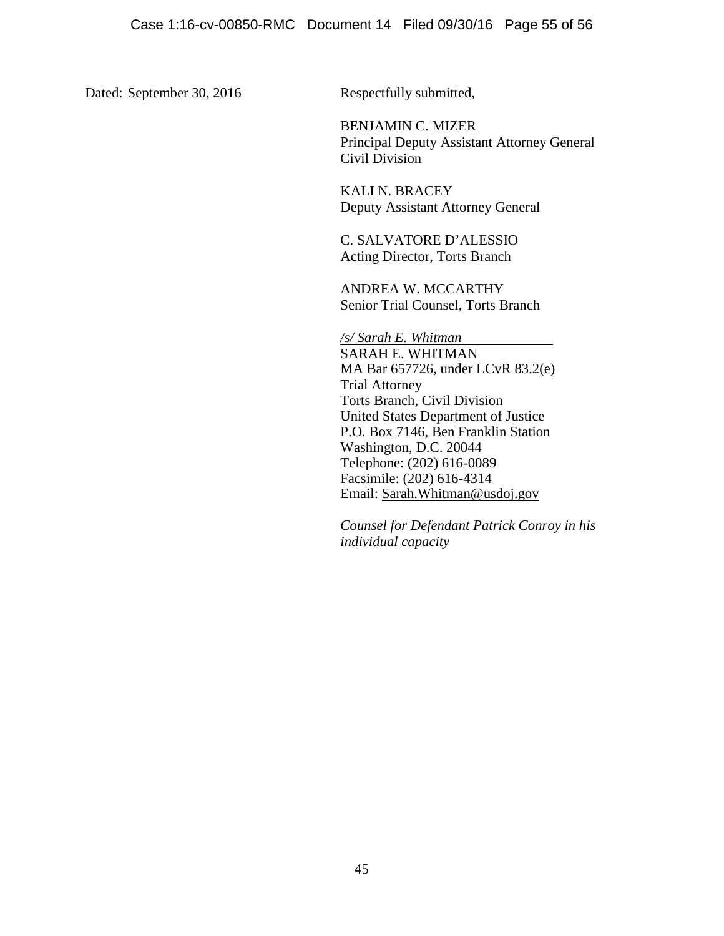Dated: September 30, 2016 Respectfully submitted,

BENJAMIN C. MIZER Principal Deputy Assistant Attorney General Civil Division

KALI N. BRACEY Deputy Assistant Attorney General

C. SALVATORE D'ALESSIO Acting Director, Torts Branch

ANDREA W. MCCARTHY Senior Trial Counsel, Torts Branch

*/s/ Sarah E. Whitman* SARAH E. WHITMAN MA Bar 657726, under LCvR 83.2(e) Trial Attorney Torts Branch, Civil Division United States Department of Justice P.O. Box 7146, Ben Franklin Station Washington, D.C. 20044 Telephone: (202) 616-0089 Facsimile: (202) 616-4314 Email: Sarah.Whitman@usdoj.gov

*Counsel for Defendant Patrick Conroy in his individual capacity*